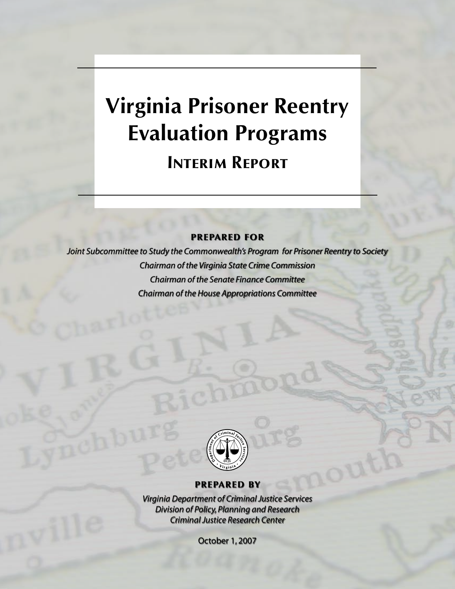# **Virginia Prisoner Reentry Evaluation Programs Interim Report**

**prepared for**

*Joint Subcommittee to Study the Commonwealth's Program for Prisoner Reentry to Society Chairman of the Virginia State Crime Commission Chairman of the Senate Finance Committee Chairman of the House Appropriations Committee*



#### **prepared by**

*Virginia Department of Criminal Justice Services Division of Policy, Planning and Research Criminal Justice Research Center*

October 1, 2007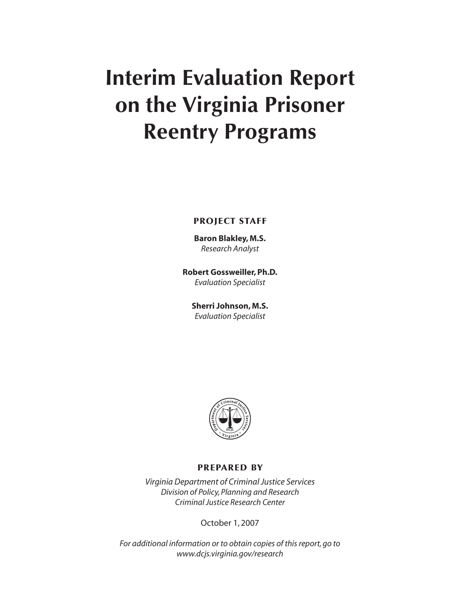# **Interim Evaluation Report on the Virginia Prisoner Reentry Programs**

**project staff**

**Baron Blakley, M.S.** *Research Analyst*

**Robert Gossweiller, Ph.D.** *Evaluation Specialist*

**Sherri Johnson, M.S.** *Evaluation Specialist*



#### **prepared by**

*Virginia Department of Criminal Justice Services Division of Policy, Planning and Research Criminal Justice Research Center*

October 1, 2007

*For additional information or to obtain copies of this report, go to www.dcjs.virginia.gov/research*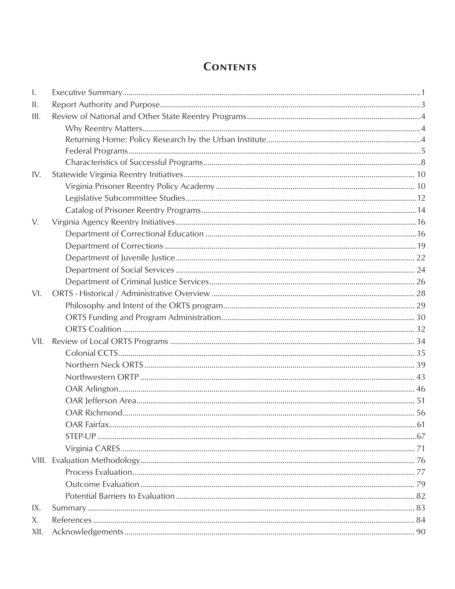# **CONTENTS**

| $\mathbf{I}$ . |  |  |  |  |  |  |
|----------------|--|--|--|--|--|--|
| Ш.             |  |  |  |  |  |  |
| III.           |  |  |  |  |  |  |
|                |  |  |  |  |  |  |
|                |  |  |  |  |  |  |
|                |  |  |  |  |  |  |
|                |  |  |  |  |  |  |
| IV.            |  |  |  |  |  |  |
|                |  |  |  |  |  |  |
|                |  |  |  |  |  |  |
|                |  |  |  |  |  |  |
| V.             |  |  |  |  |  |  |
|                |  |  |  |  |  |  |
|                |  |  |  |  |  |  |
|                |  |  |  |  |  |  |
|                |  |  |  |  |  |  |
|                |  |  |  |  |  |  |
| VI.            |  |  |  |  |  |  |
|                |  |  |  |  |  |  |
|                |  |  |  |  |  |  |
|                |  |  |  |  |  |  |
| VII.           |  |  |  |  |  |  |
|                |  |  |  |  |  |  |
|                |  |  |  |  |  |  |
|                |  |  |  |  |  |  |
|                |  |  |  |  |  |  |
|                |  |  |  |  |  |  |
|                |  |  |  |  |  |  |
|                |  |  |  |  |  |  |
|                |  |  |  |  |  |  |
|                |  |  |  |  |  |  |
|                |  |  |  |  |  |  |
|                |  |  |  |  |  |  |
|                |  |  |  |  |  |  |
|                |  |  |  |  |  |  |
| IX.            |  |  |  |  |  |  |
| X.             |  |  |  |  |  |  |
| XII.           |  |  |  |  |  |  |
|                |  |  |  |  |  |  |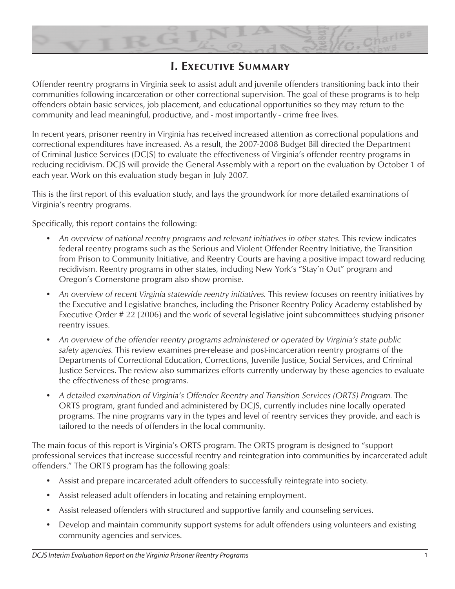

# **I. Executive Summary**

Offender reentry programs in Virginia seek to assist adult and juvenile offenders transitioning back into their communities following incarceration or other correctional supervision. The goal of these programs is to help offenders obtain basic services, job placement, and educational opportunities so they may return to the community and lead meaningful, productive, and - most importantly - crime free lives.

In recent years, prisoner reentry in Virginia has received increased attention as correctional populations and correctional expenditures have increased. As a result, the 2007-2008 Budget Bill directed the Department of Criminal Justice Services (DCJS) to evaluate the effectiveness of Virginia's offender reentry programs in reducing recidivism. DCJS will provide the General Assembly with a report on the evaluation by October 1 of each year. Work on this evaluation study began in July 2007.

This is the first report of this evaluation study, and lays the groundwork for more detailed examinations of Virginia's reentry programs.

Specifically, this report contains the following:

- *An overview of national reentry programs and relevant initiatives in other states*. This review indicates federal reentry programs such as the Serious and Violent Offender Reentry Initiative, the Transition from Prison to Community Initiative, and Reentry Courts are having a positive impact toward reducing recidivism. Reentry programs in other states, including New York's "Stay'n Out" program and Oregon's Cornerstone program also show promise.
- *An overview of recent Virginia statewide reentry initiatives.* This review focuses on reentry initiatives by the Executive and Legislative branches, including the Prisoner Reentry Policy Academy established by Executive Order # 22 (2006) and the work of several legislative joint subcommittees studying prisoner reentry issues.
- *An overview of the offender reentry programs administered or operated by Virginia's state public safety agencies.* This review examines pre-release and post-incarceration reentry programs of the Departments of Correctional Education, Corrections, Juvenile Justice, Social Services, and Criminal Justice Services. The review also summarizes efforts currently underway by these agencies to evaluate the effectiveness of these programs.
- *A detailed examination of Virginia's Offender Reentry and Transition Services (ORTS) Program.* The ORTS program, grant funded and administered by DCJS, currently includes nine locally operated programs. The nine programs vary in the types and level of reentry services they provide, and each is tailored to the needs of offenders in the local community.

The main focus of this report is Virginia's ORTS program. The ORTS program is designed to "support professional services that increase successful reentry and reintegration into communities by incarcerated adult offenders." The ORTS program has the following goals:

- Assist and prepare incarcerated adult offenders to successfully reintegrate into society.
- Assist released adult offenders in locating and retaining employment.
- Assist released offenders with structured and supportive family and counseling services.
- Develop and maintain community support systems for adult offenders using volunteers and existing community agencies and services.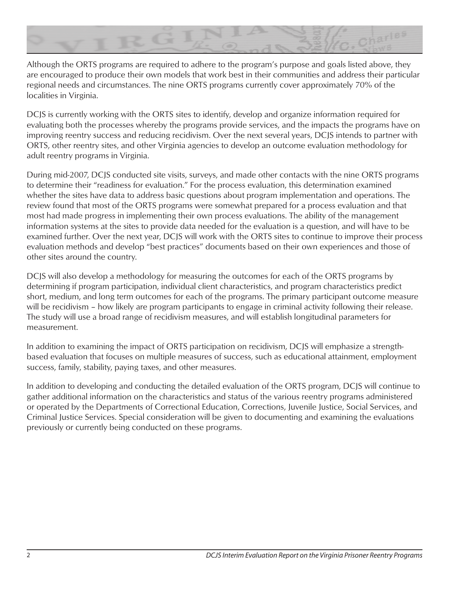

Although the ORTS programs are required to adhere to the program's purpose and goals listed above, they are encouraged to produce their own models that work best in their communities and address their particular regional needs and circumstances. The nine ORTS programs currently cover approximately 70% of the localities in Virginia.

DCJS is currently working with the ORTS sites to identify, develop and organize information required for evaluating both the processes whereby the programs provide services, and the impacts the programs have on improving reentry success and reducing recidivism. Over the next several years, DCJS intends to partner with ORTS, other reentry sites, and other Virginia agencies to develop an outcome evaluation methodology for adult reentry programs in Virginia.

During mid-2007, DCJS conducted site visits, surveys, and made other contacts with the nine ORTS programs to determine their "readiness for evaluation." For the process evaluation, this determination examined whether the sites have data to address basic questions about program implementation and operations. The review found that most of the ORTS programs were somewhat prepared for a process evaluation and that most had made progress in implementing their own process evaluations. The ability of the management information systems at the sites to provide data needed for the evaluation is a question, and will have to be examined further. Over the next year, DCJS will work with the ORTS sites to continue to improve their process evaluation methods and develop "best practices" documents based on their own experiences and those of other sites around the country.

DCJS will also develop a methodology for measuring the outcomes for each of the ORTS programs by determining if program participation, individual client characteristics, and program characteristics predict short, medium, and long term outcomes for each of the programs. The primary participant outcome measure will be recidivism – how likely are program participants to engage in criminal activity following their release. The study will use a broad range of recidivism measures, and will establish longitudinal parameters for measurement.

In addition to examining the impact of ORTS participation on recidivism, DCJS will emphasize a strengthbased evaluation that focuses on multiple measures of success, such as educational attainment, employment success, family, stability, paying taxes, and other measures.

In addition to developing and conducting the detailed evaluation of the ORTS program, DCJS will continue to gather additional information on the characteristics and status of the various reentry programs administered or operated by the Departments of Correctional Education, Corrections, Juvenile Justice, Social Services, and Criminal Justice Services. Special consideration will be given to documenting and examining the evaluations previously or currently being conducted on these programs.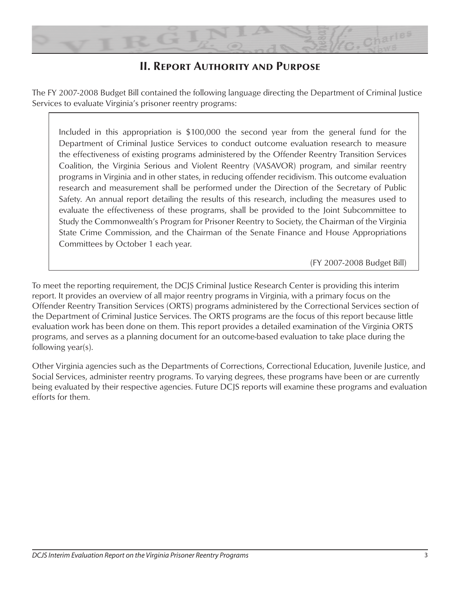

# **II. Report Authority and Purpose**

The FY 2007-2008 Budget Bill contained the following language directing the Department of Criminal Justice Services to evaluate Virginia's prisoner reentry programs:

Included in this appropriation is \$100,000 the second year from the general fund for the Department of Criminal Justice Services to conduct outcome evaluation research to measure the effectiveness of existing programs administered by the Offender Reentry Transition Services Coalition, the Virginia Serious and Violent Reentry (VASAVOR) program, and similar reentry programs in Virginia and in other states, in reducing offender recidivism. This outcome evaluation research and measurement shall be performed under the Direction of the Secretary of Public Safety. An annual report detailing the results of this research, including the measures used to evaluate the effectiveness of these programs, shall be provided to the Joint Subcommittee to Study the Commonwealth's Program for Prisoner Reentry to Society, the Chairman of the Virginia State Crime Commission, and the Chairman of the Senate Finance and House Appropriations Committees by October 1 each year.

(FY 2007-2008 Budget Bill)

To meet the reporting requirement, the DCJS Criminal Justice Research Center is providing this interim report. It provides an overview of all major reentry programs in Virginia, with a primary focus on the Offender Reentry Transition Services (ORTS) programs administered by the Correctional Services section of the Department of Criminal Justice Services. The ORTS programs are the focus of this report because little evaluation work has been done on them. This report provides a detailed examination of the Virginia ORTS programs, and serves as a planning document for an outcome-based evaluation to take place during the following year(s).

Other Virginia agencies such as the Departments of Corrections, Correctional Education, Juvenile Justice, and Social Services, administer reentry programs. To varying degrees, these programs have been or are currently being evaluated by their respective agencies. Future DCJS reports will examine these programs and evaluation efforts for them.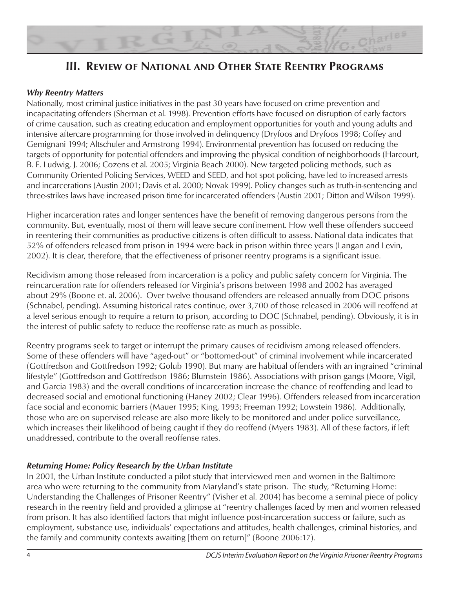

# **III. Review of National and Other State Reentry Programs**

#### *Why Reentry Matters*

Nationally, most criminal justice initiatives in the past 30 years have focused on crime prevention and incapacitating offenders (Sherman et al. 1998). Prevention efforts have focused on disruption of early factors of crime causation, such as creating education and employment opportunities for youth and young adults and intensive aftercare programming for those involved in delinquency (Dryfoos and Dryfoos 1998; Coffey and Gemignani 1994; Altschuler and Armstrong 1994). Environmental prevention has focused on reducing the targets of opportunity for potential offenders and improving the physical condition of neighborhoods (Harcourt, B. E. Ludwig, J. 2006; Cozens et al. 2005; Virginia Beach 2000). New targeted policing methods, such as Community Oriented Policing Services, WEED and SEED, and hot spot policing, have led to increased arrests and incarcerations (Austin 2001; Davis et al. 2000; Novak 1999). Policy changes such as truth-in-sentencing and three-strikes laws have increased prison time for incarcerated offenders (Austin 2001; Ditton and Wilson 1999).

Higher incarceration rates and longer sentences have the benefit of removing dangerous persons from the community. But, eventually, most of them will leave secure confinement. How well these offenders succeed in reentering their communities as productive citizens is often difficult to assess. National data indicates that 52% of offenders released from prison in 1994 were back in prison within three years (Langan and Levin, 2002). It is clear, therefore, that the effectiveness of prisoner reentry programs is a significant issue.

Recidivism among those released from incarceration is a policy and public safety concern for Virginia. The reincarceration rate for offenders released for Virginia's prisons between 1998 and 2002 has averaged about 29% (Boone et. al. 2006). Over twelve thousand offenders are released annually from DOC prisons (Schnabel, pending). Assuming historical rates continue, over 3,700 of those released in 2006 will reoffend at a level serious enough to require a return to prison, according to DOC (Schnabel, pending). Obviously, it is in the interest of public safety to reduce the reoffense rate as much as possible.

Reentry programs seek to target or interrupt the primary causes of recidivism among released offenders. Some of these offenders will have "aged-out" or "bottomed-out" of criminal involvement while incarcerated (Gottfredson and Gottfredson 1992; Golub 1990). But many are habitual offenders with an ingrained "criminal lifestyle" (Gottfredson and Gottfredson 1986; Blumstein 1986). Associations with prison gangs (Moore, Vigil, and Garcia 1983) and the overall conditions of incarceration increase the chance of reoffending and lead to decreased social and emotional functioning (Haney 2002; Clear 1996). Offenders released from incarceration face social and economic barriers (Mauer 1995; King, 1993; Freeman 1992; Lowstein 1986). Additionally, those who are on supervised release are also more likely to be monitored and under police surveillance, which increases their likelihood of being caught if they do reoffend (Myers 1983). All of these factors, if left unaddressed, contribute to the overall reoffense rates.

#### *Returning Home: Policy Research by the Urban Institute*

In 2001, the Urban Institute conducted a pilot study that interviewed men and women in the Baltimore area who were returning to the community from Maryland's state prison. The study, "Returning Home: Understanding the Challenges of Prisoner Reentry" (Visher et al. 2004) has become a seminal piece of policy research in the reentry field and provided a glimpse at "reentry challenges faced by men and women released from prison. It has also identified factors that might influence post-incarceration success or failure, such as employment, substance use, individuals' expectations and attitudes, health challenges, criminal histories, and the family and community contexts awaiting [them on return]" (Boone 2006:17).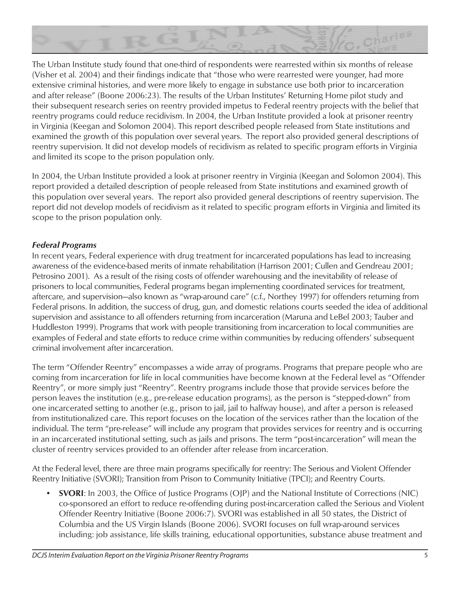

The Urban Institute study found that one-third of respondents were rearrested within six months of release (Visher et al. 2004) and their findings indicate that "those who were rearrested were younger, had more extensive criminal histories, and were more likely to engage in substance use both prior to incarceration and after release" (Boone 2006:23). The results of the Urban Institutes' Returning Home pilot study and their subsequent research series on reentry provided impetus to Federal reentry projects with the belief that reentry programs could reduce recidivism. In 2004, the Urban Institute provided a look at prisoner reentry in Virginia (Keegan and Solomon 2004). This report described people released from State institutions and examined the growth of this population over several years. The report also provided general descriptions of reentry supervision. It did not develop models of recidivism as related to specific program efforts in Virginia and limited its scope to the prison population only.

In 2004, the Urban Institute provided a look at prisoner reentry in Virginia (Keegan and Solomon 2004). This report provided a detailed description of people released from State institutions and examined growth of this population over several years. The report also provided general descriptions of reentry supervision. The report did not develop models of recidivism as it related to specific program efforts in Virginia and limited its scope to the prison population only.

## *Federal Programs*

In recent years, Federal experience with drug treatment for incarcerated populations has lead to increasing awareness of the evidence-based merits of inmate rehabilitation (Harrison 2001; Cullen and Gendreau 2001; Petrosino 2001). As a result of the rising costs of offender warehousing and the inevitability of release of prisoners to local communities, Federal programs began implementing coordinated services for treatment, aftercare, and supervision—also known as "wrap-around care" (c.f., Northey 1997) for offenders returning from Federal prisons. In addition, the success of drug, gun, and domestic relations courts seeded the idea of additional supervision and assistance to all offenders returning from incarceration (Maruna and LeBel 2003; Tauber and Huddleston 1999). Programs that work with people transitioning from incarceration to local communities are examples of Federal and state efforts to reduce crime within communities by reducing offenders' subsequent criminal involvement after incarceration.

The term "Offender Reentry" encompasses a wide array of programs. Programs that prepare people who are coming from incarceration for life in local communities have become known at the Federal level as "Offender Reentry", or more simply just "Reentry". Reentry programs include those that provide services before the person leaves the institution (e.g., pre-release education programs), as the person is "stepped-down" from one incarcerated setting to another (e.g., prison to jail, jail to halfway house), and after a person is released from institutionalized care. This report focuses on the location of the services rather than the location of the individual. The term "pre-release" will include any program that provides services for reentry and is occurring in an incarcerated institutional setting, such as jails and prisons. The term "post-incarceration" will mean the cluster of reentry services provided to an offender after release from incarceration.

At the Federal level, there are three main programs specifically for reentry: The Serious and Violent Offender Reentry Initiative (SVORI); Transition from Prison to Community Initiative (TPCI); and Reentry Courts.

• **SVORI**: In 2003, the Office of Justice Programs (OJP) and the National Institute of Corrections (NIC) co-sponsored an effort to reduce re-offending during post-incarceration called the Serious and Violent Offender Reentry Initiative (Boone 2006:7). SVORI was established in all 50 states, the District of Columbia and the US Virgin Islands (Boone 2006). SVORI focuses on full wrap-around services including: job assistance, life skills training, educational opportunities, substance abuse treatment and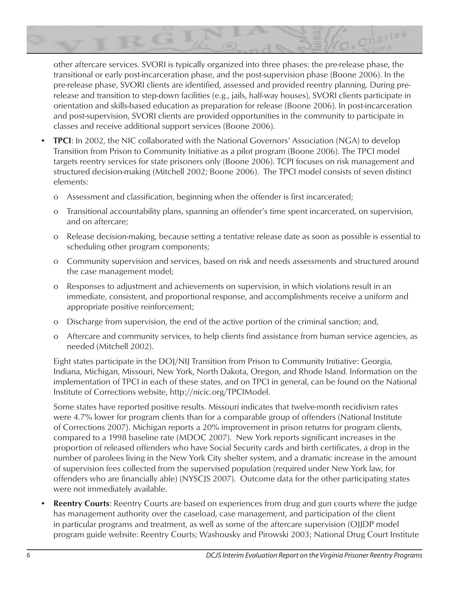

other aftercare services. SVORI is typically organized into three phases: the pre-release phase, the transitional or early post-incarceration phase, and the post-supervision phase (Boone 2006). In the pre-release phase, SVORI clients are identified, assessed and provided reentry planning. During prerelease and transition to step-down facilities (e.g., jails, half-way houses), SVORI clients participate in orientation and skills-based education as preparation for release (Boone 2006). In post-incarceration and post-supervision, SVORI clients are provided opportunities in the community to participate in classes and receive additional support services (Boone 2006).

- **TPCI**: In 2002, the NIC collaborated with the National Governors' Association (NGA) to develop Transition from Prison to Community Initiative as a pilot program (Boone 2006). The TPCI model targets reentry services for state prisoners only (Boone 2006). TCPI focuses on risk management and structured decision-making (Mitchell 2002; Boone 2006). The TPCI model consists of seven distinct elements:
	- o Assessment and classification, beginning when the offender is first incarcerated;
	- o Transitional accountability plans, spanning an offender's time spent incarcerated, on supervision, and on aftercare;
	- o Release decision-making, because setting a tentative release date as soon as possible is essential to scheduling other program components;
	- o Community supervision and services, based on risk and needs assessments and structured around the case management model;
	- o Responses to adjustment and achievements on supervision, in which violations result in an immediate, consistent, and proportional response, and accomplishments receive a uniform and appropriate positive reinforcement;
	- o Discharge from supervision, the end of the active portion of the criminal sanction; and,
	- o Aftercare and community services, to help clients find assistance from human service agencies, as needed (Mitchell 2002).

Eight states participate in the DOJ/NIJ Transition from Prison to Community Initiative: Georgia, Indiana, Michigan, Missouri, New York, North Dakota, Oregon, and Rhode Island. Information on the implementation of TPCI in each of these states, and on TPCI in general, can be found on the National Institute of Corrections website, http://nicic.org/TPCIModel.

Some states have reported positive results. Missouri indicates that twelve-month recidivism rates were 4.7% lower for program clients than for a comparable group of offenders (National Institute of Corrections 2007). Michigan reports a 20% improvement in prison returns for program clients, compared to a 1998 baseline rate (MDOC 2007). New York reports significant increases in the proportion of released offenders who have Social Security cards and birth certificates, a drop in the number of parolees living in the New York City shelter system, and a dramatic increase in the amount of supervision fees collected from the supervised population (required under New York law, for offenders who are financially able) (NYSCJS 2007). Outcome data for the other participating states were not immediately available.

• **Reentry Courts**: Reentry Courts are based on experiences from drug and gun courts where the judge has management authority over the caseload, case management, and participation of the client in particular programs and treatment, as well as some of the aftercare supervision (OJJDP model program guide website: Reentry Courts; Washousky and Pirowski 2003; National Drug Court Institute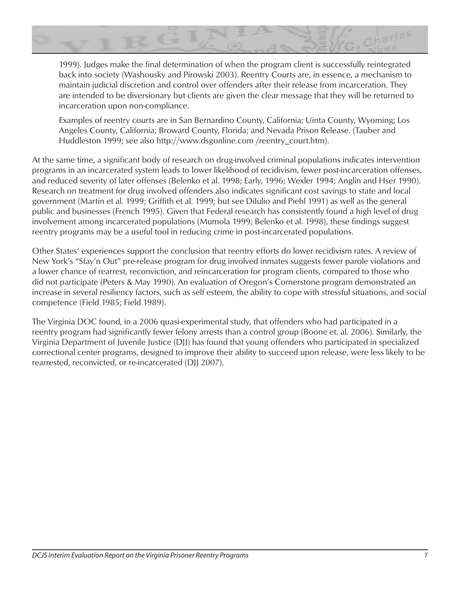

1999). Judges make the final determination of when the program client is successfully reintegrated back into society (Washousky and Pirowski 2003). Reentry Courts are, in essence, a mechanism to maintain judicial discretion and control over offenders after their release from incarceration. They are intended to be diversionary but clients are given the clear message that they will be returned to incarceration upon non-compliance.

Examples of reentry courts are in San Bernardino County, California; Uinta County, Wyoming; Los Angeles County, California; Broward County, Florida; and Nevada Prison Release. (Tauber and Huddleston 1999; see also http://www.dsgonline.com /reentry\_court.htm).

At the same time, a significant body of research on drug-involved criminal populations indicates intervention programs in an incarcerated system leads to lower likelihood of recidivism, fewer post-incarceration offenses, and reduced severity of later offenses (Belenko et al. 1998; Early, 1996; Wexler 1994; Anglin and Hser 1990). Research on treatment for drug involved offenders also indicates significant cost savings to state and local government (Martin et al. 1999; Griffith et al. 1999; but see DiIulio and Piehl 1991) as well as the general public and businesses (French 1995). Given that Federal research has consistently found a high level of drug involvement among incarcerated populations (Mumola 1999; Belenko et al. 1998), these findings suggest reentry programs may be a useful tool in reducing crime in post-incarcerated populations.

Other States' experiences support the conclusion that reentry efforts do lower recidivism rates. A review of New York's "Stay'n Out" pre-release program for drug involved inmates suggests fewer parole violations and a lower chance of rearrest, reconviction, and reincarceration for program clients, compared to those who did not participate (Peters & May 1990). An evaluation of Oregon's Cornerstone program demonstrated an increase in several resiliency factors, such as self esteem, the ability to cope with stressful situations, and social competence (Field 1985; Field 1989).

The Virginia DOC found, in a 2006 quasi-experimental study, that offenders who had participated in a reentry program had significantly fewer felony arrests than a control group (Boone et. al. 2006). Similarly, the Virginia Department of Juvenile Justice (DJJ) has found that young offenders who participated in specialized correctional center programs, designed to improve their ability to succeed upon release, were less likely to be rearrested, reconvicted, or re-incarcerated (DJJ 2007).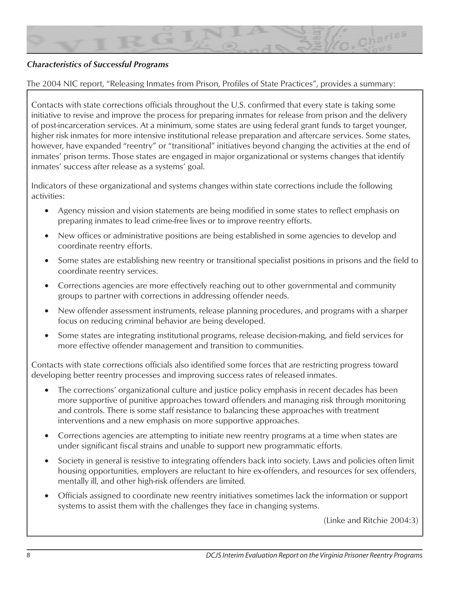

#### *Characteristics of Successful Programs*

The 2004 NIC report, "Releasing Inmates from Prison, Profiles of State Practices", provides a summary:

Contacts with state corrections officials throughout the U.S. confirmed that every state is taking some initiative to revise and improve the process for preparing inmates for release from prison and the delivery of post-incarceration services. At a minimum, some states are using federal grant funds to target younger, higher risk inmates for more intensive institutional release preparation and aftercare services. Some states, however, have expanded "reentry" or "transitional" initiatives beyond changing the activities at the end of inmates' prison terms. Those states are engaged in major organizational or systems changes that identify inmates' success after release as a systems' goal.

Indicators of these organizational and systems changes within state corrections include the following activities:

- Agency mission and vision statements are being modified in some states to reflect emphasis on preparing inmates to lead crime-free lives or to improve reentry efforts.
- New offices or administrative positions are being established in some agencies to develop and coordinate reentry efforts.
- Some states are establishing new reentry or transitional specialist positions in prisons and the field to coordinate reentry services.
- Corrections agencies are more effectively reaching out to other governmental and community groups to partner with corrections in addressing offender needs.
- New offender assessment instruments, release planning procedures, and programs with a sharper focus on reducing criminal behavior are being developed.
- Some states are integrating institutional programs, release decision-making, and field services for more effective offender management and transition to communities.

Contacts with state corrections officials also identified some forces that are restricting progress toward developing better reentry processes and improving success rates of released inmates.

- The corrections' organizational culture and justice policy emphasis in recent decades has been more supportive of punitive approaches toward offenders and managing risk through monitoring and controls. There is some staff resistance to balancing these approaches with treatment interventions and a new emphasis on more supportive approaches.
- Corrections agencies are attempting to initiate new reentry programs at a time when states are under significant fiscal strains and unable to support new programmatic efforts.
- Society in general is resistive to integrating offenders back into society. Laws and policies often limit housing opportunities, employers are reluctant to hire ex-offenders, and resources for sex offenders, mentally ill, and other high-risk offenders are limited.
- Officials assigned to coordinate new reentry initiatives sometimes lack the information or support systems to assist them with the challenges they face in changing systems.

(Linke and Ritchie 2004:3)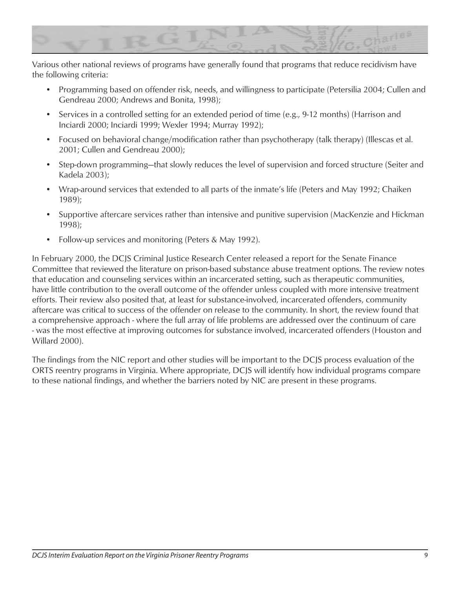

Various other national reviews of programs have generally found that programs that reduce recidivism have the following criteria:

- Programming based on offender risk, needs, and willingness to participate (Petersilia 2004; Cullen and Gendreau 2000; Andrews and Bonita, 1998);
- Services in a controlled setting for an extended period of time (e.g., 9-12 months) (Harrison and Inciardi 2000; Inciardi 1999; Wexler 1994; Murray 1992);
- Focused on behavioral change/modification rather than psychotherapy (talk therapy) (Illescas et al. 2001; Cullen and Gendreau 2000);
- Step-down programming—that slowly reduces the level of supervision and forced structure (Seiter and Kadela 2003);
- Wrap-around services that extended to all parts of the inmate's life (Peters and May 1992; Chaiken 1989);
- Supportive aftercare services rather than intensive and punitive supervision (MacKenzie and Hickman 1998);
- Follow-up services and monitoring (Peters & May 1992).

In February 2000, the DCJS Criminal Justice Research Center released a report for the Senate Finance Committee that reviewed the literature on prison-based substance abuse treatment options. The review notes that education and counseling services within an incarcerated setting, such as therapeutic communities, have little contribution to the overall outcome of the offender unless coupled with more intensive treatment efforts. Their review also posited that, at least for substance-involved, incarcerated offenders, community aftercare was critical to success of the offender on release to the community. In short, the review found that a comprehensive approach - where the full array of life problems are addressed over the continuum of care - was the most effective at improving outcomes for substance involved, incarcerated offenders (Houston and Willard 2000).

The findings from the NIC report and other studies will be important to the DCJS process evaluation of the ORTS reentry programs in Virginia. Where appropriate, DCJS will identify how individual programs compare to these national findings, and whether the barriers noted by NIC are present in these programs.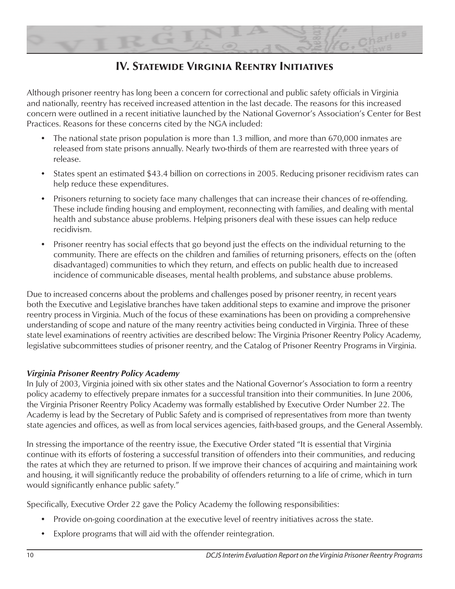

# **IV. Statewide Virginia Reentry Initiatives**

Although prisoner reentry has long been a concern for correctional and public safety officials in Virginia and nationally, reentry has received increased attention in the last decade. The reasons for this increased concern were outlined in a recent initiative launched by the National Governor's Association's Center for Best Practices. Reasons for these concerns cited by the NGA included:

- The national state prison population is more than 1.3 million, and more than 670,000 inmates are released from state prisons annually. Nearly two-thirds of them are rearrested with three years of release.
- States spent an estimated \$43.4 billion on corrections in 2005. Reducing prisoner recidivism rates can help reduce these expenditures.
- Prisoners returning to society face many challenges that can increase their chances of re-offending. These include finding housing and employment, reconnecting with families, and dealing with mental health and substance abuse problems. Helping prisoners deal with these issues can help reduce recidivism.
- Prisoner reentry has social effects that go beyond just the effects on the individual returning to the community. There are effects on the children and families of returning prisoners, effects on the (often disadvantaged) communities to which they return, and effects on public health due to increased incidence of communicable diseases, mental health problems, and substance abuse problems.

Due to increased concerns about the problems and challenges posed by prisoner reentry, in recent years both the Executive and Legislative branches have taken additional steps to examine and improve the prisoner reentry process in Virginia. Much of the focus of these examinations has been on providing a comprehensive understanding of scope and nature of the many reentry activities being conducted in Virginia. Three of these state level examinations of reentry activities are described below: The Virginia Prisoner Reentry Policy Academy, legislative subcommittees studies of prisoner reentry, and the Catalog of Prisoner Reentry Programs in Virginia.

## *Virginia Prisoner Reentry Policy Academy*

In July of 2003, Virginia joined with six other states and the National Governor's Association to form a reentry policy academy to effectively prepare inmates for a successful transition into their communities. In June 2006, the Virginia Prisoner Reentry Policy Academy was formally established by Executive Order Number 22. The Academy is lead by the Secretary of Public Safety and is comprised of representatives from more than twenty state agencies and offices, as well as from local services agencies, faith-based groups, and the General Assembly.

In stressing the importance of the reentry issue, the Executive Order stated "It is essential that Virginia continue with its efforts of fostering a successful transition of offenders into their communities, and reducing the rates at which they are returned to prison. If we improve their chances of acquiring and maintaining work and housing, it will significantly reduce the probability of offenders returning to a life of crime, which in turn would significantly enhance public safety."

Specifically, Executive Order 22 gave the Policy Academy the following responsibilities:

- Provide on-going coordination at the executive level of reentry initiatives across the state.
- Explore programs that will aid with the offender reintegration.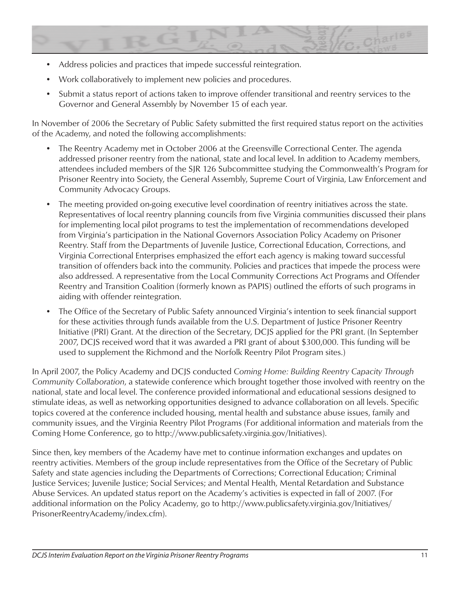

- Address policies and practices that impede successful reintegration.
- Work collaboratively to implement new policies and procedures.
- Submit a status report of actions taken to improve offender transitional and reentry services to the Governor and General Assembly by November 15 of each year.

In November of 2006 the Secretary of Public Safety submitted the first required status report on the activities of the Academy, and noted the following accomplishments:

- The Reentry Academy met in October 2006 at the Greensville Correctional Center. The agenda addressed prisoner reentry from the national, state and local level. In addition to Academy members, attendees included members of the SJR 126 Subcommittee studying the Commonwealth's Program for Prisoner Reentry into Society, the General Assembly, Supreme Court of Virginia, Law Enforcement and Community Advocacy Groups.
- The meeting provided on-going executive level coordination of reentry initiatives across the state. Representatives of local reentry planning councils from five Virginia communities discussed their plans for implementing local pilot programs to test the implementation of recommendations developed from Virginia's participation in the National Governors Association Policy Academy on Prisoner Reentry. Staff from the Departments of Juvenile Justice, Correctional Education, Corrections, and Virginia Correctional Enterprises emphasized the effort each agency is making toward successful transition of offenders back into the community. Policies and practices that impede the process were also addressed. A representative from the Local Community Corrections Act Programs and Offender Reentry and Transition Coalition (formerly known as PAPIS) outlined the efforts of such programs in aiding with offender reintegration.
- The Office of the Secretary of Public Safety announced Virginia's intention to seek financial support for these activities through funds available from the U.S. Department of Justice Prisoner Reentry Initiative (PRI) Grant. At the direction of the Secretary, DCJS applied for the PRI grant. (In September 2007, DCJS received word that it was awarded a PRI grant of about \$300,000. This funding will be used to supplement the Richmond and the Norfolk Reentry Pilot Program sites.)

In April 2007, the Policy Academy and DCJS conducted *Coming Home: Building Reentry Capacity Through Community Collaboration*, a statewide conference which brought together those involved with reentry on the national, state and local level. The conference provided informational and educational sessions designed to stimulate ideas, as well as networking opportunities designed to advance collaboration on all levels. Specific topics covered at the conference included housing, mental health and substance abuse issues, family and community issues, and the Virginia Reentry Pilot Programs (For additional information and materials from the Coming Home Conference, go to http://www.publicsafety.virginia.gov/Initiatives).

Since then, key members of the Academy have met to continue information exchanges and updates on reentry activities. Members of the group include representatives from the Office of the Secretary of Public Safety and state agencies including the Departments of Corrections; Correctional Education; Criminal Justice Services; Juvenile Justice; Social Services; and Mental Health, Mental Retardation and Substance Abuse Services. An updated status report on the Academy's activities is expected in fall of 2007. (For additional information on the Policy Academy, go to http://www.publicsafety.virginia.gov/Initiatives/ PrisonerReentryAcademy/index.cfm).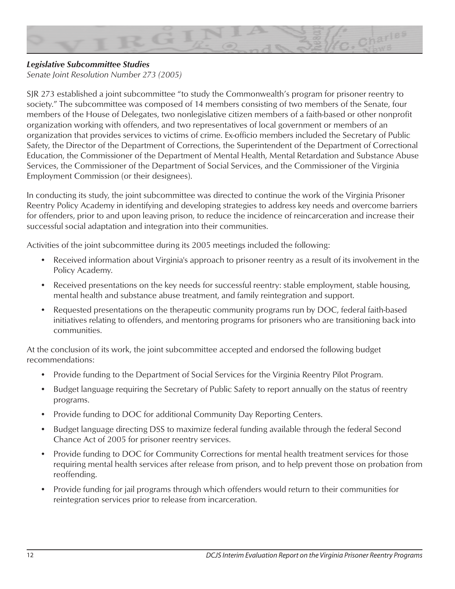

## *Legislative Subcommittee Studies*

*Senate Joint Resolution Number 273 (2005)*

SJR 273 established a joint subcommittee "to study the Commonwealth's program for prisoner reentry to society." The subcommittee was composed of 14 members consisting of two members of the Senate, four members of the House of Delegates, two nonlegislative citizen members of a faith-based or other nonprofit organization working with offenders, and two representatives of local government or members of an organization that provides services to victims of crime. Ex-officio members included the Secretary of Public Safety, the Director of the Department of Corrections, the Superintendent of the Department of Correctional Education, the Commissioner of the Department of Mental Health, Mental Retardation and Substance Abuse Services, the Commissioner of the Department of Social Services, and the Commissioner of the Virginia Employment Commission (or their designees).

In conducting its study, the joint subcommittee was directed to continue the work of the Virginia Prisoner Reentry Policy Academy in identifying and developing strategies to address key needs and overcome barriers for offenders, prior to and upon leaving prison, to reduce the incidence of reincarceration and increase their successful social adaptation and integration into their communities.

Activities of the joint subcommittee during its 2005 meetings included the following:

- Received information about Virginia's approach to prisoner reentry as a result of its involvement in the Policy Academy.
- Received presentations on the key needs for successful reentry: stable employment, stable housing, mental health and substance abuse treatment, and family reintegration and support.
- Requested presentations on the therapeutic community programs run by DOC, federal faith-based initiatives relating to offenders, and mentoring programs for prisoners who are transitioning back into communities.

At the conclusion of its work, the joint subcommittee accepted and endorsed the following budget recommendations:

- Provide funding to the Department of Social Services for the Virginia Reentry Pilot Program.
- Budget language requiring the Secretary of Public Safety to report annually on the status of reentry programs.
- Provide funding to DOC for additional Community Day Reporting Centers.
- Budget language directing DSS to maximize federal funding available through the federal Second Chance Act of 2005 for prisoner reentry services.
- Provide funding to DOC for Community Corrections for mental health treatment services for those requiring mental health services after release from prison, and to help prevent those on probation from reoffending.
- Provide funding for jail programs through which offenders would return to their communities for reintegration services prior to release from incarceration.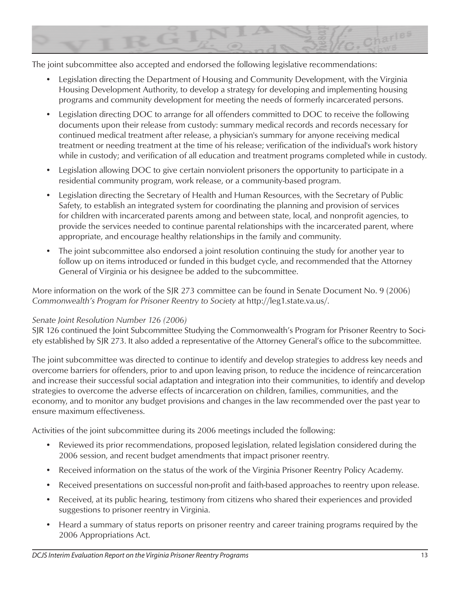

The joint subcommittee also accepted and endorsed the following legislative recommendations:

- Legislation directing the Department of Housing and Community Development, with the Virginia Housing Development Authority, to develop a strategy for developing and implementing housing programs and community development for meeting the needs of formerly incarcerated persons.
- Legislation directing DOC to arrange for all offenders committed to DOC to receive the following documents upon their release from custody: summary medical records and records necessary for continued medical treatment after release, a physician's summary for anyone receiving medical treatment or needing treatment at the time of his release; verification of the individual's work history while in custody; and verification of all education and treatment programs completed while in custody.
- Legislation allowing DOC to give certain nonviolent prisoners the opportunity to participate in a residential community program, work release, or a community-based program.
- Legislation directing the Secretary of Health and Human Resources, with the Secretary of Public Safety, to establish an integrated system for coordinating the planning and provision of services for children with incarcerated parents among and between state, local, and nonprofit agencies, to provide the services needed to continue parental relationships with the incarcerated parent, where appropriate, and encourage healthy relationships in the family and community.
- The joint subcommittee also endorsed a joint resolution continuing the study for another year to follow up on items introduced or funded in this budget cycle, and recommended that the Attorney General of Virginia or his designee be added to the subcommittee.

More information on the work of the SJR 273 committee can be found in Senate Document No. 9 (2006) *Commonwealth's Program for Prisoner Reentry to Society* at http://leg1.state.va.us/.

#### *Senate Joint Resolution Number 126 (2006)*

SJR 126 continued the Joint Subcommittee Studying the Commonwealth's Program for Prisoner Reentry to Society established by SJR 273. It also added a representative of the Attorney General's office to the subcommittee.

The joint subcommittee was directed to continue to identify and develop strategies to address key needs and overcome barriers for offenders, prior to and upon leaving prison, to reduce the incidence of reincarceration and increase their successful social adaptation and integration into their communities, to identify and develop strategies to overcome the adverse effects of incarceration on children, families, communities, and the economy, and to monitor any budget provisions and changes in the law recommended over the past year to ensure maximum effectiveness.

Activities of the joint subcommittee during its 2006 meetings included the following:

- Reviewed its prior recommendations, proposed legislation, related legislation considered during the 2006 session, and recent budget amendments that impact prisoner reentry.
- Received information on the status of the work of the Virginia Prisoner Reentry Policy Academy.
- Received presentations on successful non-profit and faith-based approaches to reentry upon release.
- Received, at its public hearing, testimony from citizens who shared their experiences and provided suggestions to prisoner reentry in Virginia.
- Heard a summary of status reports on prisoner reentry and career training programs required by the 2006 Appropriations Act.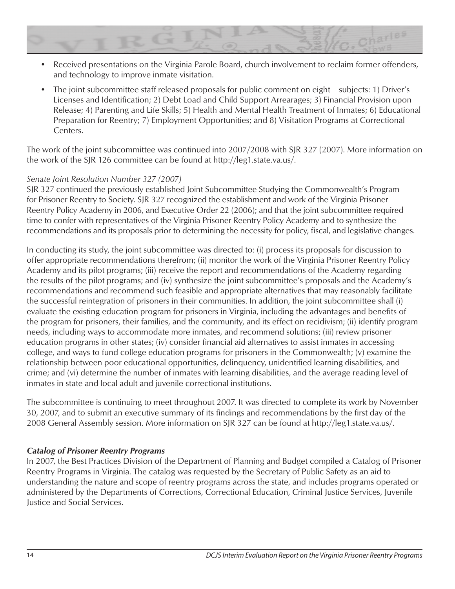

• The joint subcommittee staff released proposals for public comment on eight subjects: 1) Driver's Licenses and Identification; 2) Debt Load and Child Support Arrearages; 3) Financial Provision upon Release; 4) Parenting and Life Skills; 5) Health and Mental Health Treatment of Inmates; 6) Educational Preparation for Reentry; 7) Employment Opportunities; and 8) Visitation Programs at Correctional Centers.

The work of the joint subcommittee was continued into 2007/2008 with SJR 327 (2007). More information on the work of the SJR 126 committee can be found at http://leg1.state.va.us/.

#### *Senate Joint Resolution Number 327 (2007)*

SJR 327 continued the previously established Joint Subcommittee Studying the Commonwealth's Program for Prisoner Reentry to Society. SJR 327 recognized the establishment and work of the Virginia Prisoner Reentry Policy Academy in 2006, and Executive Order 22 (2006); and that the joint subcommittee required time to confer with representatives of the Virginia Prisoner Reentry Policy Academy and to synthesize the recommendations and its proposals prior to determining the necessity for policy, fiscal, and legislative changes.

In conducting its study, the joint subcommittee was directed to: (i) process its proposals for discussion to offer appropriate recommendations therefrom; (ii) monitor the work of the Virginia Prisoner Reentry Policy Academy and its pilot programs; (iii) receive the report and recommendations of the Academy regarding the results of the pilot programs; and (iv) synthesize the joint subcommittee's proposals and the Academy's recommendations and recommend such feasible and appropriate alternatives that may reasonably facilitate the successful reintegration of prisoners in their communities. In addition, the joint subcommittee shall (i) evaluate the existing education program for prisoners in Virginia, including the advantages and benefits of the program for prisoners, their families, and the community, and its effect on recidivism; (ii) identify program needs, including ways to accommodate more inmates, and recommend solutions; (iii) review prisoner education programs in other states; (iv) consider financial aid alternatives to assist inmates in accessing college, and ways to fund college education programs for prisoners in the Commonwealth; (v) examine the relationship between poor educational opportunities, delinquency, unidentified learning disabilities, and crime; and (vi) determine the number of inmates with learning disabilities, and the average reading level of inmates in state and local adult and juvenile correctional institutions.

The subcommittee is continuing to meet throughout 2007. It was directed to complete its work by November 30, 2007, and to submit an executive summary of its findings and recommendations by the first day of the 2008 General Assembly session. More information on SJR 327 can be found at http://leg1.state.va.us/.

#### *Catalog of Prisoner Reentry Programs*

In 2007, the Best Practices Division of the Department of Planning and Budget compiled a Catalog of Prisoner Reentry Programs in Virginia. The catalog was requested by the Secretary of Public Safety as an aid to understanding the nature and scope of reentry programs across the state, and includes programs operated or administered by the Departments of Corrections, Correctional Education, Criminal Justice Services, Juvenile Justice and Social Services.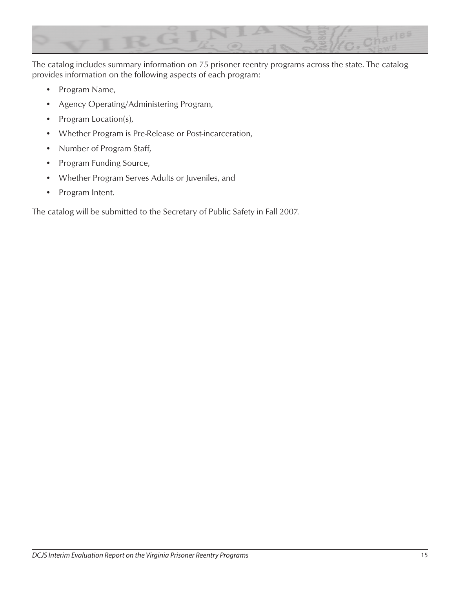

The catalog includes summary information on 75 prisoner reentry programs across the state. The catalog provides information on the following aspects of each program:

- Program Name,
- Agency Operating/Administering Program,
- Program Location(s),
- Whether Program is Pre-Release or Post-incarceration,
- Number of Program Staff,
- Program Funding Source,
- Whether Program Serves Adults or Juveniles, and
- Program Intent.

The catalog will be submitted to the Secretary of Public Safety in Fall 2007.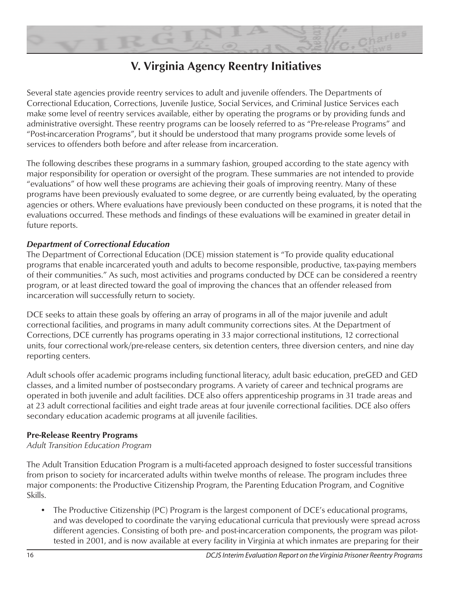

# **V. Virginia Agency Reentry Initiatives**

Several state agencies provide reentry services to adult and juvenile offenders. The Departments of Correctional Education, Corrections, Juvenile Justice, Social Services, and Criminal Justice Services each make some level of reentry services available, either by operating the programs or by providing funds and administrative oversight. These reentry programs can be loosely referred to as "Pre-release Programs" and "Post-incarceration Programs", but it should be understood that many programs provide some levels of services to offenders both before and after release from incarceration.

The following describes these programs in a summary fashion, grouped according to the state agency with major responsibility for operation or oversight of the program. These summaries are not intended to provide "evaluations" of how well these programs are achieving their goals of improving reentry. Many of these programs have been previously evaluated to some degree, or are currently being evaluated, by the operating agencies or others. Where evaluations have previously been conducted on these programs, it is noted that the evaluations occurred. These methods and findings of these evaluations will be examined in greater detail in future reports.

## *Department of Correctional Education*

The Department of Correctional Education (DCE) mission statement is "To provide quality educational programs that enable incarcerated youth and adults to become responsible, productive, tax-paying members of their communities." As such, most activities and programs conducted by DCE can be considered a reentry program, or at least directed toward the goal of improving the chances that an offender released from incarceration will successfully return to society.

DCE seeks to attain these goals by offering an array of programs in all of the major juvenile and adult correctional facilities, and programs in many adult community corrections sites. At the Department of Corrections, DCE currently has programs operating in 33 major correctional institutions, 12 correctional units, four correctional work/pre-release centers, six detention centers, three diversion centers, and nine day reporting centers.

Adult schools offer academic programs including functional literacy, adult basic education, preGED and GED classes, and a limited number of postsecondary programs. A variety of career and technical programs are operated in both juvenile and adult facilities. DCE also offers apprenticeship programs in 31 trade areas and at 23 adult correctional facilities and eight trade areas at four juvenile correctional facilities. DCE also offers secondary education academic programs at all juvenile facilities.

#### **Pre-Release Reentry Programs**

*Adult Transition Education Program*

The Adult Transition Education Program is a multi-faceted approach designed to foster successful transitions from prison to society for incarcerated adults within twelve months of release. The program includes three major components: the Productive Citizenship Program, the Parenting Education Program, and Cognitive Skills.

• The Productive Citizenship (PC) Program is the largest component of DCE's educational programs, and was developed to coordinate the varying educational curricula that previously were spread across different agencies. Consisting of both pre- and post-incarceration components, the program was pilottested in 2001, and is now available at every facility in Virginia at which inmates are preparing for their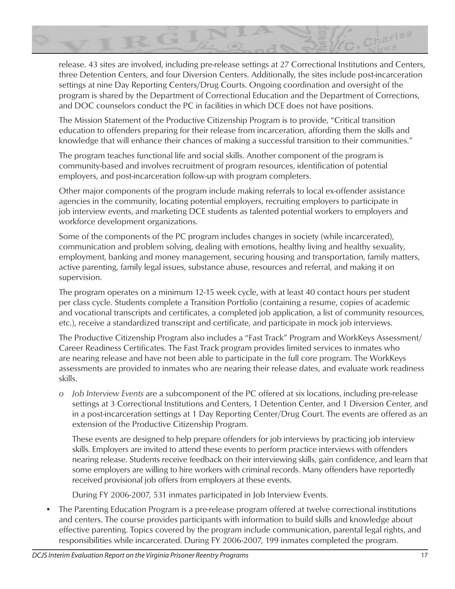

release. 43 sites are involved, including pre-release settings at 27 Correctional Institutions and Centers, three Detention Centers, and four Diversion Centers. Additionally, the sites include post-incarceration settings at nine Day Reporting Centers/Drug Courts. Ongoing coordination and oversight of the program is shared by the Department of Correctional Education and the Department of Corrections, and DOC counselors conduct the PC in facilities in which DCE does not have positions.

The Mission Statement of the Productive Citizenship Program is to provide, "Critical transition education to offenders preparing for their release from incarceration, affording them the skills and knowledge that will enhance their chances of making a successful transition to their communities."

The program teaches functional life and social skills. Another component of the program is community-based and involves recruitment of program resources, identification of potential employers, and post-incarceration follow-up with program completers.

Other major components of the program include making referrals to local ex-offender assistance agencies in the community, locating potential employers, recruiting employers to participate in job interview events, and marketing DCE students as talented potential workers to employers and workforce development organizations.

Some of the components of the PC program includes changes in society (while incarcerated), communication and problem solving, dealing with emotions, healthy living and healthy sexuality, employment, banking and money management, securing housing and transportation, family matters, active parenting, family legal issues, substance abuse, resources and referral, and making it on supervision.

The program operates on a minimum 12-15 week cycle, with at least 40 contact hours per student per class cycle. Students complete a Transition Portfolio (containing a resume, copies of academic and vocational transcripts and certificates, a completed job application, a list of community resources, etc.), receive a standardized transcript and certificate, and participate in mock job interviews.

The Productive Citizenship Program also includes a "Fast Track" Program and WorkKeys Assessment/ Career Readiness Certificates. The Fast Track program provides limited services to inmates who are nearing release and have not been able to participate in the full core program. The WorkKeys assessments are provided to inmates who are nearing their release dates, and evaluate work readiness skills.

*o Job Interview Events* are a subcomponent of the PC offered at six locations, including pre-release settings at 3 Correctional Institutions and Centers, 1 Detention Center, and 1 Diversion Center, and in a post-incarceration settings at 1 Day Reporting Center/Drug Court. The events are offered as an extension of the Productive Citizenship Program.

These events are designed to help prepare offenders for job interviews by practicing job interview skills. Employers are invited to attend these events to perform practice interviews with offenders nearing release. Students receive feedback on their interviewing skills, gain confidence, and learn that some employers are willing to hire workers with criminal records. Many offenders have reportedly received provisional job offers from employers at these events.

During FY 2006-2007, 531 inmates participated in Job Interview Events.

• The Parenting Education Program is a pre-release program offered at twelve correctional institutions and centers. The course provides participants with information to build skills and knowledge about effective parenting. Topics covered by the program include communication, parental legal rights, and responsibilities while incarcerated. During FY 2006-2007, 199 inmates completed the program.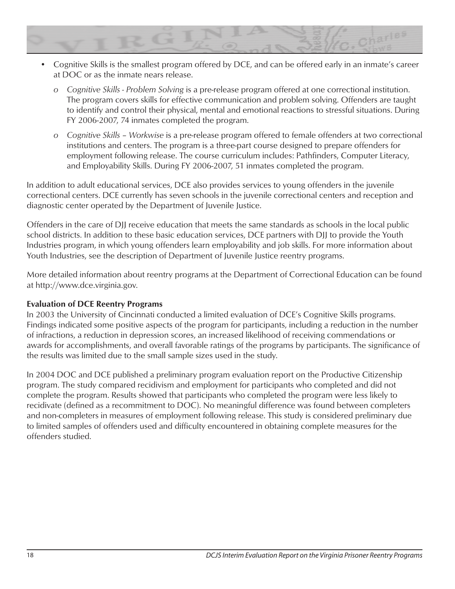

- Cognitive Skills is the smallest program offered by DCE, and can be offered early in an inmate's career at DOC or as the inmate nears release.
	- *o Cognitive Skills Problem Solving* is a pre-release program offered at one correctional institution. The program covers skills for effective communication and problem solving. Offenders are taught to identify and control their physical, mental and emotional reactions to stressful situations. During FY 2006-2007, 74 inmates completed the program.
	- *o Cognitive Skills Workwise* is a pre-release program offered to female offenders at two correctional institutions and centers. The program is a three-part course designed to prepare offenders for employment following release. The course curriculum includes: Pathfinders, Computer Literacy, and Employability Skills. During FY 2006-2007, 51 inmates completed the program.

In addition to adult educational services, DCE also provides services to young offenders in the juvenile correctional centers. DCE currently has seven schools in the juvenile correctional centers and reception and diagnostic center operated by the Department of Juvenile Justice.

Offenders in the care of DJJ receive education that meets the same standards as schools in the local public school districts. In addition to these basic education services, DCE partners with DJJ to provide the Youth Industries program, in which young offenders learn employability and job skills. For more information about Youth Industries, see the description of Department of Juvenile Justice reentry programs.

More detailed information about reentry programs at the Department of Correctional Education can be found at http://www.dce.virginia.gov.

#### **Evaluation of DCE Reentry Programs**

In 2003 the University of Cincinnati conducted a limited evaluation of DCE's Cognitive Skills programs. Findings indicated some positive aspects of the program for participants, including a reduction in the number of infractions, a reduction in depression scores, an increased likelihood of receiving commendations or awards for accomplishments, and overall favorable ratings of the programs by participants. The significance of the results was limited due to the small sample sizes used in the study.

In 2004 DOC and DCE published a preliminary program evaluation report on the Productive Citizenship program. The study compared recidivism and employment for participants who completed and did not complete the program. Results showed that participants who completed the program were less likely to recidivate (defined as a recommitment to DOC). No meaningful difference was found between completers and non-completers in measures of employment following release. This study is considered preliminary due to limited samples of offenders used and difficulty encountered in obtaining complete measures for the offenders studied.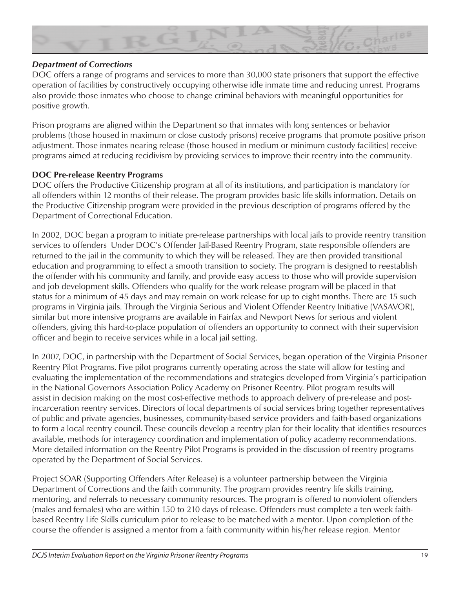

#### *Department of Corrections*

DOC offers a range of programs and services to more than 30,000 state prisoners that support the effective operation of facilities by constructively occupying otherwise idle inmate time and reducing unrest. Programs also provide those inmates who choose to change criminal behaviors with meaningful opportunities for positive growth.

Prison programs are aligned within the Department so that inmates with long sentences or behavior problems (those housed in maximum or close custody prisons) receive programs that promote positive prison adjustment. Those inmates nearing release (those housed in medium or minimum custody facilities) receive programs aimed at reducing recidivism by providing services to improve their reentry into the community.

#### **DOC Pre-release Reentry Programs**

DOC offers the Productive Citizenship program at all of its institutions, and participation is mandatory for all offenders within 12 months of their release. The program provides basic life skills information. Details on the Productive Citizenship program were provided in the previous description of programs offered by the Department of Correctional Education.

In 2002, DOC began a program to initiate pre-release partnerships with local jails to provide reentry transition services to offenders Under DOC's Offender Jail-Based Reentry Program, state responsible offenders are returned to the jail in the community to which they will be released. They are then provided transitional education and programming to effect a smooth transition to society. The program is designed to reestablish the offender with his community and family, and provide easy access to those who will provide supervision and job development skills. Offenders who qualify for the work release program will be placed in that status for a minimum of 45 days and may remain on work release for up to eight months. There are 15 such programs in Virginia jails. Through the Virginia Serious and Violent Offender Reentry Initiative (VASAVOR), similar but more intensive programs are available in Fairfax and Newport News for serious and violent offenders, giving this hard-to-place population of offenders an opportunity to connect with their supervision officer and begin to receive services while in a local jail setting.

In 2007, DOC, in partnership with the Department of Social Services, began operation of the Virginia Prisoner Reentry Pilot Programs. Five pilot programs currently operating across the state will allow for testing and evaluating the implementation of the recommendations and strategies developed from Virginia's participation in the National Governors Association Policy Academy on Prisoner Reentry. Pilot program results will assist in decision making on the most cost-effective methods to approach delivery of pre-release and postincarceration reentry services. Directors of local departments of social services bring together representatives of public and private agencies, businesses, community-based service providers and faith-based organizations to form a local reentry council. These councils develop a reentry plan for their locality that identifies resources available, methods for interagency coordination and implementation of policy academy recommendations. More detailed information on the Reentry Pilot Programs is provided in the discussion of reentry programs operated by the Department of Social Services.

Project SOAR (Supporting Offenders After Release) is a volunteer partnership between the Virginia Department of Corrections and the faith community. The program provides reentry life skills training, mentoring, and referrals to necessary community resources. The program is offered to nonviolent offenders (males and females) who are within 150 to 210 days of release. Offenders must complete a ten week faithbased Reentry Life Skills curriculum prior to release to be matched with a mentor. Upon completion of the course the offender is assigned a mentor from a faith community within his/her release region. Mentor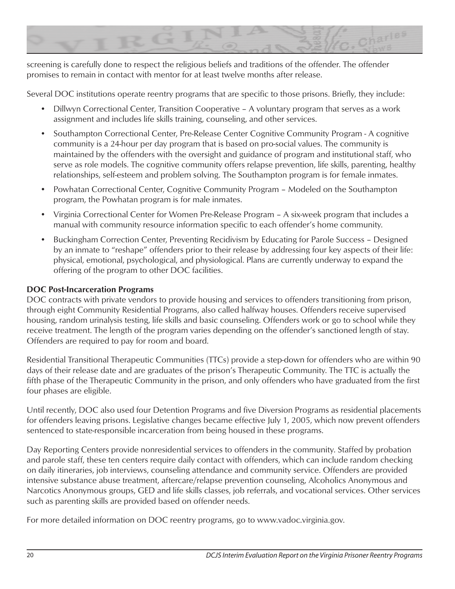

screening is carefully done to respect the religious beliefs and traditions of the offender. The offender promises to remain in contact with mentor for at least twelve months after release.

Several DOC institutions operate reentry programs that are specific to those prisons. Briefly, they include:

- Dillwyn Correctional Center, Transition Cooperative A voluntary program that serves as a work assignment and includes life skills training, counseling, and other services.
- Southampton Correctional Center, Pre-Release Center Cognitive Community Program A cognitive community is a 24-hour per day program that is based on pro-social values. The community is maintained by the offenders with the oversight and guidance of program and institutional staff, who serve as role models. The cognitive community offers relapse prevention, life skills, parenting, healthy relationships, self-esteem and problem solving. The Southampton program is for female inmates.
- Powhatan Correctional Center, Cognitive Community Program Modeled on the Southampton program, the Powhatan program is for male inmates.
- Virginia Correctional Center for Women Pre-Release Program A six-week program that includes a manual with community resource information specific to each offender's home community.
- Buckingham Correction Center, Preventing Recidivism by Educating for Parole Success Designed by an inmate to "reshape" offenders prior to their release by addressing four key aspects of their life: physical, emotional, psychological, and physiological. Plans are currently underway to expand the offering of the program to other DOC facilities.

#### **DOC Post-Incarceration Programs**

DOC contracts with private vendors to provide housing and services to offenders transitioning from prison, through eight Community Residential Programs, also called halfway houses. Offenders receive supervised housing, random urinalysis testing, life skills and basic counseling. Offenders work or go to school while they receive treatment. The length of the program varies depending on the offender's sanctioned length of stay. Offenders are required to pay for room and board.

Residential Transitional Therapeutic Communities (TTCs) provide a step-down for offenders who are within 90 days of their release date and are graduates of the prison's Therapeutic Community. The TTC is actually the fifth phase of the Therapeutic Community in the prison, and only offenders who have graduated from the first four phases are eligible.

Until recently, DOC also used four Detention Programs and five Diversion Programs as residential placements for offenders leaving prisons. Legislative changes became effective July 1, 2005, which now prevent offenders sentenced to state-responsible incarceration from being housed in these programs.

Day Reporting Centers provide nonresidential services to offenders in the community. Staffed by probation and parole staff, these ten centers require daily contact with offenders, which can include random checking on daily itineraries, job interviews, counseling attendance and community service. Offenders are provided intensive substance abuse treatment, aftercare/relapse prevention counseling, Alcoholics Anonymous and Narcotics Anonymous groups, GED and life skills classes, job referrals, and vocational services. Other services such as parenting skills are provided based on offender needs.

For more detailed information on DOC reentry programs, go to www.vadoc.virginia.gov.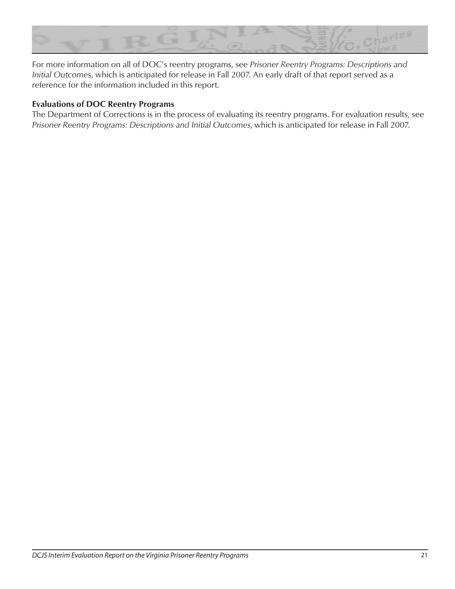

For more information on all of DOC's reentry programs, see *Prisoner Reentry Programs: Descriptions and Initial Outcome*s, which is anticipated for release in Fall 2007. An early draft of that report served as a reference for the information included in this report.

#### **Evaluations of DOC Reentry Programs**

The Department of Corrections is in the process of evaluating its reentry programs. For evaluation results, see *Prisoner Reentry Programs: Descriptions and Initial Outcomes*, which is anticipated for release in Fall 2007.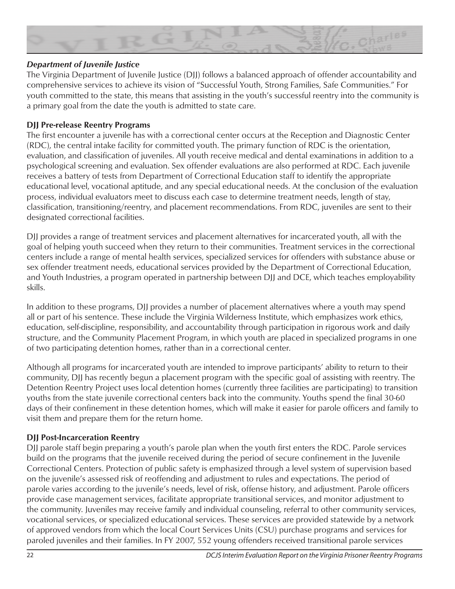

### *Department of Juvenile Justice*

The Virginia Department of Juvenile Justice (DJJ) follows a balanced approach of offender accountability and comprehensive services to achieve its vision of "Successful Youth, Strong Families, Safe Communities." For youth committed to the state, this means that assisting in the youth's successful reentry into the community is a primary goal from the date the youth is admitted to state care.

### **DJJ Pre-release Reentry Programs**

The first encounter a juvenile has with a correctional center occurs at the Reception and Diagnostic Center (RDC), the central intake facility for committed youth. The primary function of RDC is the orientation, evaluation, and classification of juveniles. All youth receive medical and dental examinations in addition to a psychological screening and evaluation. Sex offender evaluations are also performed at RDC. Each juvenile receives a battery of tests from Department of Correctional Education staff to identify the appropriate educational level, vocational aptitude, and any special educational needs. At the conclusion of the evaluation process, individual evaluators meet to discuss each case to determine treatment needs, length of stay, classification, transitioning/reentry, and placement recommendations. From RDC, juveniles are sent to their designated correctional facilities.

DJJ provides a range of treatment services and placement alternatives for incarcerated youth, all with the goal of helping youth succeed when they return to their communities. Treatment services in the correctional centers include a range of mental health services, specialized services for offenders with substance abuse or sex offender treatment needs, educational services provided by the Department of Correctional Education, and Youth Industries, a program operated in partnership between DJJ and DCE, which teaches employability skills.

In addition to these programs, DJJ provides a number of placement alternatives where a youth may spend all or part of his sentence. These include the Virginia Wilderness Institute, which emphasizes work ethics, education, self-discipline, responsibility, and accountability through participation in rigorous work and daily structure, and the Community Placement Program, in which youth are placed in specialized programs in one of two participating detention homes, rather than in a correctional center.

Although all programs for incarcerated youth are intended to improve participants' ability to return to their community, DJJ has recently begun a placement program with the specific goal of assisting with reentry. The Detention Reentry Project uses local detention homes (currently three facilities are participating) to transition youths from the state juvenile correctional centers back into the community. Youths spend the final 30-60 days of their confinement in these detention homes, which will make it easier for parole officers and family to visit them and prepare them for the return home.

## **DJJ Post-Incarceration Reentry**

DJJ parole staff begin preparing a youth's parole plan when the youth first enters the RDC. Parole services build on the programs that the juvenile received during the period of secure confinement in the Juvenile Correctional Centers. Protection of public safety is emphasized through a level system of supervision based on the juvenile's assessed risk of reoffending and adjustment to rules and expectations. The period of parole varies according to the juvenile's needs, level of risk, offense history, and adjustment. Parole officers provide case management services, facilitate appropriate transitional services, and monitor adjustment to the community. Juveniles may receive family and individual counseling, referral to other community services, vocational services, or specialized educational services. These services are provided statewide by a network of approved vendors from which the local Court Services Units (CSU) purchase programs and services for paroled juveniles and their families. In FY 2007, 552 young offenders received transitional parole services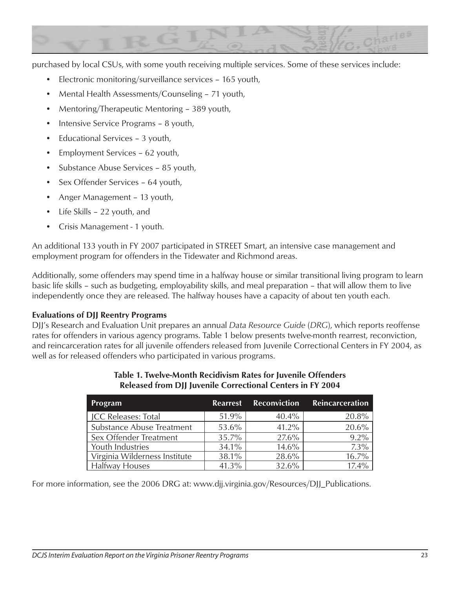

purchased by local CSUs, with some youth receiving multiple services. Some of these services include:

- Electronic monitoring/surveillance services 165 youth,
- Mental Health Assessments/Counseling 71 youth,
- Mentoring/Therapeutic Mentoring 389 youth,
- Intensive Service Programs 8 youth,
- Educational Services 3 youth,
- Employment Services 62 youth,
- Substance Abuse Services 85 youth,
- Sex Offender Services 64 youth,
- Anger Management 13 youth,
- Life Skills 22 youth, and
- Crisis Management 1 youth.

An additional 133 youth in FY 2007 participated in STREET Smart, an intensive case management and employment program for offenders in the Tidewater and Richmond areas.

Additionally, some offenders may spend time in a halfway house or similar transitional living program to learn basic life skills – such as budgeting, employability skills, and meal preparation – that will allow them to live independently once they are released. The halfway houses have a capacity of about ten youth each.

#### **Evaluations of DJJ Reentry Programs**

DJJ's Research and Evaluation Unit prepares an annual *Data Resource Guide* (*DRG*), which reports reoffense rates for offenders in various agency programs. Table 1 below presents twelve-month rearrest, reconviction, and reincarceration rates for all juvenile offenders released from Juvenile Correctional Centers in FY 2004, as well as for released offenders who participated in various programs.

| Program                       | <b>Rearrest</b> | <b>Reconviction</b> | Reincarceration |
|-------------------------------|-----------------|---------------------|-----------------|
| <b>JCC Releases: Total</b>    | 51.9%           | $40.4\%$            | 20.8%           |
| Substance Abuse Treatment     | 53.6%           | $41.2\%$            | 20.6%           |
| Sex Offender Treatment        | $35.7\%$        | 27.6%               | $9.2\%$         |
| Youth Industries              | 34.1%           | $14.6\%$            | $7.3\%$         |
| Virginia Wilderness Institute | 38.1%           | 28.6%               | 16.7%           |
| <b>Halfway Houses</b>         | 41.3%           | 32.6%               | $17.4\%$        |

#### **Table 1. Twelve-Month Recidivism Rates for Juvenile Offenders Released from DJJ Juvenile Correctional Centers in FY 2004**

For more information, see the 2006 DRG at: www.djj.virginia.gov/Resources/DJJ\_Publications.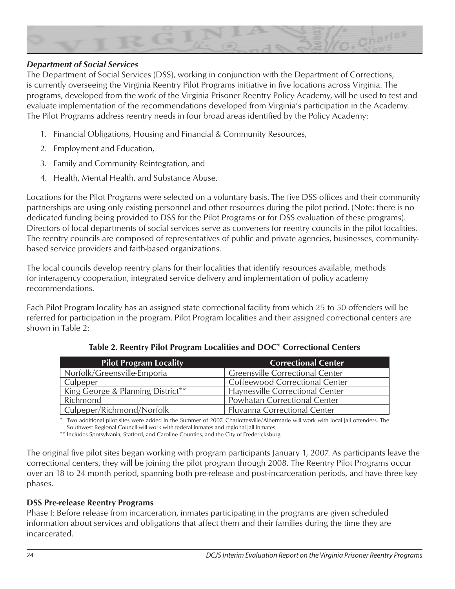

#### *Department of Social Services*

The Department of Social Services (DSS), working in conjunction with the Department of Corrections, is currently overseeing the Virginia Reentry Pilot Programs initiative in five locations across Virginia. The programs, developed from the work of the Virginia Prisoner Reentry Policy Academy, will be used to test and evaluate implementation of the recommendations developed from Virginia's participation in the Academy. The Pilot Programs address reentry needs in four broad areas identified by the Policy Academy:

- 1. Financial Obligations, Housing and Financial & Community Resources,
- 2. Employment and Education,
- 3. Family and Community Reintegration, and
- 4. Health, Mental Health, and Substance Abuse.

Locations for the Pilot Programs were selected on a voluntary basis. The five DSS offices and their community partnerships are using only existing personnel and other resources during the pilot period. (Note: there is no dedicated funding being provided to DSS for the Pilot Programs or for DSS evaluation of these programs). Directors of local departments of social services serve as conveners for reentry councils in the pilot localities. The reentry councils are composed of representatives of public and private agencies, businesses, communitybased service providers and faith-based organizations.

The local councils develop reentry plans for their localities that identify resources available, methods for interagency cooperation, integrated service delivery and implementation of policy academy recommendations.

Each Pilot Program locality has an assigned state correctional facility from which 25 to 50 offenders will be referred for participation in the program. Pilot Program localities and their assigned correctional centers are shown in Table 2:

| <b>Pilot Program Locality</b>     | <b>Correctional Center</b>             |
|-----------------------------------|----------------------------------------|
| Norfolk/Greensville-Emporia       | <b>Greensville Correctional Center</b> |
| Culpeper                          | Coffeewood Correctional Center         |
| King George & Planning District** | Haynesville Correctional Center        |
| Richmond                          | Powhatan Correctional Center           |
| Culpeper/Richmond/Norfolk         | <b>Fluvanna Correctional Center</b>    |

**Table 2. Reentry Pilot Program Localities and DOC\* Correctional Centers**

Two additional pilot sites were added in the Summer of 2007. Charlottesville/Albermarle will work with local jail offenders. The Southwest Regional Council will work with federal inmates and regional jail inmates.

\*\* Includes Spotsylvania, Stafford, and Caroline Counties, and the City of Fredericksburg

The original five pilot sites began working with program participants January 1, 2007. As participants leave the correctional centers, they will be joining the pilot program through 2008. The Reentry Pilot Programs occur over an 18 to 24 month period, spanning both pre-release and post-incarceration periods, and have three key phases.

#### **DSS Pre-release Reentry Programs**

Phase I: Before release from incarceration, inmates participating in the programs are given scheduled information about services and obligations that affect them and their families during the time they are incarcerated.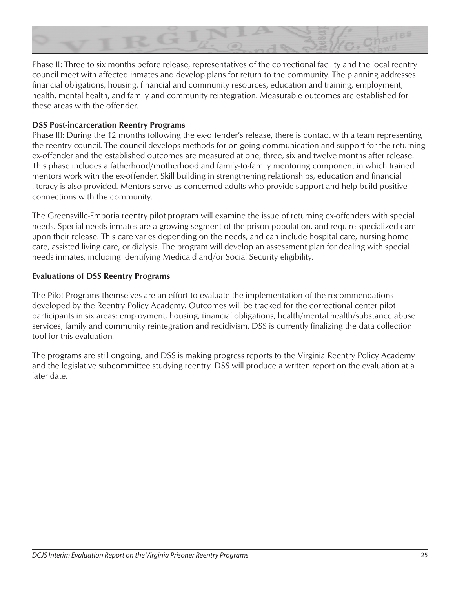

Phase II: Three to six months before release, representatives of the correctional facility and the local reentry council meet with affected inmates and develop plans for return to the community. The planning addresses financial obligations, housing, financial and community resources, education and training, employment, health, mental health, and family and community reintegration. Measurable outcomes are established for these areas with the offender.

#### **DSS Post-incarceration Reentry Programs**

Phase III: During the 12 months following the ex-offender's release, there is contact with a team representing the reentry council. The council develops methods for on-going communication and support for the returning ex-offender and the established outcomes are measured at one, three, six and twelve months after release. This phase includes a fatherhood/motherhood and family-to-family mentoring component in which trained mentors work with the ex-offender. Skill building in strengthening relationships, education and financial literacy is also provided. Mentors serve as concerned adults who provide support and help build positive connections with the community.

The Greensville-Emporia reentry pilot program will examine the issue of returning ex-offenders with special needs. Special needs inmates are a growing segment of the prison population, and require specialized care upon their release. This care varies depending on the needs, and can include hospital care, nursing home care, assisted living care, or dialysis. The program will develop an assessment plan for dealing with special needs inmates, including identifying Medicaid and/or Social Security eligibility.

#### **Evaluations of DSS Reentry Programs**

The Pilot Programs themselves are an effort to evaluate the implementation of the recommendations developed by the Reentry Policy Academy. Outcomes will be tracked for the correctional center pilot participants in six areas: employment, housing, financial obligations, health/mental health/substance abuse services, family and community reintegration and recidivism. DSS is currently finalizing the data collection tool for this evaluation*.* 

The programs are still ongoing, and DSS is making progress reports to the Virginia Reentry Policy Academy and the legislative subcommittee studying reentry. DSS will produce a written report on the evaluation at a later date.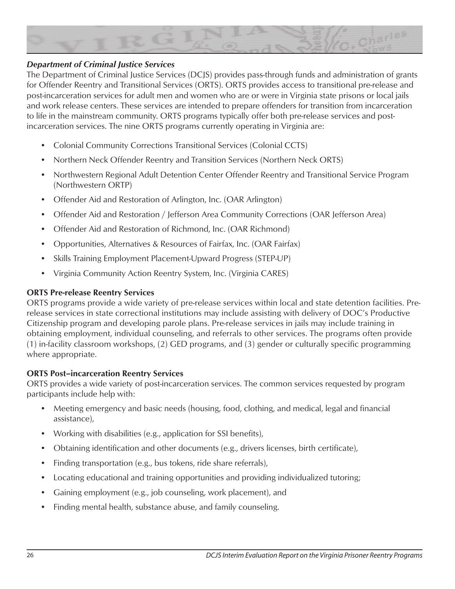

#### *Department of Criminal Justice Services*

The Department of Criminal Justice Services (DCJS) provides pass-through funds and administration of grants for Offender Reentry and Transitional Services (ORTS). ORTS provides access to transitional pre-release and post-incarceration services for adult men and women who are or were in Virginia state prisons or local jails and work release centers. These services are intended to prepare offenders for transition from incarceration to life in the mainstream community. ORTS programs typically offer both pre-release services and postincarceration services. The nine ORTS programs currently operating in Virginia are:

- Colonial Community Corrections Transitional Services (Colonial CCTS)
- Northern Neck Offender Reentry and Transition Services (Northern Neck ORTS)
- Northwestern Regional Adult Detention Center Offender Reentry and Transitional Service Program (Northwestern ORTP)
- Offender Aid and Restoration of Arlington, Inc. (OAR Arlington)
- Offender Aid and Restoration / Jefferson Area Community Corrections (OAR Jefferson Area)
- Offender Aid and Restoration of Richmond, Inc. (OAR Richmond)
- Opportunities, Alternatives & Resources of Fairfax, Inc. (OAR Fairfax)
- Skills Training Employment Placement-Upward Progress (STEP-UP)
- Virginia Community Action Reentry System, Inc. (Virginia CARES)

#### **ORTS Pre-release Reentry Services**

ORTS programs provide a wide variety of pre-release services within local and state detention facilities. Prerelease services in state correctional institutions may include assisting with delivery of DOC's Productive Citizenship program and developing parole plans. Pre-release services in jails may include training in obtaining employment, individual counseling, and referrals to other services. The programs often provide (1) in-facility classroom workshops, (2) GED programs, and (3) gender or culturally specific programming where appropriate.

#### **ORTS Post–incarceration Reentry Services**

ORTS provides a wide variety of post-incarceration services. The common services requested by program participants include help with:

- Meeting emergency and basic needs (housing, food, clothing, and medical, legal and financial assistance),
- Working with disabilities (e.g., application for SSI benefits),
- Obtaining identification and other documents (e.g., drivers licenses, birth certificate),
- Finding transportation (e.g., bus tokens, ride share referrals),
- Locating educational and training opportunities and providing individualized tutoring;
- Gaining employment (e.g., job counseling, work placement), and
- Finding mental health, substance abuse, and family counseling.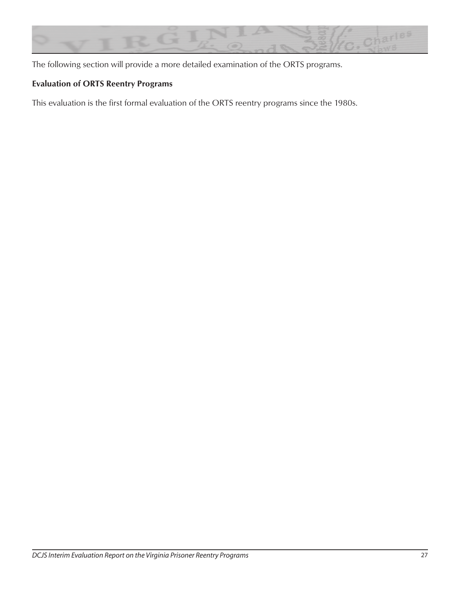

The following section will provide a more detailed examination of the ORTS programs.

# **Evaluation of ORTS Reentry Programs**

This evaluation is the first formal evaluation of the ORTS reentry programs since the 1980s.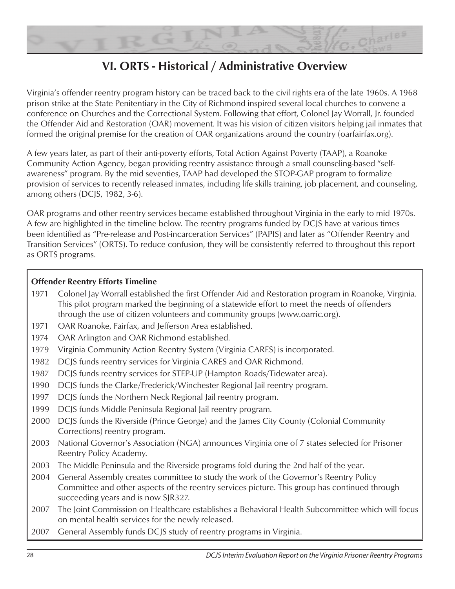

# **VI. ORTS - Historical / Administrative Overview**

Virginia's offender reentry program history can be traced back to the civil rights era of the late 1960s. A 1968 prison strike at the State Penitentiary in the City of Richmond inspired several local churches to convene a conference on Churches and the Correctional System. Following that effort, Colonel Jay Worrall, Jr. founded the Offender Aid and Restoration (OAR) movement. It was his vision of citizen visitors helping jail inmates that formed the original premise for the creation of OAR organizations around the country (oarfairfax.org).

A few years later, as part of their anti-poverty efforts, Total Action Against Poverty (TAAP), a Roanoke Community Action Agency, began providing reentry assistance through a small counseling-based "selfawareness" program. By the mid seventies, TAAP had developed the STOP-GAP program to formalize provision of services to recently released inmates, including life skills training, job placement, and counseling, among others (DCJS, 1982, 3-6).

OAR programs and other reentry services became established throughout Virginia in the early to mid 1970s. A few are highlighted in the timeline below. The reentry programs funded by DCJS have at various times been identified as "Pre-release and Post-incarceration Services" (PAPIS) and later as "Offender Reentry and Transition Services" (ORTS). To reduce confusion, they will be consistently referred to throughout this report as ORTS programs.

## **Offender Reentry Efforts Timeline**

- 1971 Colonel Jay Worrall established the first Offender Aid and Restoration program in Roanoke, Virginia. This pilot program marked the beginning of a statewide effort to meet the needs of offenders through the use of citizen volunteers and community groups (www.oarric.org).
- 1971 OAR Roanoke, Fairfax, and Jefferson Area established.
- 1974 OAR Arlington and OAR Richmond established.
- 1979 Virginia Community Action Reentry System (Virginia CARES) is incorporated.
- 1982 DCJS funds reentry services for Virginia CARES and OAR Richmond.
- 1987 DCJS funds reentry services for STEP-UP (Hampton Roads/Tidewater area).
- 1990 DCJS funds the Clarke/Frederick/Winchester Regional Jail reentry program.
- 1997 DCJS funds the Northern Neck Regional Jail reentry program.
- 1999 DCJS funds Middle Peninsula Regional Jail reentry program.
- 2000 DCJS funds the Riverside (Prince George) and the James City County (Colonial Community Corrections) reentry program.
- 2003 National Governor's Association (NGA) announces Virginia one of 7 states selected for Prisoner Reentry Policy Academy.
- 2003 The Middle Peninsula and the Riverside programs fold during the 2nd half of the year.
- 2004 General Assembly creates committee to study the work of the Governor's Reentry Policy Committee and other aspects of the reentry services picture. This group has continued through succeeding years and is now SJR327.
- 2007 The Joint Commission on Healthcare establishes a Behavioral Health Subcommittee which will focus on mental health services for the newly released.
- 2007 General Assembly funds DCJS study of reentry programs in Virginia.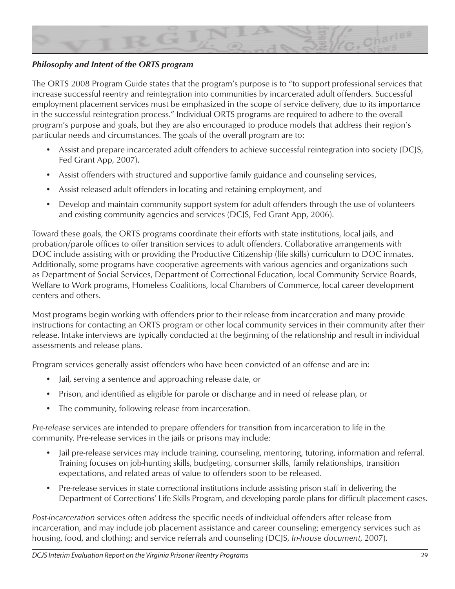

## *Philosophy and Intent of the ORTS program*

The ORTS 2008 Program Guide states that the program's purpose is to "to support professional services that increase successful reentry and reintegration into communities by incarcerated adult offenders. Successful employment placement services must be emphasized in the scope of service delivery, due to its importance in the successful reintegration process." Individual ORTS programs are required to adhere to the overall program's purpose and goals, but they are also encouraged to produce models that address their region's particular needs and circumstances. The goals of the overall program are to:

- Assist and prepare incarcerated adult offenders to achieve successful reintegration into society (DCJS, Fed Grant App, 2007),
- Assist offenders with structured and supportive family guidance and counseling services,
- Assist released adult offenders in locating and retaining employment, and
- Develop and maintain community support system for adult offenders through the use of volunteers and existing community agencies and services (DCJS, Fed Grant App, 2006).

Toward these goals, the ORTS programs coordinate their efforts with state institutions, local jails, and probation/parole offices to offer transition services to adult offenders. Collaborative arrangements with DOC include assisting with or providing the Productive Citizenship (life skills) curriculum to DOC inmates. Additionally, some programs have cooperative agreements with various agencies and organizations such as Department of Social Services, Department of Correctional Education, local Community Service Boards, Welfare to Work programs, Homeless Coalitions, local Chambers of Commerce, local career development centers and others.

Most programs begin working with offenders prior to their release from incarceration and many provide instructions for contacting an ORTS program or other local community services in their community after their release. Intake interviews are typically conducted at the beginning of the relationship and result in individual assessments and release plans.

Program services generally assist offenders who have been convicted of an offense and are in:

- Jail, serving a sentence and approaching release date, or
- Prison, and identified as eligible for parole or discharge and in need of release plan, or
- The community, following release from incarceration.

*Pre-release* services are intended to prepare offenders for transition from incarceration to life in the community. Pre-release services in the jails or prisons may include:

- Jail pre-release services may include training, counseling, mentoring, tutoring, information and referral. Training focuses on job-hunting skills, budgeting, consumer skills, family relationships, transition expectations, and related areas of value to offenders soon to be released.
- Pre-release services in state correctional institutions include assisting prison staff in delivering the Department of Corrections' Life Skills Program, and developing parole plans for difficult placement cases.

*Post-incarceration* services often address the specific needs of individual offenders after release from incarceration, and may include job placement assistance and career counseling; emergency services such as housing, food, and clothing; and service referrals and counseling (DCJS, *In-house document*, 2007).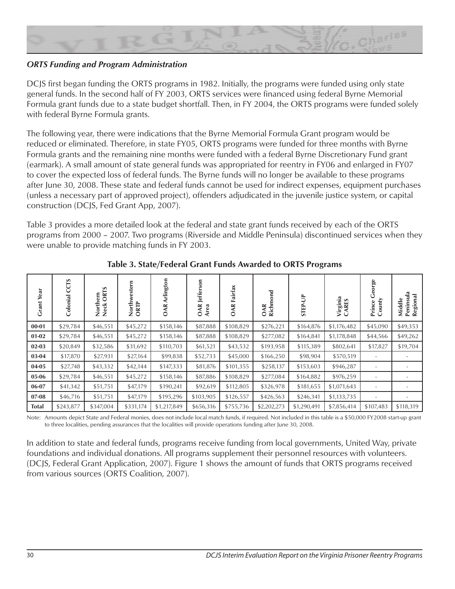

#### *ORTS Funding and Program Administration*

DCJS first began funding the ORTS programs in 1982. Initially, the programs were funded using only state general funds. In the second half of FY 2003, ORTS services were financed using federal Byrne Memorial Formula grant funds due to a state budget shortfall. Then, in FY 2004, the ORTS programs were funded solely with federal Byrne Formula grants.

The following year, there were indications that the Byrne Memorial Formula Grant program would be reduced or eliminated. Therefore, in state FY05, ORTS programs were funded for three months with Byrne Formula grants and the remaining nine months were funded with a federal Byrne Discretionary Fund grant (earmark). A small amount of state general funds was appropriated for reentry in FY06 and enlarged in FY07 to cover the expected loss of federal funds. The Byrne funds will no longer be available to these programs after June 30, 2008. These state and federal funds cannot be used for indirect expenses, equipment purchases (unless a necessary part of approved project), offenders adjudicated in the juvenile justice system, or capital construction (DCJS, Fed Grant App, 2007).

Table 3 provides a more detailed look at the federal and state grant funds received by each of the ORTS programs from 2000 – 2007. Two programs (Riverside and Middle Peninsula) discontinued services when they were unable to provide matching funds in FY 2003.

| Year<br><b>Grant</b> | rs<br>ပ<br>Colonial | <b>ORTS</b><br>Northern<br>Neck ORT | estern<br>North<br>ORTP | Arlington<br>OAR | lefferson<br>OAR<br>Area | Fairfax<br>OAR | <b>Tarco</b><br>Richm<br>OAR | <b>STEP-UP</b> | Virginia<br>CARES | rge<br>County<br>Prince | Middle<br>Peninsula<br>$\overline{a}$<br>Regior |
|----------------------|---------------------|-------------------------------------|-------------------------|------------------|--------------------------|----------------|------------------------------|----------------|-------------------|-------------------------|-------------------------------------------------|
| $00 - 01$            | \$29,784            | \$46,551                            | \$45,272                | \$158,146        | \$87,888                 | \$108,829      | \$276,221                    | \$164,876      | \$1,176,482       | \$45,090                | \$49,353                                        |
| $01-02$              | \$29,784            | \$46,551                            | \$45,272                | \$158,146        | \$87,888                 | \$108,829      | \$277,082                    | \$164,841      | \$1,178,848       | \$44,566                | \$49,262                                        |
| $02 - 03$            | \$20,849            | \$32,586                            | \$31,692                | \$110,703        | \$61,521                 | \$43,532       | \$193,958                    | \$115,389      | \$802,641         | \$17,827                | \$19,704                                        |
| 03-04                | \$17,870            | \$27,931                            | \$27,164                | \$99,838         | \$52,733                 | \$45,000       | \$166,250                    | \$98,904       | \$570,519         |                         |                                                 |
| 04-05                | \$27,748            | \$43,332                            | \$42,144                | \$147,333        | \$81,876                 | \$101,355      | \$258,137                    | \$153,603      | \$946,287         | ٠                       |                                                 |
| 05-06                | \$29,784            | \$46,551                            | \$45,272                | \$158,146        | \$87,886                 | \$108,829      | \$277,084                    | \$164,882      | \$976,259         |                         |                                                 |
| 06-07                | \$41,342            | \$51,751                            | \$47,179                | \$190,241        | \$92,619                 | \$112,805      | \$326,978                    | \$181,655      | \$1,071,643       |                         |                                                 |
| $07 - 08$            | \$46,716            | \$51,751                            | \$47,179                | \$195,296        | \$103,905                | \$126,557      | \$426,563                    | \$246,341      | \$1,133,735       | ۰                       |                                                 |
| <b>Total</b>         | \$243,877           | \$347,004                           | \$331,174               | \$1,217,849      | \$656,316                | \$755,736      | \$2,202,273                  | \$1,290,491    | \$7,856,414       | \$107,483               | \$118,319                                       |

**Table 3. State/Federal Grant Funds Awarded to ORTS Programs**

Note: Amounts depict State and Federal monies, does not include local match funds, if required. Not included in this table is a \$50,000 FY2008 start-up grant to three localities, pending assurances that the localities will provide operations funding after June 30, 2008.

In addition to state and federal funds, programs receive funding from local governments, United Way, private foundations and individual donations. All programs supplement their personnel resources with volunteers. (DCJS, Federal Grant Application, 2007). Figure 1 shows the amount of funds that ORTS programs received from various sources (ORTS Coalition, 2007).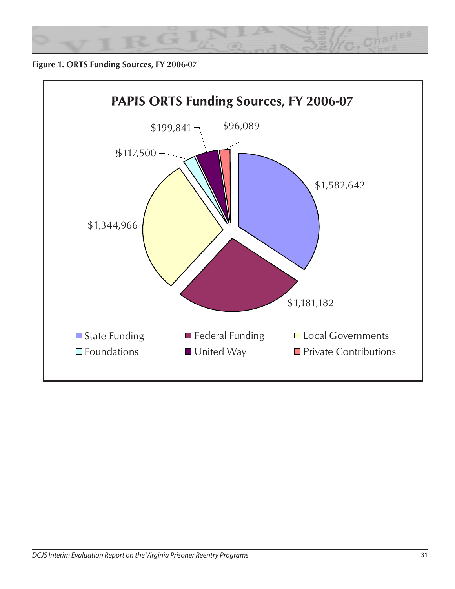

**Figure 1. ORTS Funding Sources, FY 2006-07**

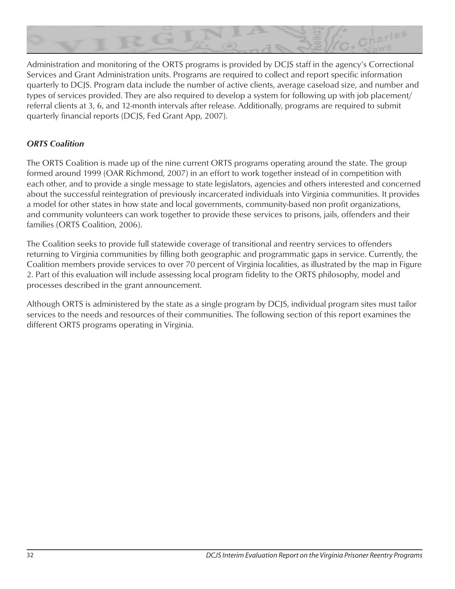

Administration and monitoring of the ORTS programs is provided by DCJS staff in the agency's Correctional Services and Grant Administration units. Programs are required to collect and report specific information quarterly to DCJS. Program data include the number of active clients, average caseload size, and number and types of services provided. They are also required to develop a system for following up with job placement/ referral clients at 3, 6, and 12-month intervals after release. Additionally, programs are required to submit quarterly financial reports (DCJS, Fed Grant App, 2007).

## *ORTS Coalition*

The ORTS Coalition is made up of the nine current ORTS programs operating around the state. The group formed around 1999 (OAR Richmond, 2007) in an effort to work together instead of in competition with each other, and to provide a single message to state legislators, agencies and others interested and concerned about the successful reintegration of previously incarcerated individuals into Virginia communities. It provides a model for other states in how state and local governments, community-based non profit organizations, and community volunteers can work together to provide these services to prisons, jails, offenders and their families (ORTS Coalition, 2006).

The Coalition seeks to provide full statewide coverage of transitional and reentry services to offenders returning to Virginia communities by filling both geographic and programmatic gaps in service. Currently, the Coalition members provide services to over 70 percent of Virginia localities, as illustrated by the map in Figure 2. Part of this evaluation will include assessing local program fidelity to the ORTS philosophy, model and processes described in the grant announcement.

Although ORTS is administered by the state as a single program by DCJS, individual program sites must tailor services to the needs and resources of their communities. The following section of this report examines the different ORTS programs operating in Virginia.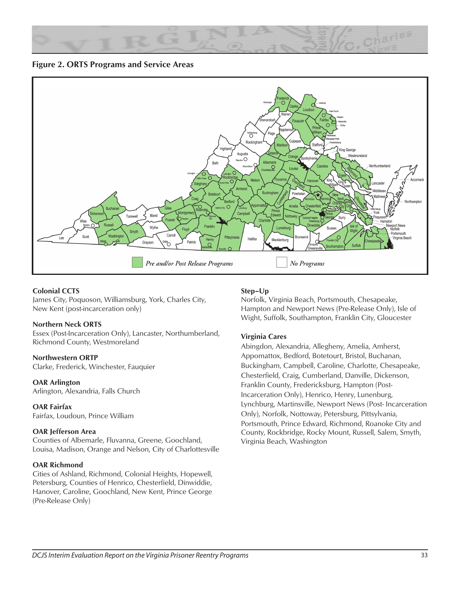

**Figure 2. ORTS Programs and Service Areas**



#### **Colonial CCTS**

James City, Poquoson, Williamsburg, York, Charles City, New Kent (post-incarceration only)

#### **Northern Neck ORTS**

Essex (Post-Incarceration Only), Lancaster, Northumberland, Richmond County, Westmoreland

#### **Northwestern ORTP**

Clarke, Frederick, Winchester, Fauquier

**OAR Arlington** Arlington, Alexandria, Falls Church

**OAR Fairfax** Fairfax, Loudoun, Prince William

#### **OAR Jefferson Area**

Counties of Albemarle, Fluvanna, Greene, Goochland, Louisa, Madison, Orange and Nelson, City of Charlottesville

#### **OAR Richmond**

Cities of Ashland, Richmond, Colonial Heights, Hopewell, Petersburg, Counties of Henrico, Chesterfield, Dinwiddie, Hanover, Caroline, Goochland, New Kent, Prince George (Pre-Release Only)

#### **Step–Up**

Norfolk, Virginia Beach, Portsmouth, Chesapeake, Hampton and Newport News (Pre-Release Only), Isle of Wight, Suffolk, Southampton, Franklin City, Gloucester

#### **Virginia Cares**

Abingdon, Alexandria, Allegheny, Amelia, Amherst, Appomattox, Bedford, Botetourt, Bristol, Buchanan, Buckingham, Campbell, Caroline, Charlotte, Chesapeake, Chesterfield, Craig, Cumberland, Danville, Dickenson, Franklin County, Fredericksburg, Hampton (Post-Incarceration Only), Henrico, Henry, Lunenburg, Lynchburg, Martinsville, Newport News (Post- Incarceration Only), Norfolk, Nottoway, Petersburg, Pittsylvania, Portsmouth, Prince Edward, Richmond, Roanoke City and County, Rockbridge, Rocky Mount, Russell, Salem, Smyth, Virginia Beach, Washington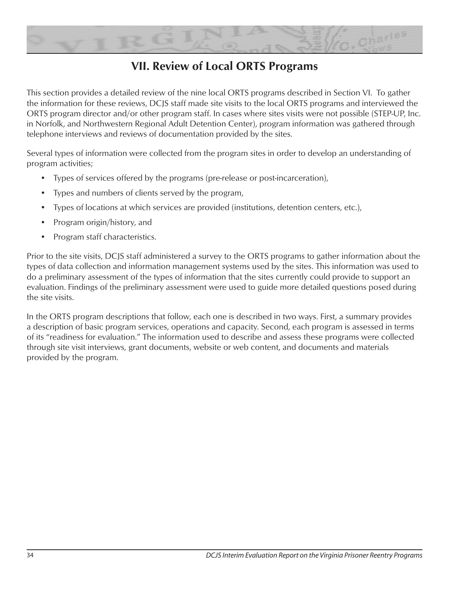

# **VII. Review of Local ORTS Programs**

This section provides a detailed review of the nine local ORTS programs described in Section VI. To gather the information for these reviews, DCJS staff made site visits to the local ORTS programs and interviewed the ORTS program director and/or other program staff. In cases where sites visits were not possible (STEP-UP, Inc. in Norfolk, and Northwestern Regional Adult Detention Center), program information was gathered through telephone interviews and reviews of documentation provided by the sites.

Several types of information were collected from the program sites in order to develop an understanding of program activities;

- Types of services offered by the programs (pre-release or post-incarceration),
- Types and numbers of clients served by the program,
- Types of locations at which services are provided (institutions, detention centers, etc.),
- Program origin/history, and
- Program staff characteristics.

Prior to the site visits, DCJS staff administered a survey to the ORTS programs to gather information about the types of data collection and information management systems used by the sites. This information was used to do a preliminary assessment of the types of information that the sites currently could provide to support an evaluation. Findings of the preliminary assessment were used to guide more detailed questions posed during the site visits.

In the ORTS program descriptions that follow, each one is described in two ways. First, a summary provides a description of basic program services, operations and capacity. Second, each program is assessed in terms of its "readiness for evaluation." The information used to describe and assess these programs were collected through site visit interviews, grant documents, website or web content, and documents and materials provided by the program.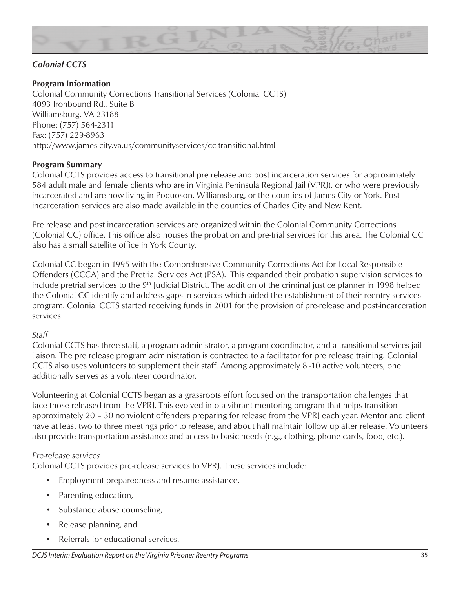

# *Colonial CCTS*

# **Program Information**

Colonial Community Corrections Transitional Services (Colonial CCTS) 4093 Ironbound Rd., Suite B Williamsburg, VA 23188 Phone: (757) 564-2311 Fax: (757) 229-8963 http://www.james-city.va.us/communityservices/cc-transitional.html

#### **Program Summary**

Colonial CCTS provides access to transitional pre release and post incarceration services for approximately 584 adult male and female clients who are in Virginia Peninsula Regional Jail (VPRJ), or who were previously incarcerated and are now living in Poquoson, Williamsburg, or the counties of James City or York. Post incarceration services are also made available in the counties of Charles City and New Kent.

Pre release and post incarceration services are organized within the Colonial Community Corrections (Colonial CC) office. This office also houses the probation and pre-trial services for this area. The Colonial CC also has a small satellite office in York County.

Colonial CC began in 1995 with the Comprehensive Community Corrections Act for Local-Responsible Offenders (CCCA) and the Pretrial Services Act (PSA). This expanded their probation supervision services to include pretrial services to the 9<sup>th</sup> Judicial District. The addition of the criminal justice planner in 1998 helped the Colonial CC identify and address gaps in services which aided the establishment of their reentry services program. Colonial CCTS started receiving funds in 2001 for the provision of pre-release and post-incarceration services.

#### *Staff*

Colonial CCTS has three staff, a program administrator, a program coordinator, and a transitional services jail liaison. The pre release program administration is contracted to a facilitator for pre release training. Colonial CCTS also uses volunteers to supplement their staff. Among approximately 8 -10 active volunteers, one additionally serves as a volunteer coordinator.

Volunteering at Colonial CCTS began as a grassroots effort focused on the transportation challenges that face those released from the VPRJ. This evolved into a vibrant mentoring program that helps transition approximately 20 – 30 nonviolent offenders preparing for release from the VPRJ each year. Mentor and client have at least two to three meetings prior to release, and about half maintain follow up after release. Volunteers also provide transportation assistance and access to basic needs (e.g., clothing, phone cards, food, etc.).

#### *Pre-release services*

Colonial CCTS provides pre-release services to VPRJ. These services include:

- Employment preparedness and resume assistance,
- Parenting education,
- Substance abuse counseling,
- Release planning, and
- Referrals for educational services.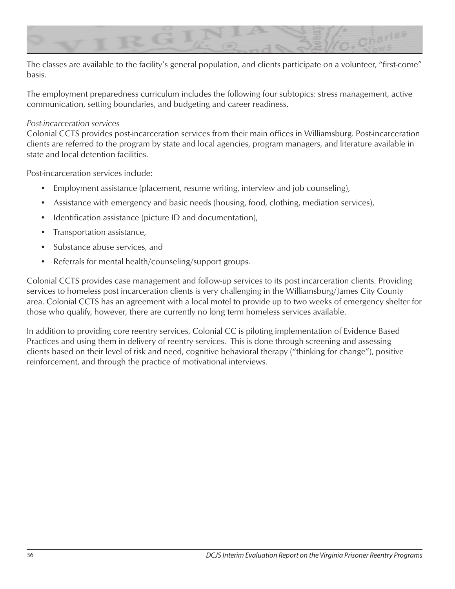

The classes are available to the facility's general population, and clients participate on a volunteer, "first-come" basis.

The employment preparedness curriculum includes the following four subtopics: stress management, active communication, setting boundaries, and budgeting and career readiness.

#### *Post-incarceration services*

Colonial CCTS provides post-incarceration services from their main offices in Williamsburg. Post-incarceration clients are referred to the program by state and local agencies, program managers, and literature available in state and local detention facilities.

Post-incarceration services include:

- Employment assistance (placement, resume writing, interview and job counseling),
- Assistance with emergency and basic needs (housing, food, clothing, mediation services),
- Identification assistance (picture ID and documentation),
- Transportation assistance,
- Substance abuse services, and
- Referrals for mental health/counseling/support groups.

Colonial CCTS provides case management and follow-up services to its post incarceration clients. Providing services to homeless post incarceration clients is very challenging in the Williamsburg/James City County area. Colonial CCTS has an agreement with a local motel to provide up to two weeks of emergency shelter for those who qualify, however, there are currently no long term homeless services available.

In addition to providing core reentry services, Colonial CC is piloting implementation of Evidence Based Practices and using them in delivery of reentry services. This is done through screening and assessing clients based on their level of risk and need, cognitive behavioral therapy ("thinking for change"), positive reinforcement, and through the practice of motivational interviews.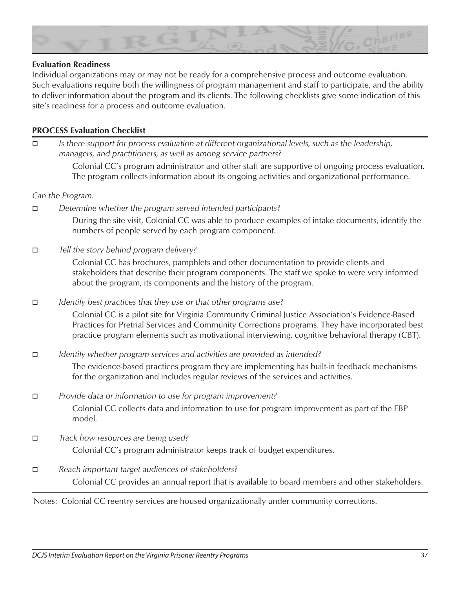

#### **Evaluation Readiness**

Individual organizations may or may not be ready for a comprehensive process and outcome evaluation. Such evaluations require both the willingness of program management and staff to participate, and the ability to deliver information about the program and its clients. The following checklists give some indication of this site's readiness for a process and outcome evaluation.

### **PROCESS Evaluation Checklist**

o *Is there support for process evaluation at different organizational levels, such as the leadership, managers, and practitioners, as well as among service partners?*

> Colonial CC's program administrator and other staff are supportive of ongoing process evaluation. The program collects information about its ongoing activities and organizational performance.

#### *Can the Program:*

- o *Determine whether the program served intended participants?* During the site visit, Colonial CC was able to produce examples of intake documents, identify the numbers of people served by each program component.
- o *Tell the story behind program delivery?*

Colonial CC has brochures, pamphlets and other documentation to provide clients and stakeholders that describe their program components. The staff we spoke to were very informed about the program, its components and the history of the program.

o *Identify best practices that they use or that other programs use?*

Colonial CC is a pilot site for Virginia Community Criminal Justice Association's Evidence-Based Practices for Pretrial Services and Community Corrections programs. They have incorporated best practice program elements such as motivational interviewing, cognitive behavioral therapy (CBT).

o *Identify whether program services and activities are provided as intended?* The evidence-based practices program they are implementing has built-in feedback mechanisms for the organization and includes regular reviews of the services and activities.

**D** *Provide data or information to use for program improvement?* Colonial CC collects data and information to use for program improvement as part of the EBP model.

- $\Box$  *Track how resources are being used?* Colonial CC's program administrator keeps track of budget expenditures.
- o *Reach important target audiences of stakeholders?* Colonial CC provides an annual report that is available to board members and other stakeholders.

Notes: Colonial CC reentry services are housed organizationally under community corrections.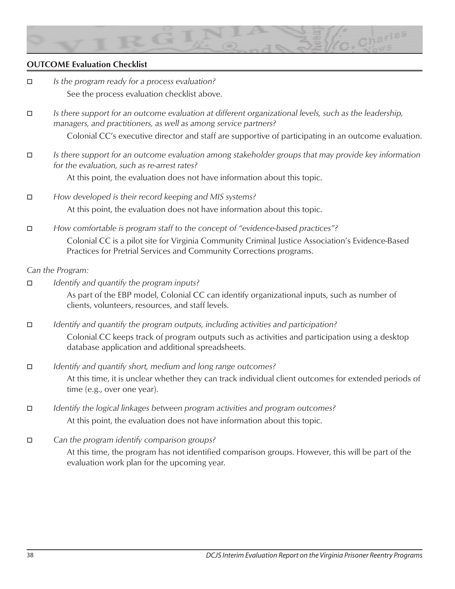

# **OUTCOME Evaluation Checklist**

- o *Is the program ready for a process evaluation?*  See the process evaluation checklist above.
- o *Is there support for an outcome evaluation at different organizational levels, such as the leadership, managers, and practitioners, as well as among service partners?*

Colonial CC's executive director and staff are supportive of participating in an outcome evaluation.

o *Is there support for an outcome evaluation among stakeholder groups that may provide key information for the evaluation, such as re-arrest rates?*

At this point, the evaluation does not have information about this topic.

- □ *How developed is their record keeping and MIS systems?* At this point, the evaluation does not have information about this topic.
- *E How comfortable is program staff to the concept of "evidence-based practices"?* Colonial CC is a pilot site for Virginia Community Criminal Justice Association's Evidence-Based Practices for Pretrial Services and Community Corrections programs.

#### *Can the Program:*

□ *Identify and quantify the program inputs?* As part of the EBP model, Colonial CC can identify organizational inputs, such as number of clients, volunteers, resources, and staff levels.

o *Identify and quantify the program outputs, including activities and participation?* Colonial CC keeps track of program outputs such as activities and participation using a desktop database application and additional spreadsheets.

- □ *Identify and quantify short, medium and long range outcomes?* At this time, it is unclear whether they can track individual client outcomes for extended periods of time (e.g., over one year).
- **D** *Identify the logical linkages between program activities and program outcomes?* At this point, the evaluation does not have information about this topic.
- $\Box$  Can the program identify comparison groups? At this time, the program has not identified comparison groups. However, this will be part of the evaluation work plan for the upcoming year.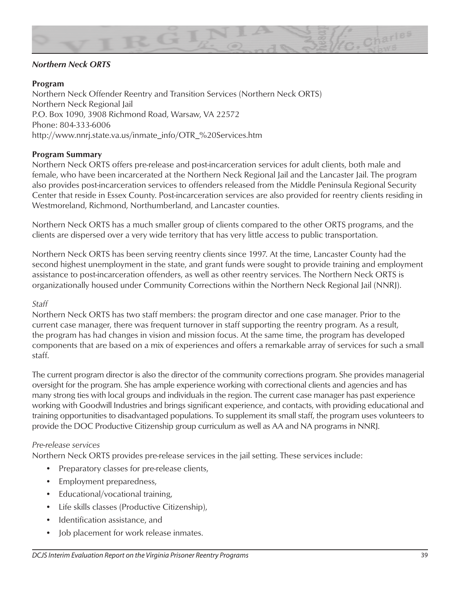

# *Northern Neck ORTS*

# **Program**

Northern Neck Offender Reentry and Transition Services (Northern Neck ORTS) Northern Neck Regional Jail P.O. Box 1090, 3908 Richmond Road, Warsaw, VA 22572 Phone: 804-333-6006 http://www.nnrj.state.va.us/inmate\_info/OTR\_%20Services.htm

#### **Program Summary**

Northern Neck ORTS offers pre-release and post-incarceration services for adult clients, both male and female, who have been incarcerated at the Northern Neck Regional Jail and the Lancaster Jail. The program also provides post-incarceration services to offenders released from the Middle Peninsula Regional Security Center that reside in Essex County. Post-incarceration services are also provided for reentry clients residing in Westmoreland, Richmond, Northumberland, and Lancaster counties.

Northern Neck ORTS has a much smaller group of clients compared to the other ORTS programs, and the clients are dispersed over a very wide territory that has very little access to public transportation.

Northern Neck ORTS has been serving reentry clients since 1997. At the time, Lancaster County had the second highest unemployment in the state, and grant funds were sought to provide training and employment assistance to post-incarceration offenders, as well as other reentry services. The Northern Neck ORTS is organizationally housed under Community Corrections within the Northern Neck Regional Jail (NNRJ).

#### *Staff*

Northern Neck ORTS has two staff members: the program director and one case manager. Prior to the current case manager, there was frequent turnover in staff supporting the reentry program. As a result, the program has had changes in vision and mission focus. At the same time, the program has developed components that are based on a mix of experiences and offers a remarkable array of services for such a small staff.

The current program director is also the director of the community corrections program. She provides managerial oversight for the program. She has ample experience working with correctional clients and agencies and has many strong ties with local groups and individuals in the region. The current case manager has past experience working with Goodwill Industries and brings significant experience, and contacts, with providing educational and training opportunities to disadvantaged populations. To supplement its small staff, the program uses volunteers to provide the DOC Productive Citizenship group curriculum as well as AA and NA programs in NNRJ.

#### *Pre-release services*

Northern Neck ORTS provides pre-release services in the jail setting. These services include:

- Preparatory classes for pre-release clients,
- Employment preparedness,
- Educational/vocational training,
- Life skills classes (Productive Citizenship),
- Identification assistance, and
- Job placement for work release inmates.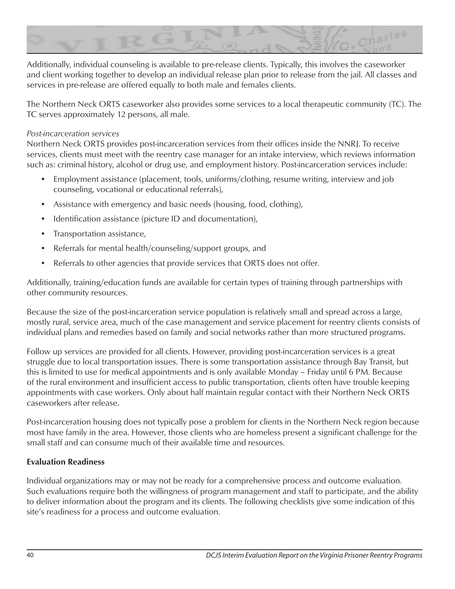

Additionally, individual counseling is available to pre-release clients. Typically, this involves the caseworker and client working together to develop an individual release plan prior to release from the jail. All classes and services in pre-release are offered equally to both male and females clients.

The Northern Neck ORTS caseworker also provides some services to a local therapeutic community (TC). The TC serves approximately 12 persons, all male.

### *Post-incarceration services*

Northern Neck ORTS provides post-incarceration services from their offices inside the NNRJ. To receive services, clients must meet with the reentry case manager for an intake interview, which reviews information such as: criminal history, alcohol or drug use, and employment history. Post-incarceration services include:

- Employment assistance (placement, tools, uniforms/clothing, resume writing, interview and job counseling, vocational or educational referrals),
- Assistance with emergency and basic needs (housing, food, clothing),
- Identification assistance (picture ID and documentation),
- Transportation assistance,
- Referrals for mental health/counseling/support groups, and
- Referrals to other agencies that provide services that ORTS does not offer.

Additionally, training/education funds are available for certain types of training through partnerships with other community resources.

Because the size of the post-incarceration service population is relatively small and spread across a large, mostly rural, service area, much of the case management and service placement for reentry clients consists of individual plans and remedies based on family and social networks rather than more structured programs.

Follow up services are provided for all clients. However, providing post-incarceration services is a great struggle due to local transportation issues. There is some transportation assistance through Bay Transit, but this is limited to use for medical appointments and is only available Monday – Friday until 6 PM. Because of the rural environment and insufficient access to public transportation, clients often have trouble keeping appointments with case workers. Only about half maintain regular contact with their Northern Neck ORTS caseworkers after release.

Post-incarceration housing does not typically pose a problem for clients in the Northern Neck region because most have family in the area. However, those clients who are homeless present a significant challenge for the small staff and can consume much of their available time and resources.

# **Evaluation Readiness**

Individual organizations may or may not be ready for a comprehensive process and outcome evaluation. Such evaluations require both the willingness of program management and staff to participate, and the ability to deliver information about the program and its clients. The following checklists give some indication of this site's readiness for a process and outcome evaluation.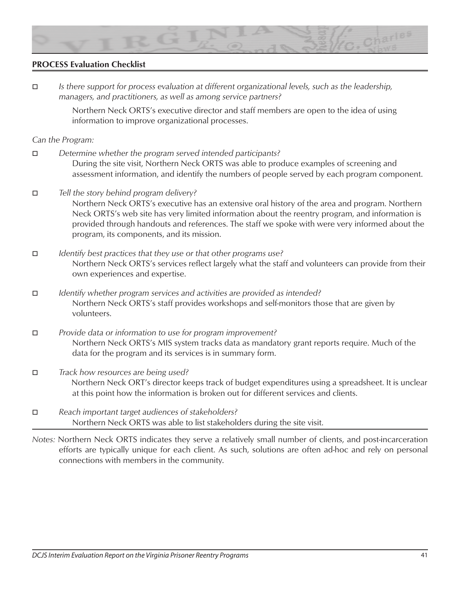

### **PROCESS Evaluation Checklist**

- o *Is there support for process evaluation at different organizational levels, such as the leadership, managers, and practitioners, as well as among service partners?* Northern Neck ORTS's executive director and staff members are open to the idea of using information to improve organizational processes. *Can the Program:* o *Determine whether the program served intended participants?* During the site visit, Northern Neck ORTS was able to produce examples of screening and assessment information, and identify the numbers of people served by each program component. o *Tell the story behind program delivery?* Northern Neck ORTS's executive has an extensive oral history of the area and program. Northern Neck ORTS's web site has very limited information about the reentry program, and information is provided through handouts and references. The staff we spoke with were very informed about the program, its components, and its mission. o *Identify best practices that they use or that other programs use?* Northern Neck ORTS's services reflect largely what the staff and volunteers can provide from their own experiences and expertise. o *Identify whether program services and activities are provided as intended?* Northern Neck ORTS's staff provides workshops and self-monitors those that are given by volunteers. o *Provide data or information to use for program improvement?* Northern Neck ORTS's MIS system tracks data as mandatory grant reports require. Much of the data for the program and its services is in summary form. o *Track how resources are being used?* Northern Neck ORT's director keeps track of budget expenditures using a spreadsheet. It is unclear at this point how the information is broken out for different services and clients.
- o *Reach important target audiences of stakeholders?* Northern Neck ORTS was able to list stakeholders during the site visit.
- *Notes:* Northern Neck ORTS indicates they serve a relatively small number of clients, and post-incarceration efforts are typically unique for each client. As such, solutions are often ad-hoc and rely on personal connections with members in the community.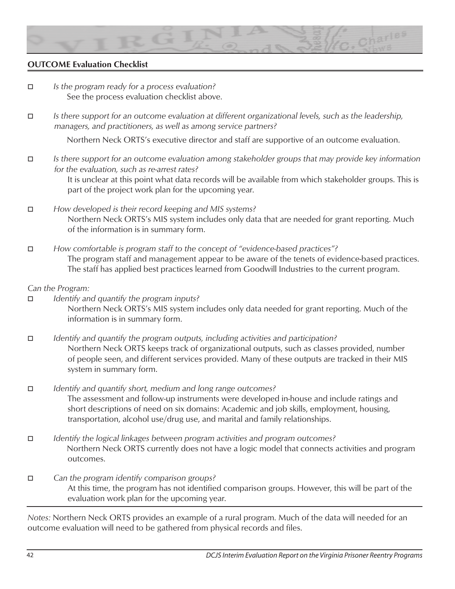

# **OUTCOME Evaluation Checklist**

- □ *Is the program ready for a process evaluation?* See the process evaluation checklist above.
- o *Is there support for an outcome evaluation at different organizational levels, such as the leadership, managers, and practitioners, as well as among service partners?*

Northern Neck ORTS's executive director and staff are supportive of an outcome evaluation.

o *Is there support for an outcome evaluation among stakeholder groups that may provide key information for the evaluation, such as re-arrest rates?*

> It is unclear at this point what data records will be available from which stakeholder groups. This is part of the project work plan for the upcoming year.

- o *How developed is their record keeping and MIS systems?* Northern Neck ORTS's MIS system includes only data that are needed for grant reporting. Much of the information is in summary form.
- o *How comfortable is program staff to the concept of "evidence-based practices"?* The program staff and management appear to be aware of the tenets of evidence-based practices. The staff has applied best practices learned from Goodwill Industries to the current program.

#### *Can the Program:*

- o *Identify and quantify the program inputs?* Northern Neck ORTS's MIS system includes only data needed for grant reporting. Much of the information is in summary form.
- o *Identify and quantify the program outputs, including activities and participation?* Northern Neck ORTS keeps track of organizational outputs, such as classes provided, number of people seen, and different services provided. Many of these outputs are tracked in their MIS system in summary form.
- o *Identify and quantify short, medium and long range outcomes?* The assessment and follow-up instruments were developed in-house and include ratings and short descriptions of need on six domains: Academic and job skills, employment, housing, transportation, alcohol use/drug use, and marital and family relationships.
- o *Identify the logical linkages between program activities and program outcomes?* Northern Neck ORTS currently does not have a logic model that connects activities and program outcomes.
- □ Can the program identify comparison groups? At this time, the program has not identified comparison groups. However, this will be part of the evaluation work plan for the upcoming year.

*Notes:* Northern Neck ORTS provides an example of a rural program. Much of the data will needed for an outcome evaluation will need to be gathered from physical records and files.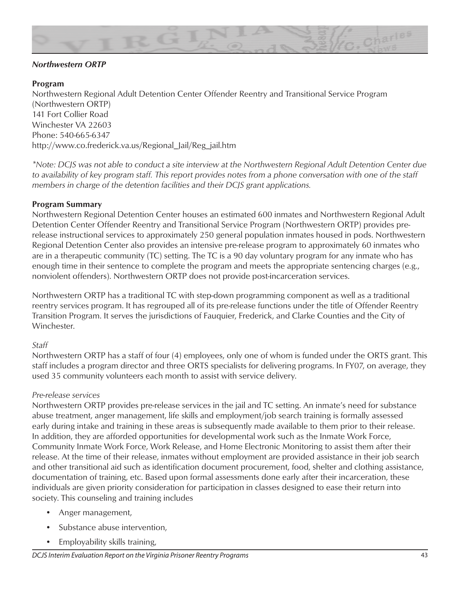

# *Northwestern ORTP*

### **Program**

Northwestern Regional Adult Detention Center Offender Reentry and Transitional Service Program (Northwestern ORTP) 141 Fort Collier Road Winchester VA 22603 Phone: 540-665-6347 http://www.co.frederick.va.us/Regional\_Jail/Reg\_jail.htm

*\*Note: DCJS was not able to conduct a site interview at the Northwestern Regional Adult Detention Center due to availability of key program staff. This report provides notes from a phone conversation with one of the staff members in charge of the detention facilities and their DCJS grant applications.* 

#### **Program Summary**

Northwestern Regional Detention Center houses an estimated 600 inmates and Northwestern Regional Adult Detention Center Offender Reentry and Transitional Service Program (Northwestern ORTP) provides prerelease instructional services to approximately 250 general population inmates housed in pods. Northwestern Regional Detention Center also provides an intensive pre-release program to approximately 60 inmates who are in a therapeutic community (TC) setting. The TC is a 90 day voluntary program for any inmate who has enough time in their sentence to complete the program and meets the appropriate sentencing charges (e.g., nonviolent offenders). Northwestern ORTP does not provide post-incarceration services.

Northwestern ORTP has a traditional TC with step-down programming component as well as a traditional reentry services program. It has regrouped all of its pre-release functions under the title of Offender Reentry Transition Program. It serves the jurisdictions of Fauquier, Frederick, and Clarke Counties and the City of Winchester.

#### *Staff*

Northwestern ORTP has a staff of four (4) employees, only one of whom is funded under the ORTS grant. This staff includes a program director and three ORTS specialists for delivering programs. In FY07, on average, they used 35 community volunteers each month to assist with service delivery.

#### *Pre-release services*

Northwestern ORTP provides pre-release services in the jail and TC setting. An inmate's need for substance abuse treatment, anger management, life skills and employment/job search training is formally assessed early during intake and training in these areas is subsequently made available to them prior to their release. In addition, they are afforded opportunities for developmental work such as the Inmate Work Force, Community Inmate Work Force, Work Release, and Home Electronic Monitoring to assist them after their release. At the time of their release, inmates without employment are provided assistance in their job search and other transitional aid such as identification document procurement, food, shelter and clothing assistance, documentation of training, etc. Based upon formal assessments done early after their incarceration, these individuals are given priority consideration for participation in classes designed to ease their return into society. This counseling and training includes

- Anger management,
- Substance abuse intervention,
- Employability skills training,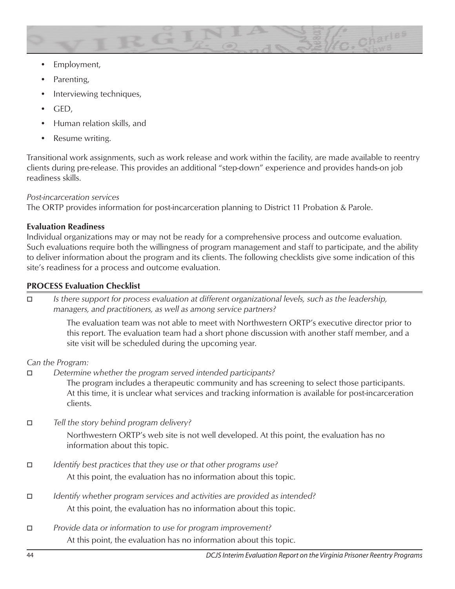

- Employment,
- Parenting,
- Interviewing techniques,
- GED,
- Human relation skills, and
- Resume writing.

Transitional work assignments, such as work release and work within the facility, are made available to reentry clients during pre-release. This provides an additional "step-down" experience and provides hands-on job readiness skills.

# *Post-incarceration services*

The ORTP provides information for post-incarceration planning to District 11 Probation & Parole.

# **Evaluation Readiness**

Individual organizations may or may not be ready for a comprehensive process and outcome evaluation. Such evaluations require both the willingness of program management and staff to participate, and the ability to deliver information about the program and its clients. The following checklists give some indication of this site's readiness for a process and outcome evaluation.

# **PROCESS Evaluation Checklist**

o *Is there support for process evaluation at different organizational levels, such as the leadership, managers, and practitioners, as well as among service partners?*

> The evaluation team was not able to meet with Northwestern ORTP's executive director prior to this report. The evaluation team had a short phone discussion with another staff member, and a site visit will be scheduled during the upcoming year.

*Can the Program:*

□ Determine whether the program served intended participants?

The program includes a therapeutic community and has screening to select those participants. At this time, it is unclear what services and tracking information is available for post-incarceration clients.

**D** *Tell the story behind program delivery?* 

Northwestern ORTP's web site is not well developed. At this point, the evaluation has no information about this topic.

- o *Identify best practices that they use or that other programs use?* At this point, the evaluation has no information about this topic.
- o *Identify whether program services and activities are provided as intended?* At this point, the evaluation has no information about this topic.
- $\Box$  *Provide data or information to use for program improvement?* At this point, the evaluation has no information about this topic.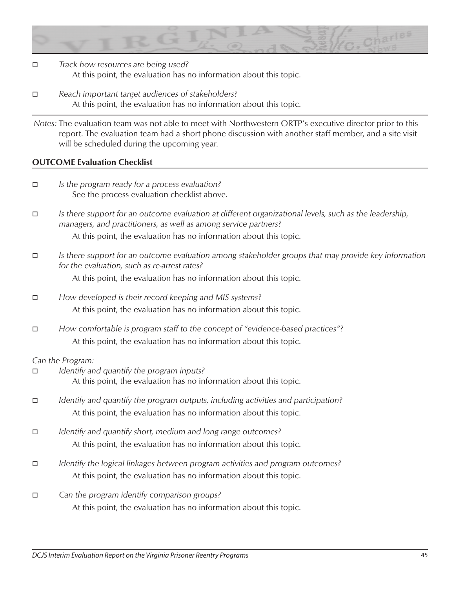

- o *Track how resources are being used?* At this point, the evaluation has no information about this topic.
- o *Reach important target audiences of stakeholders?* At this point, the evaluation has no information about this topic.

*Notes:* The evaluation team was not able to meet with Northwestern ORTP's executive director prior to this report. The evaluation team had a short phone discussion with another staff member, and a site visit will be scheduled during the upcoming year.

# **OUTCOME Evaluation Checklist**

- o *Is the program ready for a process evaluation?*  See the process evaluation checklist above.
- o *Is there support for an outcome evaluation at different organizational levels, such as the leadership, managers, and practitioners, as well as among service partners?*

At this point, the evaluation has no information about this topic.

o *Is there support for an outcome evaluation among stakeholder groups that may provide key information for the evaluation, such as re-arrest rates?*

At this point, the evaluation has no information about this topic.

- o *How developed is their record keeping and MIS systems?* At this point, the evaluation has no information about this topic.
- o *How comfortable is program staff to the concept of "evidence-based practices"?* At this point, the evaluation has no information about this topic.

#### *Can the Program:*

- o *Identify and quantify the program inputs?* At this point, the evaluation has no information about this topic.
- o *Identify and quantify the program outputs, including activities and participation?* At this point, the evaluation has no information about this topic.
- o *Identify and quantify short, medium and long range outcomes?* At this point, the evaluation has no information about this topic.
- **D** *Identify the logical linkages between program activities and program outcomes?* At this point, the evaluation has no information about this topic.
- $\Box$  Can the program identify comparison groups? At this point, the evaluation has no information about this topic.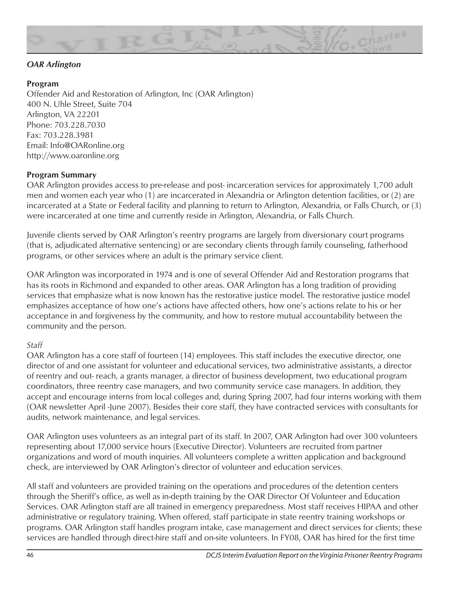

# *OAR Arlington*

# **Program**

Offender Aid and Restoration of Arlington, Inc (OAR Arlington) 400 N. Uhle Street, Suite 704 Arlington, VA 22201 Phone: 703.228.7030 Fax: 703.228.3981 Email: Info@OARonline.org http://www.oaronline.org

# **Program Summary**

OAR Arlington provides access to pre-release and post- incarceration services for approximately 1,700 adult men and women each year who (1) are incarcerated in Alexandria or Arlington detention facilities, or (2) are incarcerated at a State or Federal facility and planning to return to Arlington, Alexandria, or Falls Church, or (3) were incarcerated at one time and currently reside in Arlington, Alexandria, or Falls Church.

Juvenile clients served by OAR Arlington's reentry programs are largely from diversionary court programs (that is, adjudicated alternative sentencing) or are secondary clients through family counseling, fatherhood programs, or other services where an adult is the primary service client.

OAR Arlington was incorporated in 1974 and is one of several Offender Aid and Restoration programs that has its roots in Richmond and expanded to other areas. OAR Arlington has a long tradition of providing services that emphasize what is now known has the restorative justice model. The restorative justice model emphasizes acceptance of how one's actions have affected others, how one's actions relate to his or her acceptance in and forgiveness by the community, and how to restore mutual accountability between the community and the person.

#### *Staff*

OAR Arlington has a core staff of fourteen (14) employees. This staff includes the executive director, one director of and one assistant for volunteer and educational services, two administrative assistants, a director of reentry and out- reach, a grants manager, a director of business development, two educational program coordinators, three reentry case managers, and two community service case managers. In addition, they accept and encourage interns from local colleges and, during Spring 2007, had four interns working with them (OAR newsletter April -June 2007). Besides their core staff, they have contracted services with consultants for audits, network maintenance, and legal services.

OAR Arlington uses volunteers as an integral part of its staff. In 2007, OAR Arlington had over 300 volunteers representing about 17,000 service hours (Executive Director). Volunteers are recruited from partner organizations and word of mouth inquiries. All volunteers complete a written application and background check, are interviewed by OAR Arlington's director of volunteer and education services.

All staff and volunteers are provided training on the operations and procedures of the detention centers through the Sheriff's office, as well as in-depth training by the OAR Director Of Volunteer and Education Services. OAR Arlington staff are all trained in emergency preparedness. Most staff receives HIPAA and other administrative or regulatory training. When offered, staff participate in state reentry training workshops or programs. OAR Arlington staff handles program intake, case management and direct services for clients; these services are handled through direct-hire staff and on-site volunteers. In FY08, OAR has hired for the first time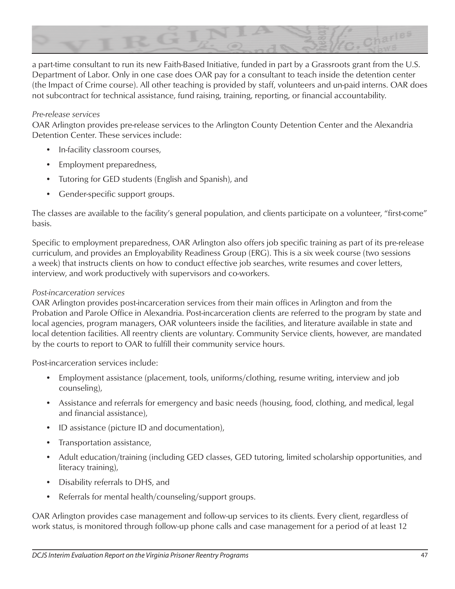

a part-time consultant to run its new Faith-Based Initiative, funded in part by a Grassroots grant from the U.S. Department of Labor. Only in one case does OAR pay for a consultant to teach inside the detention center (the Impact of Crime course). All other teaching is provided by staff, volunteers and un-paid interns. OAR does not subcontract for technical assistance, fund raising, training, reporting, or financial accountability.

#### *Pre-release services*

OAR Arlington provides pre-release services to the Arlington County Detention Center and the Alexandria Detention Center. These services include:

- In-facility classroom courses,
- Employment preparedness,
- Tutoring for GED students (English and Spanish), and
- Gender-specific support groups.

The classes are available to the facility's general population, and clients participate on a volunteer, "first-come" basis.

Specific to employment preparedness, OAR Arlington also offers job specific training as part of its pre-release curriculum, and provides an Employability Readiness Group (ERG). This is a six week course (two sessions a week) that instructs clients on how to conduct effective job searches, write resumes and cover letters, interview, and work productively with supervisors and co-workers.

#### *Post-incarceration services*

OAR Arlington provides post-incarceration services from their main offices in Arlington and from the Probation and Parole Office in Alexandria. Post-incarceration clients are referred to the program by state and local agencies, program managers, OAR volunteers inside the facilities, and literature available in state and local detention facilities. All reentry clients are voluntary. Community Service clients, however, are mandated by the courts to report to OAR to fulfill their community service hours.

Post-incarceration services include:

- Employment assistance (placement, tools, uniforms/clothing, resume writing, interview and job counseling),
- Assistance and referrals for emergency and basic needs (housing, food, clothing, and medical, legal and financial assistance),
- ID assistance (picture ID and documentation),
- Transportation assistance,
- Adult education/training (including GED classes, GED tutoring, limited scholarship opportunities, and literacy training),
- Disability referrals to DHS, and
- Referrals for mental health/counseling/support groups.

OAR Arlington provides case management and follow-up services to its clients. Every client, regardless of work status, is monitored through follow-up phone calls and case management for a period of at least 12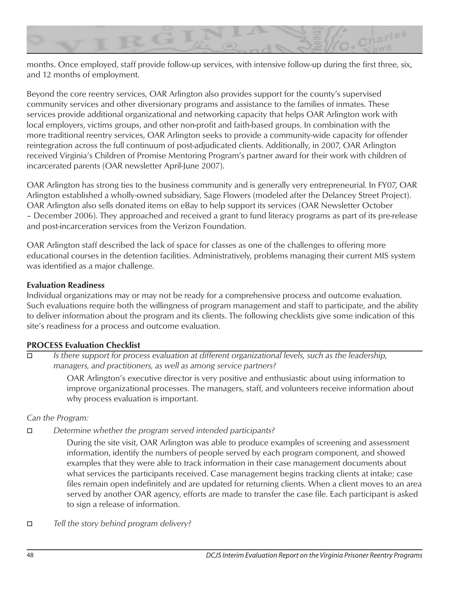

months. Once employed, staff provide follow-up services, with intensive follow-up during the first three, six, and 12 months of employment.

Beyond the core reentry services, OAR Arlington also provides support for the county's supervised community services and other diversionary programs and assistance to the families of inmates. These services provide additional organizational and networking capacity that helps OAR Arlington work with local employers, victims groups, and other non-profit and faith-based groups. In combination with the more traditional reentry services, OAR Arlington seeks to provide a community-wide capacity for offender reintegration across the full continuum of post-adjudicated clients. Additionally, in 2007, OAR Arlington received Virginia's Children of Promise Mentoring Program's partner award for their work with children of incarcerated parents (OAR newsletter April-June 2007).

OAR Arlington has strong ties to the business community and is generally very entrepreneurial. In FY07, OAR Arlington established a wholly-owned subsidiary, Sage Flowers (modeled after the Delancey Street Project). OAR Arlington also sells donated items on eBay to help support its services (OAR Newsletter October – December 2006). They approached and received a grant to fund literacy programs as part of its pre-release and post-incarceration services from the Verizon Foundation.

OAR Arlington staff described the lack of space for classes as one of the challenges to offering more educational courses in the detention facilities. Administratively, problems managing their current MIS system was identified as a major challenge.

# **Evaluation Readiness**

Individual organizations may or may not be ready for a comprehensive process and outcome evaluation. Such evaluations require both the willingness of program management and staff to participate, and the ability to deliver information about the program and its clients. The following checklists give some indication of this site's readiness for a process and outcome evaluation.

# **PROCESS Evaluation Checklist**

o *Is there support for process evaluation at different organizational levels, such as the leadership, managers, and practitioners, as well as among service partners?*

> OAR Arlington's executive director is very positive and enthusiastic about using information to improve organizational processes. The managers, staff, and volunteers receive information about why process evaluation is important.

# *Can the Program:*

o *Determine whether the program served intended participants?*

During the site visit, OAR Arlington was able to produce examples of screening and assessment information, identify the numbers of people served by each program component, and showed examples that they were able to track information in their case management documents about what services the participants received. Case management begins tracking clients at intake; case files remain open indefinitely and are updated for returning clients. When a client moves to an area served by another OAR agency, efforts are made to transfer the case file. Each participant is asked to sign a release of information.

o *Tell the story behind program delivery?*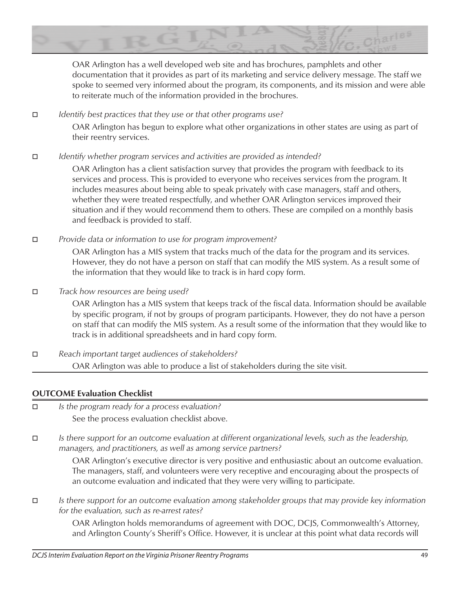

OAR Arlington has a well developed web site and has brochures, pamphlets and other documentation that it provides as part of its marketing and service delivery message. The staff we spoke to seemed very informed about the program, its components, and its mission and were able to reiterate much of the information provided in the brochures.

o *Identify best practices that they use or that other programs use?*

OAR Arlington has begun to explore what other organizations in other states are using as part of their reentry services.

o *Identify whether program services and activities are provided as intended?*

OAR Arlington has a client satisfaction survey that provides the program with feedback to its services and process. This is provided to everyone who receives services from the program. It includes measures about being able to speak privately with case managers, staff and others, whether they were treated respectfully, and whether OAR Arlington services improved their situation and if they would recommend them to others. These are compiled on a monthly basis and feedback is provided to staff.

o *Provide data or information to use for program improvement?*

OAR Arlington has a MIS system that tracks much of the data for the program and its services. However, they do not have a person on staff that can modify the MIS system. As a result some of the information that they would like to track is in hard copy form.

# $\Box$  *Track how resources are being used?*

OAR Arlington has a MIS system that keeps track of the fiscal data. Information should be available by specific program, if not by groups of program participants. However, they do not have a person on staff that can modify the MIS system. As a result some of the information that they would like to track is in additional spreadsheets and in hard copy form.

o *Reach important target audiences of stakeholders?* OAR Arlington was able to produce a list of stakeholders during the site visit.

# **OUTCOME Evaluation Checklist**

- o *Is the program ready for a process evaluation?*  See the process evaluation checklist above.
- o *Is there support for an outcome evaluation at different organizational levels, such as the leadership, managers, and practitioners, as well as among service partners?*

OAR Arlington's executive director is very positive and enthusiastic about an outcome evaluation. The managers, staff, and volunteers were very receptive and encouraging about the prospects of an outcome evaluation and indicated that they were very willing to participate.

o *Is there support for an outcome evaluation among stakeholder groups that may provide key information for the evaluation, such as re-arrest rates?*

OAR Arlington holds memorandums of agreement with DOC, DCJS, Commonwealth's Attorney, and Arlington County's Sheriff's Office. However, it is unclear at this point what data records will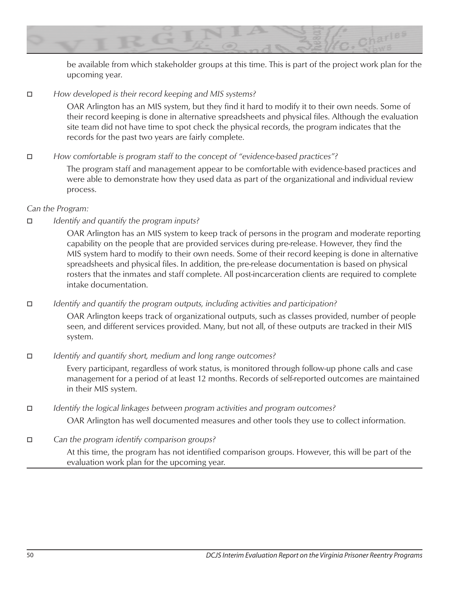

be available from which stakeholder groups at this time. This is part of the project work plan for the upcoming year.

 $\Box$  *How developed is their record keeping and MIS systems?* 

OAR Arlington has an MIS system, but they find it hard to modify it to their own needs. Some of their record keeping is done in alternative spreadsheets and physical files. Although the evaluation site team did not have time to spot check the physical records, the program indicates that the records for the past two years are fairly complete.

*How comfortable is program staff to the concept of "evidence-based practices"?* 

The program staff and management appear to be comfortable with evidence-based practices and were able to demonstrate how they used data as part of the organizational and individual review process.

# *Can the Program:*

# o *Identify and quantify the program inputs?*

OAR Arlington has an MIS system to keep track of persons in the program and moderate reporting capability on the people that are provided services during pre-release. However, they find the MIS system hard to modify to their own needs. Some of their record keeping is done in alternative spreadsheets and physical files. In addition, the pre-release documentation is based on physical rosters that the inmates and staff complete. All post-incarceration clients are required to complete intake documentation.

o *Identify and quantify the program outputs, including activities and participation?*

OAR Arlington keeps track of organizational outputs, such as classes provided, number of people seen, and different services provided. Many, but not all, of these outputs are tracked in their MIS system.

o *Identify and quantify short, medium and long range outcomes?*

Every participant, regardless of work status, is monitored through follow-up phone calls and case management for a period of at least 12 months. Records of self-reported outcomes are maintained in their MIS system.

- o *Identify the logical linkages between program activities and program outcomes?* OAR Arlington has well documented measures and other tools they use to collect information.
- $\Box$  Can the program identify comparison groups?

At this time, the program has not identified comparison groups. However, this will be part of the evaluation work plan for the upcoming year.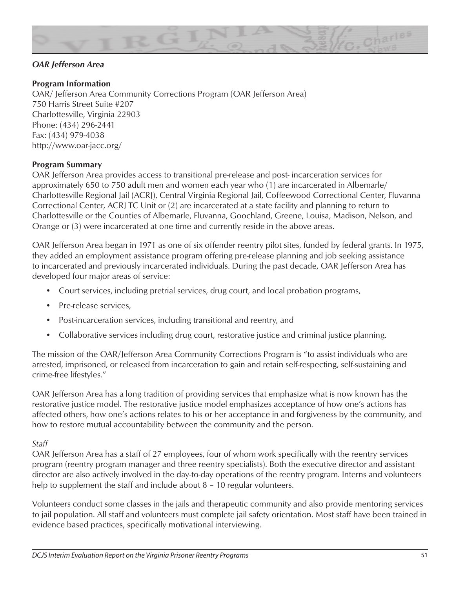

# *OAR Jefferson Area*

#### **Program Information**

OAR/ Jefferson Area Community Corrections Program (OAR Jefferson Area) 750 Harris Street Suite #207 Charlottesville, Virginia 22903 Phone: (434) 296-2441 Fax: (434) 979-4038 http://www.oar-jacc.org/

#### **Program Summary**

OAR Jefferson Area provides access to transitional pre-release and post- incarceration services for approximately 650 to 750 adult men and women each year who (1) are incarcerated in Albemarle/ Charlottesville Regional Jail (ACRJ), Central Virginia Regional Jail, Coffeewood Correctional Center, Fluvanna Correctional Center, ACRJ TC Unit or (2) are incarcerated at a state facility and planning to return to Charlottesville or the Counties of Albemarle, Fluvanna, Goochland, Greene, Louisa, Madison, Nelson, and Orange or (3) were incarcerated at one time and currently reside in the above areas.

OAR Jefferson Area began in 1971 as one of six offender reentry pilot sites, funded by federal grants. In 1975, they added an employment assistance program offering pre-release planning and job seeking assistance to incarcerated and previously incarcerated individuals. During the past decade, OAR Jefferson Area has developed four major areas of service:

- Court services, including pretrial services, drug court, and local probation programs,
- Pre-release services,
- Post-incarceration services, including transitional and reentry, and
- Collaborative services including drug court, restorative justice and criminal justice planning.

The mission of the OAR/Jefferson Area Community Corrections Program is "to assist individuals who are arrested, imprisoned, or released from incarceration to gain and retain self-respecting, self-sustaining and crime-free lifestyles."

OAR Jefferson Area has a long tradition of providing services that emphasize what is now known has the restorative justice model. The restorative justice model emphasizes acceptance of how one's actions has affected others, how one's actions relates to his or her acceptance in and forgiveness by the community, and how to restore mutual accountability between the community and the person.

#### *Staff*

OAR Jefferson Area has a staff of 27 employees, four of whom work specifically with the reentry services program (reentry program manager and three reentry specialists). Both the executive director and assistant director are also actively involved in the day-to-day operations of the reentry program. Interns and volunteers help to supplement the staff and include about 8 – 10 regular volunteers.

Volunteers conduct some classes in the jails and therapeutic community and also provide mentoring services to jail population. All staff and volunteers must complete jail safety orientation. Most staff have been trained in evidence based practices, specifically motivational interviewing.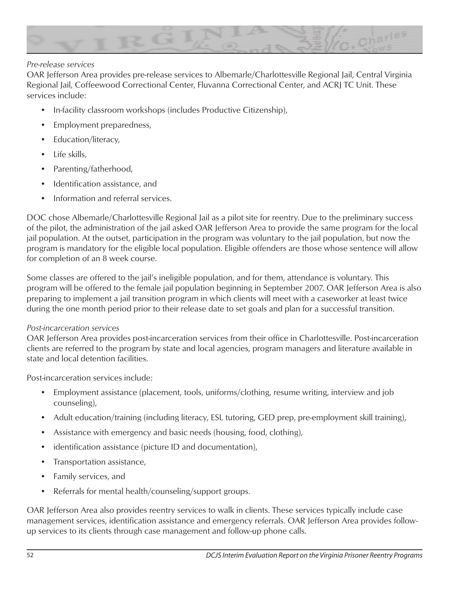

### *Pre-release services*

OAR Jefferson Area provides pre-release services to Albemarle/Charlottesville Regional Jail, Central Virginia Regional Jail, Coffeewood Correctional Center, Fluvanna Correctional Center, and ACRJ TC Unit. These services include:

- In-facility classroom workshops (includes Productive Citizenship),
- Employment preparedness,
- Education/literacy,
- Life skills,
- Parenting/fatherhood,
- Identification assistance, and
- Information and referral services.

DOC chose Albemarle/Charlottesville Regional Jail as a pilot site for reentry. Due to the preliminary success of the pilot, the administration of the jail asked OAR Jefferson Area to provide the same program for the local jail population. At the outset, participation in the program was voluntary to the jail population, but now the program is mandatory for the eligible local population. Eligible offenders are those whose sentence will allow for completion of an 8 week course.

Some classes are offered to the jail's ineligible population, and for them, attendance is voluntary. This program will be offered to the female jail population beginning in September 2007. OAR Jefferson Area is also preparing to implement a jail transition program in which clients will meet with a caseworker at least twice during the one month period prior to their release date to set goals and plan for a successful transition.

#### *Post-incarceration services*

OAR Jefferson Area provides post-incarceration services from their office in Charlottesville. Post-incarceration clients are referred to the program by state and local agencies, program managers and literature available in state and local detention facilities.

Post-incarceration services include:

- Employment assistance (placement, tools, uniforms/clothing, resume writing, interview and job counseling),
- Adult education/training (including literacy, ESL tutoring, GED prep, pre-employment skill training),
- Assistance with emergency and basic needs (housing, food, clothing),
- identification assistance (picture ID and documentation),
- Transportation assistance,
- Family services, and
- Referrals for mental health/counseling/support groups.

OAR Jefferson Area also provides reentry services to walk in clients. These services typically include case management services, identification assistance and emergency referrals. OAR Jefferson Area provides followup services to its clients through case management and follow-up phone calls.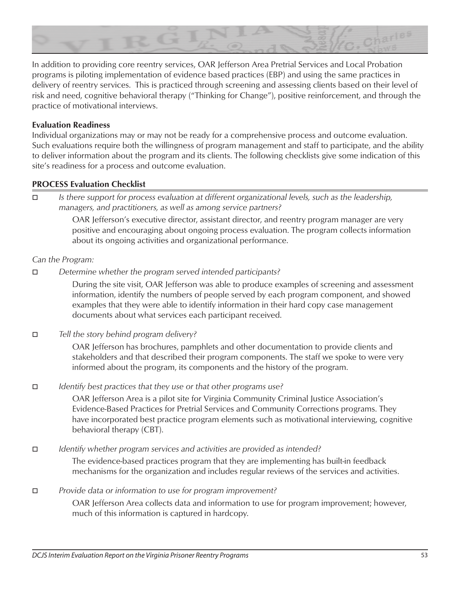

In addition to providing core reentry services, OAR Jefferson Area Pretrial Services and Local Probation programs is piloting implementation of evidence based practices (EBP) and using the same practices in delivery of reentry services. This is practiced through screening and assessing clients based on their level of risk and need, cognitive behavioral therapy ("Thinking for Change"), positive reinforcement, and through the practice of motivational interviews.

### **Evaluation Readiness**

Individual organizations may or may not be ready for a comprehensive process and outcome evaluation. Such evaluations require both the willingness of program management and staff to participate, and the ability to deliver information about the program and its clients. The following checklists give some indication of this site's readiness for a process and outcome evaluation.

#### **PROCESS Evaluation Checklist**

o *Is there support for process evaluation at different organizational levels, such as the leadership, managers, and practitioners, as well as among service partners?*

> OAR Jefferson's executive director, assistant director, and reentry program manager are very positive and encouraging about ongoing process evaluation. The program collects information about its ongoing activities and organizational performance.

#### *Can the Program:*

**D** *Determine whether the program served intended participants?* 

During the site visit, OAR Jefferson was able to produce examples of screening and assessment information, identify the numbers of people served by each program component, and showed examples that they were able to identify information in their hard copy case management documents about what services each participant received.

**D** *Tell the story behind program delivery?* 

OAR Jefferson has brochures, pamphlets and other documentation to provide clients and stakeholders and that described their program components. The staff we spoke to were very informed about the program, its components and the history of the program.

**□** *Identify best practices that they use or that other programs use?* 

OAR Jefferson Area is a pilot site for Virginia Community Criminal Justice Association's Evidence-Based Practices for Pretrial Services and Community Corrections programs. They have incorporated best practice program elements such as motivational interviewing, cognitive behavioral therapy (CBT).

**□** *Identify whether program services and activities are provided as intended?* 

The evidence-based practices program that they are implementing has built-in feedback mechanisms for the organization and includes regular reviews of the services and activities.

#### $\Box$  *Provide data or information to use for program improvement?*

OAR Jefferson Area collects data and information to use for program improvement; however, much of this information is captured in hardcopy.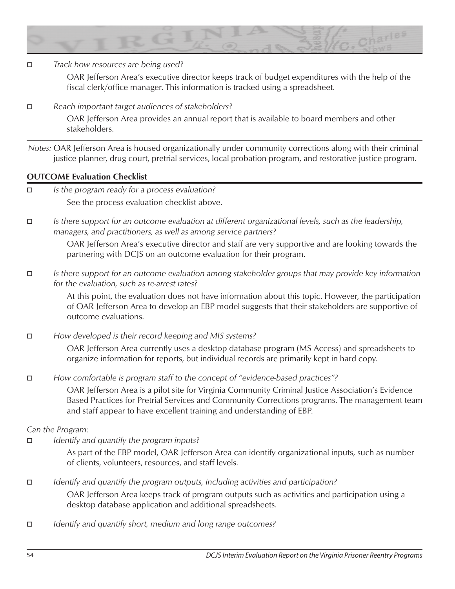

**D** *Track how resources are being used?* 

OAR Jefferson Area's executive director keeps track of budget expenditures with the help of the fiscal clerk/office manager. This information is tracked using a spreadsheet.

 $\Box$  Reach important target audiences of stakeholders?

OAR Jefferson Area provides an annual report that is available to board members and other stakeholders.

*Notes:* OAR Jefferson Area is housed organizationally under community corrections along with their criminal justice planner, drug court, pretrial services, local probation program, and restorative justice program.

#### **OUTCOME Evaluation Checklist**

- □ *Is the program ready for a process evaluation?* See the process evaluation checklist above.
- o *Is there support for an outcome evaluation at different organizational levels, such as the leadership, managers, and practitioners, as well as among service partners?*

OAR Jefferson Area's executive director and staff are very supportive and are looking towards the partnering with DCJS on an outcome evaluation for their program.

o *Is there support for an outcome evaluation among stakeholder groups that may provide key information for the evaluation, such as re-arrest rates?*

> At this point, the evaluation does not have information about this topic. However, the participation of OAR Jefferson Area to develop an EBP model suggests that their stakeholders are supportive of outcome evaluations.

□ *How developed is their record keeping and MIS systems?* 

OAR Jefferson Area currently uses a desktop database program (MS Access) and spreadsheets to organize information for reports, but individual records are primarily kept in hard copy.

*How comfortable is program staff to the concept of "evidence-based practices"?* 

OAR Jefferson Area is a pilot site for Virginia Community Criminal Justice Association's Evidence Based Practices for Pretrial Services and Community Corrections programs. The management team and staff appear to have excellent training and understanding of EBP.

#### *Can the Program:*

□ *Identify and quantify the program inputs?* 

As part of the EBP model, OAR Jefferson Area can identify organizational inputs, such as number of clients, volunteers, resources, and staff levels.

#### o *Identify and quantify the program outputs, including activities and participation?*

OAR Jefferson Area keeps track of program outputs such as activities and participation using a desktop database application and additional spreadsheets.

□ *Identify and quantify short, medium and long range outcomes?*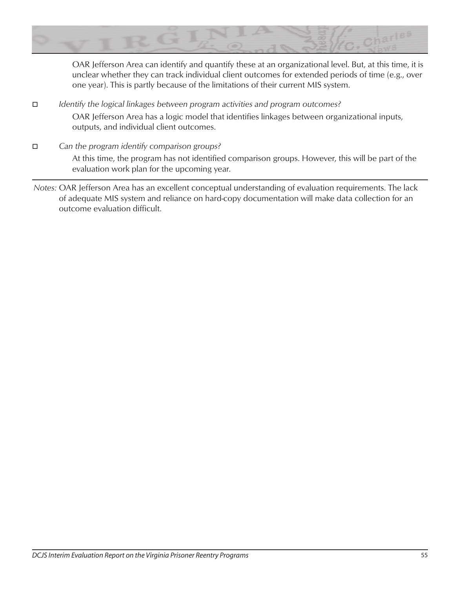

OAR Jefferson Area can identify and quantify these at an organizational level. But, at this time, it is unclear whether they can track individual client outcomes for extended periods of time (e.g., over one year). This is partly because of the limitations of their current MIS system.

- **D** *Identify the logical linkages between program activities and program outcomes?* OAR Jefferson Area has a logic model that identifies linkages between organizational inputs, outputs, and individual client outcomes.
- $\Box$  Can the program identify comparison groups? At this time, the program has not identified comparison groups. However, this will be part of the evaluation work plan for the upcoming year.
- *Notes:* OAR Jefferson Area has an excellent conceptual understanding of evaluation requirements. The lack of adequate MIS system and reliance on hard-copy documentation will make data collection for an outcome evaluation difficult.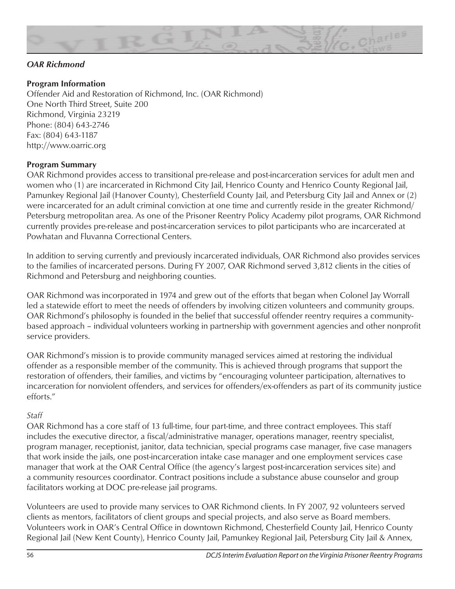

# *OAR Richmond*

# **Program Information**

Offender Aid and Restoration of Richmond, Inc. (OAR Richmond) One North Third Street, Suite 200 Richmond, Virginia 23219 Phone: (804) 643-2746 Fax: (804) 643-1187 http://www.oarric.org

#### **Program Summary**

OAR Richmond provides access to transitional pre-release and post-incarceration services for adult men and women who (1) are incarcerated in Richmond City Jail, Henrico County and Henrico County Regional Jail, Pamunkey Regional Jail (Hanover County), Chesterfield County Jail, and Petersburg City Jail and Annex or (2) were incarcerated for an adult criminal conviction at one time and currently reside in the greater Richmond/ Petersburg metropolitan area. As one of the Prisoner Reentry Policy Academy pilot programs, OAR Richmond currently provides pre-release and post-incarceration services to pilot participants who are incarcerated at Powhatan and Fluvanna Correctional Centers.

In addition to serving currently and previously incarcerated individuals, OAR Richmond also provides services to the families of incarcerated persons. During FY 2007, OAR Richmond served 3,812 clients in the cities of Richmond and Petersburg and neighboring counties.

OAR Richmond was incorporated in 1974 and grew out of the efforts that began when Colonel Jay Worrall led a statewide effort to meet the needs of offenders by involving citizen volunteers and community groups. OAR Richmond's philosophy is founded in the belief that successful offender reentry requires a communitybased approach – individual volunteers working in partnership with government agencies and other nonprofit service providers.

OAR Richmond's mission is to provide community managed services aimed at restoring the individual offender as a responsible member of the community. This is achieved through programs that support the restoration of offenders, their families, and victims by "encouraging volunteer participation, alternatives to incarceration for nonviolent offenders, and services for offenders/ex-offenders as part of its community justice efforts."

#### *Staff*

OAR Richmond has a core staff of 13 full-time, four part-time, and three contract employees. This staff includes the executive director, a fiscal/administrative manager, operations manager, reentry specialist, program manager, receptionist, janitor, data technician, special programs case manager, five case managers that work inside the jails, one post-incarceration intake case manager and one employment services case manager that work at the OAR Central Office (the agency's largest post-incarceration services site) and a community resources coordinator. Contract positions include a substance abuse counselor and group facilitators working at DOC pre-release jail programs.

Volunteers are used to provide many services to OAR Richmond clients. In FY 2007, 92 volunteers served clients as mentors, facilitators of client groups and special projects, and also serve as Board members. Volunteers work in OAR's Central Office in downtown Richmond, Chesterfield County Jail, Henrico County Regional Jail (New Kent County), Henrico County Jail, Pamunkey Regional Jail, Petersburg City Jail & Annex,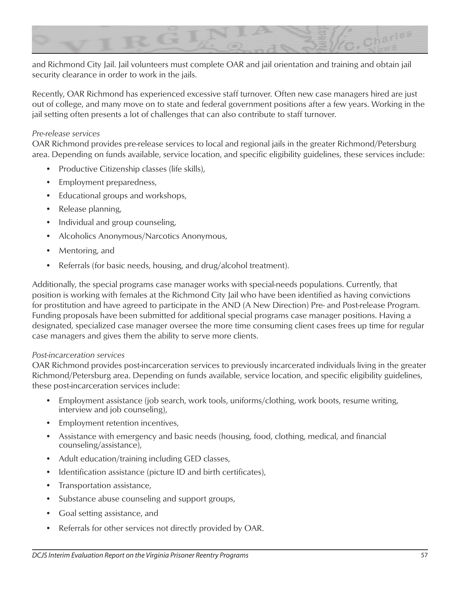

and Richmond City Jail. Jail volunteers must complete OAR and jail orientation and training and obtain jail security clearance in order to work in the jails.

Recently, OAR Richmond has experienced excessive staff turnover. Often new case managers hired are just out of college, and many move on to state and federal government positions after a few years. Working in the jail setting often presents a lot of challenges that can also contribute to staff turnover.

### *Pre-release services*

OAR Richmond provides pre-release services to local and regional jails in the greater Richmond/Petersburg area. Depending on funds available, service location, and specific eligibility guidelines, these services include:

- Productive Citizenship classes (life skills),
- Employment preparedness,
- Educational groups and workshops,
- Release planning,
- Individual and group counseling,
- Alcoholics Anonymous/Narcotics Anonymous,
- Mentoring, and
- Referrals (for basic needs, housing, and drug/alcohol treatment).

Additionally, the special programs case manager works with special-needs populations. Currently, that position is working with females at the Richmond City Jail who have been identified as having convictions for prostitution and have agreed to participate in the AND (A New Direction) Pre- and Post-release Program. Funding proposals have been submitted for additional special programs case manager positions. Having a designated, specialized case manager oversee the more time consuming client cases frees up time for regular case managers and gives them the ability to serve more clients.

#### *Post-incarceration services*

OAR Richmond provides post-incarceration services to previously incarcerated individuals living in the greater Richmond/Petersburg area. Depending on funds available, service location, and specific eligibility guidelines, these post-incarceration services include:

- Employment assistance (job search, work tools, uniforms/clothing, work boots, resume writing, interview and job counseling),
- Employment retention incentives,
- Assistance with emergency and basic needs (housing, food, clothing, medical, and financial counseling/assistance),
- Adult education/training including GED classes,
- Identification assistance (picture ID and birth certificates),
- Transportation assistance,
- Substance abuse counseling and support groups,
- Goal setting assistance, and
- Referrals for other services not directly provided by OAR.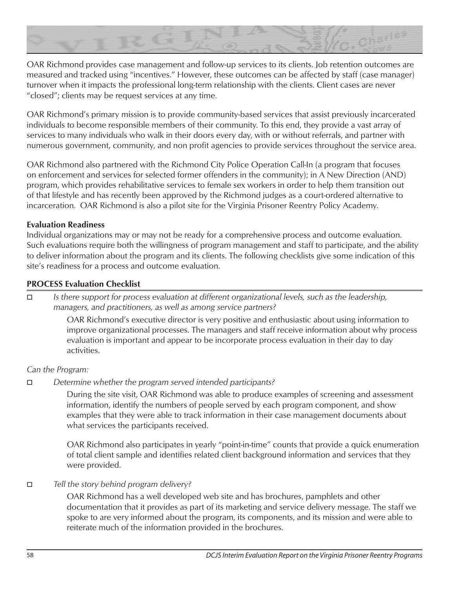

OAR Richmond provides case management and follow-up services to its clients. Job retention outcomes are measured and tracked using "incentives." However, these outcomes can be affected by staff (case manager) turnover when it impacts the professional long-term relationship with the clients. Client cases are never "closed"; clients may be request services at any time.

OAR Richmond's primary mission is to provide community-based services that assist previously incarcerated individuals to become responsible members of their community. To this end, they provide a vast array of services to many individuals who walk in their doors every day, with or without referrals, and partner with numerous government, community, and non profit agencies to provide services throughout the service area.

OAR Richmond also partnered with the Richmond City Police Operation Call-In (a program that focuses on enforcement and services for selected former offenders in the community); in A New Direction (AND) program, which provides rehabilitative services to female sex workers in order to help them transition out of that lifestyle and has recently been approved by the Richmond judges as a court-ordered alternative to incarceration. OAR Richmond is also a pilot site for the Virginia Prisoner Reentry Policy Academy.

# **Evaluation Readiness**

Individual organizations may or may not be ready for a comprehensive process and outcome evaluation. Such evaluations require both the willingness of program management and staff to participate, and the ability to deliver information about the program and its clients. The following checklists give some indication of this site's readiness for a process and outcome evaluation.

# **PROCESS Evaluation Checklist**

o *Is there support for process evaluation at different organizational levels, such as the leadership, managers, and practitioners, as well as among service partners?*

> OAR Richmond's executive director is very positive and enthusiastic about using information to improve organizational processes. The managers and staff receive information about why process evaluation is important and appear to be incorporate process evaluation in their day to day activities.

#### *Can the Program:*

□ *Determine whether the program served intended participants?* 

During the site visit, OAR Richmond was able to produce examples of screening and assessment information, identify the numbers of people served by each program component, and show examples that they were able to track information in their case management documents about what services the participants received.

OAR Richmond also participates in yearly "point-in-time" counts that provide a quick enumeration of total client sample and identifies related client background information and services that they were provided.

o *Tell the story behind program delivery?*

OAR Richmond has a well developed web site and has brochures, pamphlets and other documentation that it provides as part of its marketing and service delivery message. The staff we spoke to are very informed about the program, its components, and its mission and were able to reiterate much of the information provided in the brochures.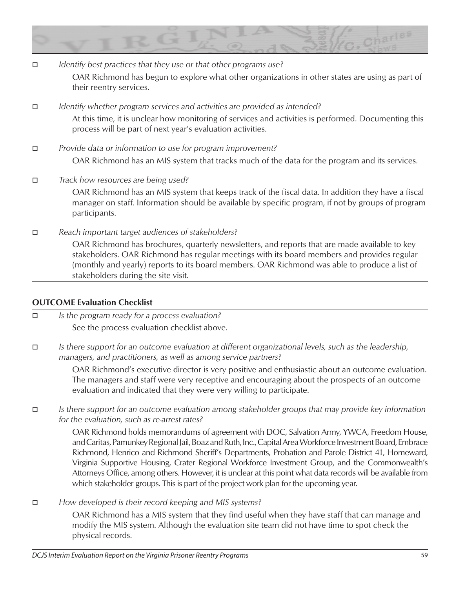

- **D** *Identify best practices that they use or that other programs use?* OAR Richmond has begun to explore what other organizations in other states are using as part of their reentry services.
- □ *Identify whether program services and activities are provided as intended?* At this time, it is unclear how monitoring of services and activities is performed. Documenting this process will be part of next year's evaluation activities.
- $\Box$  *Provide data or information to use for program improvement?* OAR Richmond has an MIS system that tracks much of the data for the program and its services.
- **D** *Track how resources are being used?* OAR Richmond has an MIS system that keeps track of the fiscal data. In addition they have a fiscal manager on staff. Information should be available by specific program, if not by groups of program participants.
- $\Box$  Reach important target audiences of stakeholders?

OAR Richmond has brochures, quarterly newsletters, and reports that are made available to key stakeholders. OAR Richmond has regular meetings with its board members and provides regular (monthly and yearly) reports to its board members. OAR Richmond was able to produce a list of stakeholders during the site visit.

# **OUTCOME Evaluation Checklist**

- □ *Is the program ready for a process evaluation?* See the process evaluation checklist above.
- o *Is there support for an outcome evaluation at different organizational levels, such as the leadership, managers, and practitioners, as well as among service partners?*

OAR Richmond's executive director is very positive and enthusiastic about an outcome evaluation. The managers and staff were very receptive and encouraging about the prospects of an outcome evaluation and indicated that they were very willing to participate.

o *Is there support for an outcome evaluation among stakeholder groups that may provide key information for the evaluation, such as re-arrest rates?*

OAR Richmond holds memorandums of agreement with DOC, Salvation Army, YWCA, Freedom House, and Caritas, Pamunkey Regional Jail, Boaz and Ruth, Inc., Capital Area Workforce Investment Board, Embrace Richmond, Henrico and Richmond Sheriff's Departments, Probation and Parole District 41, Homeward, Virginia Supportive Housing, Crater Regional Workforce Investment Group, and the Commonwealth's Attorneys Office, among others. However, it is unclear at this point what data records will be available from which stakeholder groups. This is part of the project work plan for the upcoming year.

 $\Box$  *How developed is their record keeping and MIS systems?* 

OAR Richmond has a MIS system that they find useful when they have staff that can manage and modify the MIS system. Although the evaluation site team did not have time to spot check the physical records.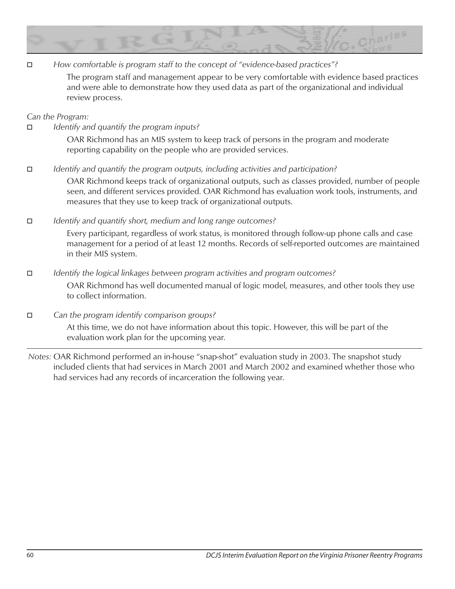

*E How comfortable is program staff to the concept of "evidence-based practices"?* 

The program staff and management appear to be very comfortable with evidence based practices and were able to demonstrate how they used data as part of the organizational and individual review process.

*Can the Program:*

□ *Identify and quantify the program inputs?* 

OAR Richmond has an MIS system to keep track of persons in the program and moderate reporting capability on the people who are provided services.

o *Identify and quantify the program outputs, including activities and participation?*

OAR Richmond keeps track of organizational outputs, such as classes provided, number of people seen, and different services provided. OAR Richmond has evaluation work tools, instruments, and measures that they use to keep track of organizational outputs.

 $\Box$  *<i>Identify and quantify short, medium and long range outcomes?* 

Every participant, regardless of work status, is monitored through follow-up phone calls and case management for a period of at least 12 months. Records of self-reported outcomes are maintained in their MIS system.

# **□** *Identify the logical linkages between program activities and program outcomes?* OAR Richmond has well documented manual of logic model, measures, and other tools they use to collect information.

 $\Box$  *Can the program identify comparison groups?* 

At this time, we do not have information about this topic. However, this will be part of the evaluation work plan for the upcoming year.

*Notes:* OAR Richmond performed an in-house "snap-shot" evaluation study in 2003. The snapshot study included clients that had services in March 2001 and March 2002 and examined whether those who had services had any records of incarceration the following year.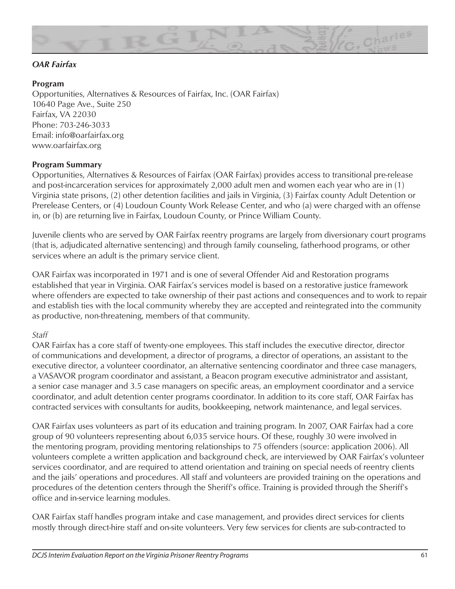

# *OAR Fairfax*

### **Program**

Opportunities, Alternatives & Resources of Fairfax, Inc. (OAR Fairfax) 10640 Page Ave., Suite 250 Fairfax, VA 22030 Phone: 703-246-3033 Email: info@oarfairfax.org www.oarfairfax.org

# **Program Summary**

Opportunities, Alternatives & Resources of Fairfax (OAR Fairfax) provides access to transitional pre-release and post-incarceration services for approximately 2,000 adult men and women each year who are in (1) Virginia state prisons, (2) other detention facilities and jails in Virginia, (3) Fairfax county Adult Detention or Prerelease Centers, or (4) Loudoun County Work Release Center, and who (a) were charged with an offense in, or (b) are returning live in Fairfax, Loudoun County, or Prince William County.

Juvenile clients who are served by OAR Fairfax reentry programs are largely from diversionary court programs (that is, adjudicated alternative sentencing) and through family counseling, fatherhood programs, or other services where an adult is the primary service client.

OAR Fairfax was incorporated in 1971 and is one of several Offender Aid and Restoration programs established that year in Virginia. OAR Fairfax's services model is based on a restorative justice framework where offenders are expected to take ownership of their past actions and consequences and to work to repair and establish ties with the local community whereby they are accepted and reintegrated into the community as productive, non-threatening, members of that community.

#### *Staff*

OAR Fairfax has a core staff of twenty-one employees. This staff includes the executive director, director of communications and development, a director of programs, a director of operations, an assistant to the executive director, a volunteer coordinator, an alternative sentencing coordinator and three case managers, a VASAVOR program coordinator and assistant, a Beacon program executive administrator and assistant, a senior case manager and 3.5 case managers on specific areas, an employment coordinator and a service coordinator, and adult detention center programs coordinator. In addition to its core staff, OAR Fairfax has contracted services with consultants for audits, bookkeeping, network maintenance, and legal services.

OAR Fairfax uses volunteers as part of its education and training program. In 2007, OAR Fairfax had a core group of 90 volunteers representing about 6,035 service hours. Of these, roughly 30 were involved in the mentoring program, providing mentoring relationships to 75 offenders (source: application 2006). All volunteers complete a written application and background check, are interviewed by OAR Fairfax's volunteer services coordinator, and are required to attend orientation and training on special needs of reentry clients and the jails' operations and procedures. All staff and volunteers are provided training on the operations and procedures of the detention centers through the Sheriff's office. Training is provided through the Sheriff's office and in-service learning modules.

OAR Fairfax staff handles program intake and case management, and provides direct services for clients mostly through direct-hire staff and on-site volunteers. Very few services for clients are sub-contracted to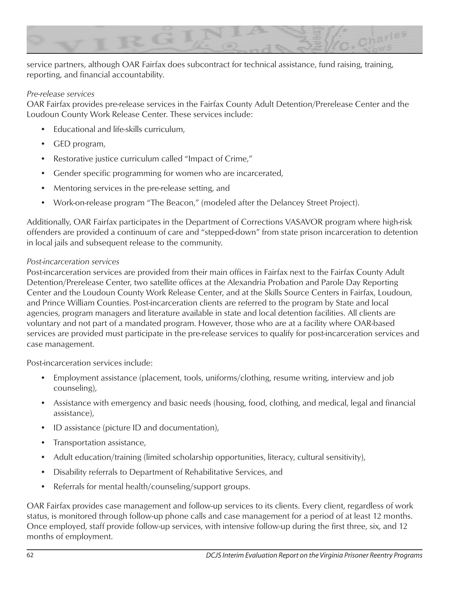

service partners, although OAR Fairfax does subcontract for technical assistance, fund raising, training, reporting, and financial accountability.

### *Pre-release services*

OAR Fairfax provides pre-release services in the Fairfax County Adult Detention/Prerelease Center and the Loudoun County Work Release Center. These services include:

- Educational and life-skills curriculum,
- GED program,
- Restorative justice curriculum called "Impact of Crime,"
- Gender specific programming for women who are incarcerated,
- Mentoring services in the pre-release setting, and
- Work-on-release program "The Beacon," (modeled after the Delancey Street Project).

Additionally, OAR Fairfax participates in the Department of Corrections VASAVOR program where high-risk offenders are provided a continuum of care and "stepped-down" from state prison incarceration to detention in local jails and subsequent release to the community.

# *Post-incarceration services*

Post-incarceration services are provided from their main offices in Fairfax next to the Fairfax County Adult Detention/Prerelease Center, two satellite offices at the Alexandria Probation and Parole Day Reporting Center and the Loudoun County Work Release Center, and at the Skills Source Centers in Fairfax, Loudoun, and Prince William Counties. Post-incarceration clients are referred to the program by State and local agencies, program managers and literature available in state and local detention facilities. All clients are voluntary and not part of a mandated program. However, those who are at a facility where OAR-based services are provided must participate in the pre-release services to qualify for post-incarceration services and case management.

Post-incarceration services include:

- Employment assistance (placement, tools, uniforms/clothing, resume writing, interview and job counseling),
- Assistance with emergency and basic needs (housing, food, clothing, and medical, legal and financial assistance),
- ID assistance (picture ID and documentation),
- Transportation assistance,
- Adult education/training (limited scholarship opportunities, literacy, cultural sensitivity),
- Disability referrals to Department of Rehabilitative Services, and
- Referrals for mental health/counseling/support groups.

OAR Fairfax provides case management and follow-up services to its clients. Every client, regardless of work status, is monitored through follow-up phone calls and case management for a period of at least 12 months. Once employed, staff provide follow-up services, with intensive follow-up during the first three, six, and 12 months of employment.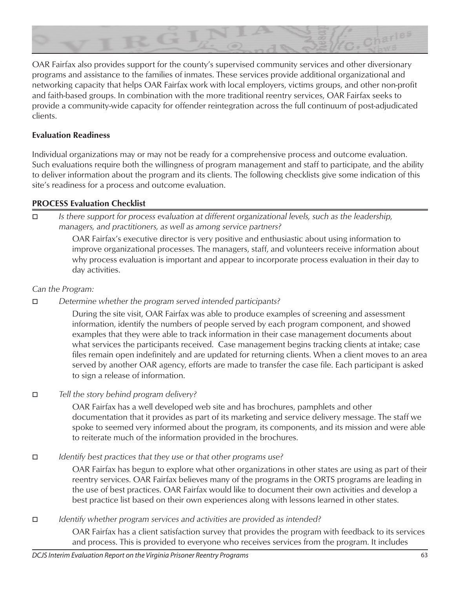

OAR Fairfax also provides support for the county's supervised community services and other diversionary programs and assistance to the families of inmates. These services provide additional organizational and networking capacity that helps OAR Fairfax work with local employers, victims groups, and other non-profit and faith-based groups. In combination with the more traditional reentry services, OAR Fairfax seeks to provide a community-wide capacity for offender reintegration across the full continuum of post-adjudicated clients.

# **Evaluation Readiness**

Individual organizations may or may not be ready for a comprehensive process and outcome evaluation. Such evaluations require both the willingness of program management and staff to participate, and the ability to deliver information about the program and its clients. The following checklists give some indication of this site's readiness for a process and outcome evaluation.

# **PROCESS Evaluation Checklist**

o *Is there support for process evaluation at different organizational levels, such as the leadership, managers, and practitioners, as well as among service partners?*

> OAR Fairfax's executive director is very positive and enthusiastic about using information to improve organizational processes. The managers, staff, and volunteers receive information about why process evaluation is important and appear to incorporate process evaluation in their day to day activities.

# *Can the Program:*

**D** *Determine whether the program served intended participants?* 

During the site visit, OAR Fairfax was able to produce examples of screening and assessment information, identify the numbers of people served by each program component, and showed examples that they were able to track information in their case management documents about what services the participants received. Case management begins tracking clients at intake; case files remain open indefinitely and are updated for returning clients. When a client moves to an area served by another OAR agency, efforts are made to transfer the case file. Each participant is asked to sign a release of information.

# $\Box$  *Tell the story behind program delivery?*

OAR Fairfax has a well developed web site and has brochures, pamphlets and other documentation that it provides as part of its marketing and service delivery message. The staff we spoke to seemed very informed about the program, its components, and its mission and were able to reiterate much of the information provided in the brochures.

**D** *Identify best practices that they use or that other programs use?* 

OAR Fairfax has begun to explore what other organizations in other states are using as part of their reentry services. OAR Fairfax believes many of the programs in the ORTS programs are leading in the use of best practices. OAR Fairfax would like to document their own activities and develop a best practice list based on their own experiences along with lessons learned in other states.

# **D** *Identify whether program services and activities are provided as intended?*

OAR Fairfax has a client satisfaction survey that provides the program with feedback to its services and process. This is provided to everyone who receives services from the program. It includes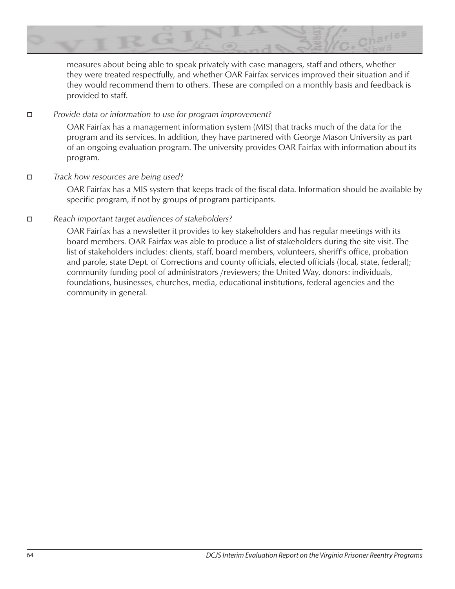

measures about being able to speak privately with case managers, staff and others, whether they were treated respectfully, and whether OAR Fairfax services improved their situation and if they would recommend them to others. These are compiled on a monthly basis and feedback is provided to staff.

### $\Box$  *Provide data or information to use for program improvement?*

OAR Fairfax has a management information system (MIS) that tracks much of the data for the program and its services. In addition, they have partnered with George Mason University as part of an ongoing evaluation program. The university provides OAR Fairfax with information about its program.

# $\Box$  *Track how resources are being used?*

OAR Fairfax has a MIS system that keeps track of the fiscal data. Information should be available by specific program, if not by groups of program participants.

# $\Box$  Reach important target audiences of stakeholders?

OAR Fairfax has a newsletter it provides to key stakeholders and has regular meetings with its board members. OAR Fairfax was able to produce a list of stakeholders during the site visit. The list of stakeholders includes: clients, staff, board members, volunteers, sheriff's office, probation and parole, state Dept. of Corrections and county officials, elected officials (local, state, federal); community funding pool of administrators /reviewers; the United Way, donors: individuals, foundations, businesses, churches, media, educational institutions, federal agencies and the community in general.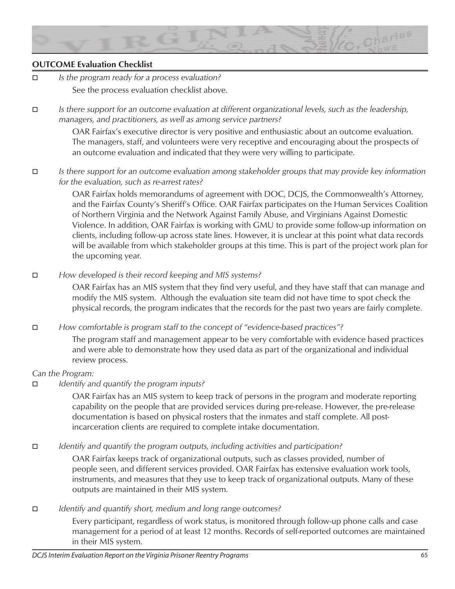

# **OUTCOME Evaluation Checklist**

- o *Is the program ready for a process evaluation?*  See the process evaluation checklist above.
- **□** *Is there support for an outcome evaluation at different organizational levels, such as the leadership, managers, and practitioners, as well as among service partners?*

OAR Fairfax's executive director is very positive and enthusiastic about an outcome evaluation. The managers, staff, and volunteers were very receptive and encouraging about the prospects of an outcome evaluation and indicated that they were very willing to participate.

# o *Is there support for an outcome evaluation among stakeholder groups that may provide key information for the evaluation, such as re-arrest rates?*

OAR Fairfax holds memorandums of agreement with DOC, DCJS, the Commonwealth's Attorney, and the Fairfax County's Sheriff's Office. OAR Fairfax participates on the Human Services Coalition of Northern Virginia and the Network Against Family Abuse, and Virginians Against Domestic Violence. In addition, OAR Fairfax is working with GMU to provide some follow-up information on clients, including follow-up across state lines. However, it is unclear at this point what data records will be available from which stakeholder groups at this time. This is part of the project work plan for the upcoming year.

 $\Box$  *How developed is their record keeping and MIS systems?* 

OAR Fairfax has an MIS system that they find very useful, and they have staff that can manage and modify the MIS system. Although the evaluation site team did not have time to spot check the physical records, the program indicates that the records for the past two years are fairly complete.

*E How comfortable is program staff to the concept of "evidence-based practices"?* 

The program staff and management appear to be very comfortable with evidence based practices and were able to demonstrate how they used data as part of the organizational and individual review process.

#### *Can the Program:*

#### □ *Identify and quantify the program inputs?*

OAR Fairfax has an MIS system to keep track of persons in the program and moderate reporting capability on the people that are provided services during pre-release. However, the pre-release documentation is based on physical rosters that the inmates and staff complete. All postincarceration clients are required to complete intake documentation.

*Identify and quantify the program outputs, including activities and participation?* 

OAR Fairfax keeps track of organizational outputs, such as classes provided, number of people seen, and different services provided. OAR Fairfax has extensive evaluation work tools, instruments, and measures that they use to keep track of organizational outputs. Many of these outputs are maintained in their MIS system.

**□** *Identify and quantify short, medium and long range outcomes?* 

Every participant, regardless of work status, is monitored through follow-up phone calls and case management for a period of at least 12 months. Records of self-reported outcomes are maintained in their MIS system.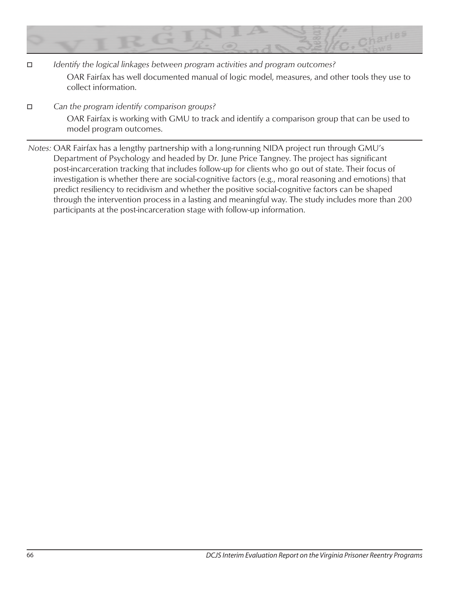

- □ *Identify the logical linkages between program activities and program outcomes?* OAR Fairfax has well documented manual of logic model, measures, and other tools they use to collect information.
- $\Box$  Can the program identify comparison groups?

OAR Fairfax is working with GMU to track and identify a comparison group that can be used to model program outcomes.

*Notes:* OAR Fairfax has a lengthy partnership with a long-running NIDA project run through GMU's Department of Psychology and headed by Dr. June Price Tangney. The project has significant post-incarceration tracking that includes follow-up for clients who go out of state. Their focus of investigation is whether there are social-cognitive factors (e.g., moral reasoning and emotions) that predict resiliency to recidivism and whether the positive social-cognitive factors can be shaped through the intervention process in a lasting and meaningful way. The study includes more than 200 participants at the post-incarceration stage with follow-up information.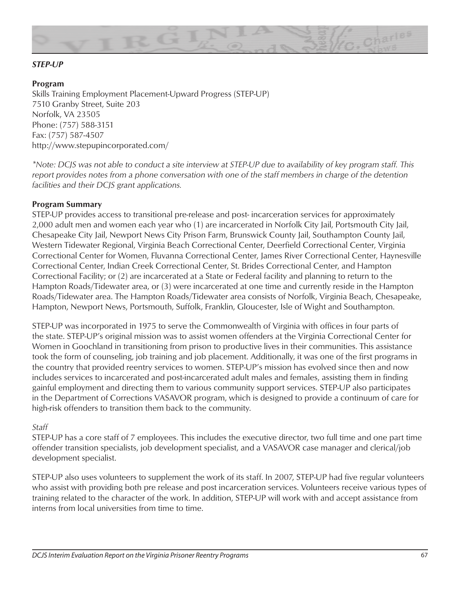

# *STEP-UP*

#### **Program**

Skills Training Employment Placement-Upward Progress (STEP-UP) 7510 Granby Street, Suite 203 Norfolk, VA 23505 Phone: (757) 588-3151 Fax: (757) 587-4507 http://www.stepupincorporated.com/

*\*Note: DCJS was not able to conduct a site interview at STEP-UP due to availability of key program staff. This report provides notes from a phone conversation with one of the staff members in charge of the detention facilities and their DCJS grant applications.* 

#### **Program Summary**

STEP-UP provides access to transitional pre-release and post- incarceration services for approximately 2,000 adult men and women each year who (1) are incarcerated in Norfolk City Jail, Portsmouth City Jail, Chesapeake City Jail, Newport News City Prison Farm, Brunswick County Jail, Southampton County Jail, Western Tidewater Regional, Virginia Beach Correctional Center, Deerfield Correctional Center, Virginia Correctional Center for Women, Fluvanna Correctional Center, James River Correctional Center, Haynesville Correctional Center, Indian Creek Correctional Center, St. Brides Correctional Center, and Hampton Correctional Facility; or (2) are incarcerated at a State or Federal facility and planning to return to the Hampton Roads/Tidewater area, or (3) were incarcerated at one time and currently reside in the Hampton Roads/Tidewater area. The Hampton Roads/Tidewater area consists of Norfolk, Virginia Beach, Chesapeake, Hampton, Newport News, Portsmouth, Suffolk, Franklin, Gloucester, Isle of Wight and Southampton.

STEP-UP was incorporated in 1975 to serve the Commonwealth of Virginia with offices in four parts of the state. STEP-UP's original mission was to assist women offenders at the Virginia Correctional Center for Women in Goochland in transitioning from prison to productive lives in their communities. This assistance took the form of counseling, job training and job placement. Additionally, it was one of the first programs in the country that provided reentry services to women. STEP-UP's mission has evolved since then and now includes services to incarcerated and post-incarcerated adult males and females, assisting them in finding gainful employment and directing them to various community support services. STEP-UP also participates in the Department of Corrections VASAVOR program, which is designed to provide a continuum of care for high-risk offenders to transition them back to the community.

#### *Staff*

STEP-UP has a core staff of 7 employees. This includes the executive director, two full time and one part time offender transition specialists, job development specialist, and a VASAVOR case manager and clerical/job development specialist.

STEP-UP also uses volunteers to supplement the work of its staff. In 2007, STEP-UP had five regular volunteers who assist with providing both pre release and post incarceration services. Volunteers receive various types of training related to the character of the work. In addition, STEP-UP will work with and accept assistance from interns from local universities from time to time.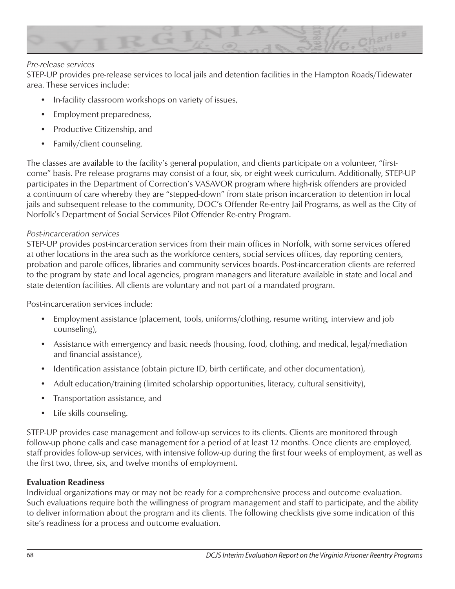

#### *Pre-release services*

STEP-UP provides pre-release services to local jails and detention facilities in the Hampton Roads/Tidewater area. These services include:

- In-facility classroom workshops on variety of issues,
- Employment preparedness,
- Productive Citizenship, and
- Family/client counseling.

The classes are available to the facility's general population, and clients participate on a volunteer, "firstcome" basis. Pre release programs may consist of a four, six, or eight week curriculum. Additionally, STEP-UP participates in the Department of Correction's VASAVOR program where high-risk offenders are provided a continuum of care whereby they are "stepped-down" from state prison incarceration to detention in local jails and subsequent release to the community, DOC's Offender Re-entry Jail Programs, as well as the City of Norfolk's Department of Social Services Pilot Offender Re-entry Program.

# *Post-incarceration services*

STEP-UP provides post-incarceration services from their main offices in Norfolk, with some services offered at other locations in the area such as the workforce centers, social services offices, day reporting centers, probation and parole offices, libraries and community services boards. Post-incarceration clients are referred to the program by state and local agencies, program managers and literature available in state and local and state detention facilities. All clients are voluntary and not part of a mandated program.

Post-incarceration services include:

- Employment assistance (placement, tools, uniforms/clothing, resume writing, interview and job counseling),
- Assistance with emergency and basic needs (housing, food, clothing, and medical, legal/mediation and financial assistance),
- Identification assistance (obtain picture ID, birth certificate, and other documentation),
- Adult education/training (limited scholarship opportunities, literacy, cultural sensitivity),
- Transportation assistance, and
- Life skills counseling.

STEP-UP provides case management and follow-up services to its clients. Clients are monitored through follow-up phone calls and case management for a period of at least 12 months. Once clients are employed, staff provides follow-up services, with intensive follow-up during the first four weeks of employment, as well as the first two, three, six, and twelve months of employment.

#### **Evaluation Readiness**

Individual organizations may or may not be ready for a comprehensive process and outcome evaluation. Such evaluations require both the willingness of program management and staff to participate, and the ability to deliver information about the program and its clients. The following checklists give some indication of this site's readiness for a process and outcome evaluation.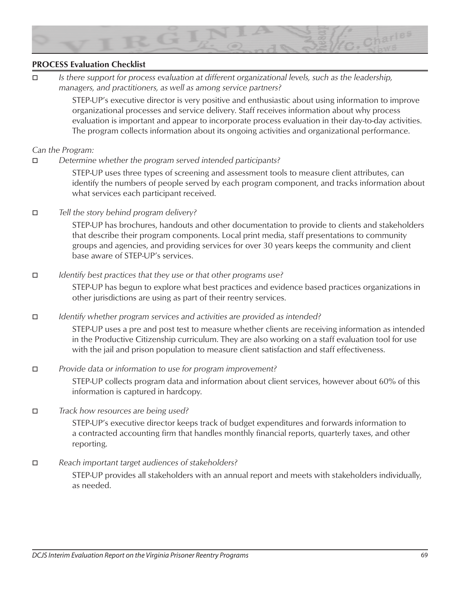

# **PROCESS Evaluation Checklist**

o *Is there support for process evaluation at different organizational levels, such as the leadership, managers, and practitioners, as well as among service partners?*

> STEP-UP's executive director is very positive and enthusiastic about using information to improve organizational processes and service delivery. Staff receives information about why process evaluation is important and appear to incorporate process evaluation in their day-to-day activities. The program collects information about its ongoing activities and organizational performance.

#### *Can the Program:*

**D** *Determine whether the program served intended participants?* 

STEP-UP uses three types of screening and assessment tools to measure client attributes, can identify the numbers of people served by each program component, and tracks information about what services each participant received.

**D** *Tell the story behind program delivery?* 

STEP-UP has brochures, handouts and other documentation to provide to clients and stakeholders that describe their program components. Local print media, staff presentations to community groups and agencies, and providing services for over 30 years keeps the community and client base aware of STEP-UP's services.

#### **□** *Identify best practices that they use or that other programs use?*

STEP-UP has begun to explore what best practices and evidence based practices organizations in other jurisdictions are using as part of their reentry services.

*□ Identify whether program services and activities are provided as intended?* 

STEP-UP uses a pre and post test to measure whether clients are receiving information as intended in the Productive Citizenship curriculum. They are also working on a staff evaluation tool for use with the jail and prison population to measure client satisfaction and staff effectiveness.

 $\Box$  *Provide data or information to use for program improvement?* 

STEP-UP collects program data and information about client services, however about 60% of this information is captured in hardcopy.

 $\Box$  *Track how resources are being used?* 

STEP-UP's executive director keeps track of budget expenditures and forwards information to a contracted accounting firm that handles monthly financial reports, quarterly taxes, and other reporting.

□ Reach important target audiences of stakeholders?

STEP-UP provides all stakeholders with an annual report and meets with stakeholders individually, as needed.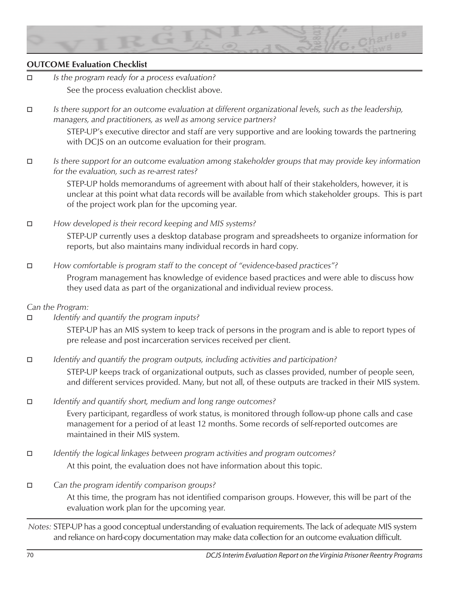

# **OUTCOME Evaluation Checklist**

- o *Is the program ready for a process evaluation?*  See the process evaluation checklist above.
- o *Is there support for an outcome evaluation at different organizational levels, such as the leadership, managers, and practitioners, as well as among service partners?*

STEP-UP's executive director and staff are very supportive and are looking towards the partnering with DCJS on an outcome evaluation for their program.

o *Is there support for an outcome evaluation among stakeholder groups that may provide key information for the evaluation, such as re-arrest rates?*

> STEP-UP holds memorandums of agreement with about half of their stakeholders, however, it is unclear at this point what data records will be available from which stakeholder groups. This is part of the project work plan for the upcoming year.

□ *How developed is their record keeping and MIS systems?* STEP-UP currently uses a desktop database program and spreadsheets to organize information for reports, but also maintains many individual records in hard copy.

 $\Box$  *How comfortable is program staff to the concept of "evidence-based practices"?* 

Program management has knowledge of evidence based practices and were able to discuss how they used data as part of the organizational and individual review process.

#### *Can the Program:*

□ *Identify and quantify the program inputs?* 

STEP-UP has an MIS system to keep track of persons in the program and is able to report types of pre release and post incarceration services received per client.

 $\Box$  *<i>Identify and quantify the program outputs, including activities and participation?* 

STEP-UP keeps track of organizational outputs, such as classes provided, number of people seen, and different services provided. Many, but not all, of these outputs are tracked in their MIS system.

□ *Identify and quantify short, medium and long range outcomes?* 

Every participant, regardless of work status, is monitored through follow-up phone calls and case management for a period of at least 12 months. Some records of self-reported outcomes are maintained in their MIS system.

- **□** *Identify the logical linkages between program activities and program outcomes?* At this point, the evaluation does not have information about this topic.
- $\Box$  Can the program identify comparison groups? At this time, the program has not identified comparison groups. However, this will be part of the evaluation work plan for the upcoming year.

*Notes:* STEP-UP has a good conceptual understanding of evaluation requirements. The lack of adequate MIS system and reliance on hard-copy documentation may make data collection for an outcome evaluation difficult.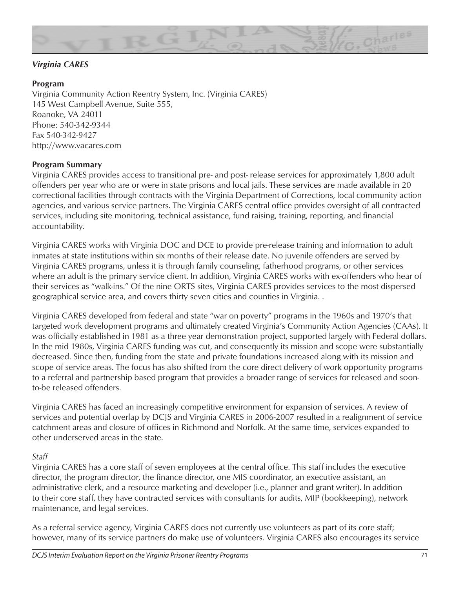

# *Virginia CARES*

# **Program**

Virginia Community Action Reentry System, Inc. (Virginia CARES) 145 West Campbell Avenue, Suite 555, Roanoke, VA 24011 Phone: 540-342-9344 Fax 540-342-9427 http://www.vacares.com

#### **Program Summary**

Virginia CARES provides access to transitional pre- and post- release services for approximately 1,800 adult offenders per year who are or were in state prisons and local jails. These services are made available in 20 correctional facilities through contracts with the Virginia Department of Corrections, local community action agencies, and various service partners. The Virginia CARES central office provides oversight of all contracted services, including site monitoring, technical assistance, fund raising, training, reporting, and financial accountability.

Virginia CARES works with Virginia DOC and DCE to provide pre-release training and information to adult inmates at state institutions within six months of their release date. No juvenile offenders are served by Virginia CARES programs, unless it is through family counseling, fatherhood programs, or other services where an adult is the primary service client. In addition, Virginia CARES works with ex-offenders who hear of their services as "walk-ins." Of the nine ORTS sites, Virginia CARES provides services to the most dispersed geographical service area, and covers thirty seven cities and counties in Virginia. .

Virginia CARES developed from federal and state "war on poverty" programs in the 1960s and 1970's that targeted work development programs and ultimately created Virginia's Community Action Agencies (CAAs). It was officially established in 1981 as a three year demonstration project, supported largely with Federal dollars. In the mid 1980s, Virginia CARES funding was cut, and consequently its mission and scope were substantially decreased. Since then, funding from the state and private foundations increased along with its mission and scope of service areas. The focus has also shifted from the core direct delivery of work opportunity programs to a referral and partnership based program that provides a broader range of services for released and soonto-be released offenders.

Virginia CARES has faced an increasingly competitive environment for expansion of services. A review of services and potential overlap by DCJS and Virginia CARES in 2006-2007 resulted in a realignment of service catchment areas and closure of offices in Richmond and Norfolk. At the same time, services expanded to other underserved areas in the state.

#### *Staff*

Virginia CARES has a core staff of seven employees at the central office. This staff includes the executive director, the program director, the finance director, one MIS coordinator, an executive assistant, an administrative clerk, and a resource marketing and developer (i.e., planner and grant writer). In addition to their core staff, they have contracted services with consultants for audits, MIP (bookkeeping), network maintenance, and legal services.

As a referral service agency, Virginia CARES does not currently use volunteers as part of its core staff; however, many of its service partners do make use of volunteers. Virginia CARES also encourages its service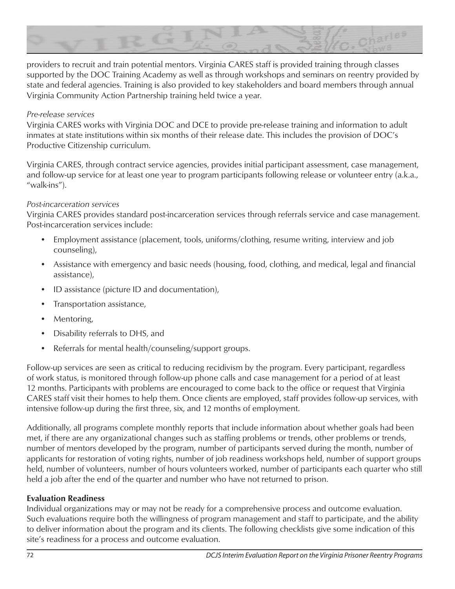

providers to recruit and train potential mentors. Virginia CARES staff is provided training through classes supported by the DOC Training Academy as well as through workshops and seminars on reentry provided by state and federal agencies. Training is also provided to key stakeholders and board members through annual Virginia Community Action Partnership training held twice a year.

#### *Pre-release services*

Virginia CARES works with Virginia DOC and DCE to provide pre-release training and information to adult inmates at state institutions within six months of their release date. This includes the provision of DOC's Productive Citizenship curriculum.

Virginia CARES, through contract service agencies, provides initial participant assessment, case management, and follow-up service for at least one year to program participants following release or volunteer entry (a.k.a., "walk-ins").

# *Post-incarceration services*

Virginia CARES provides standard post-incarceration services through referrals service and case management. Post-incarceration services include:

- Employment assistance (placement, tools, uniforms/clothing, resume writing, interview and job counseling),
- Assistance with emergency and basic needs (housing, food, clothing, and medical, legal and financial assistance),
- ID assistance (picture ID and documentation),
- Transportation assistance,
- Mentoring,
- Disability referrals to DHS, and
- Referrals for mental health/counseling/support groups.

Follow-up services are seen as critical to reducing recidivism by the program. Every participant, regardless of work status, is monitored through follow-up phone calls and case management for a period of at least 12 months. Participants with problems are encouraged to come back to the office or request that Virginia CARES staff visit their homes to help them. Once clients are employed, staff provides follow-up services, with intensive follow-up during the first three, six, and 12 months of employment.

Additionally, all programs complete monthly reports that include information about whether goals had been met, if there are any organizational changes such as staffing problems or trends, other problems or trends, number of mentors developed by the program, number of participants served during the month, number of applicants for restoration of voting rights, number of job readiness workshops held, number of support groups held, number of volunteers, number of hours volunteers worked, number of participants each quarter who still held a job after the end of the quarter and number who have not returned to prison.

# **Evaluation Readiness**

Individual organizations may or may not be ready for a comprehensive process and outcome evaluation. Such evaluations require both the willingness of program management and staff to participate, and the ability to deliver information about the program and its clients. The following checklists give some indication of this site's readiness for a process and outcome evaluation.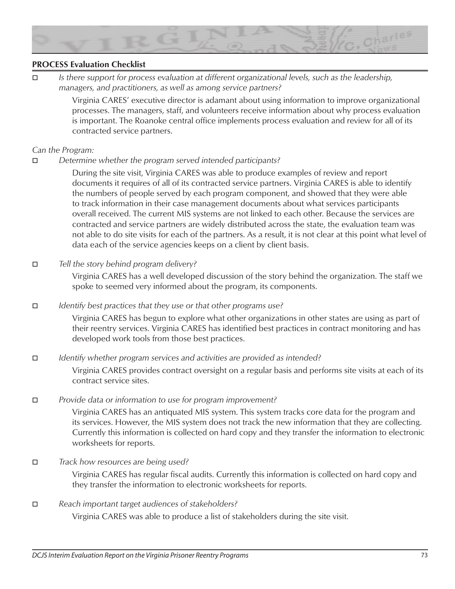

### **PROCESS Evaluation Checklist**

o *Is there support for process evaluation at different organizational levels, such as the leadership, managers, and practitioners, as well as among service partners?*

> Virginia CARES' executive director is adamant about using information to improve organizational processes. The managers, staff, and volunteers receive information about why process evaluation is important. The Roanoke central office implements process evaluation and review for all of its contracted service partners.

#### *Can the Program:*

**D** *Determine whether the program served intended participants?* 

During the site visit, Virginia CARES was able to produce examples of review and report documents it requires of all of its contracted service partners. Virginia CARES is able to identify the numbers of people served by each program component, and showed that they were able to track information in their case management documents about what services participants overall received. The current MIS systems are not linked to each other. Because the services are contracted and service partners are widely distributed across the state, the evaluation team was not able to do site visits for each of the partners. As a result, it is not clear at this point what level of data each of the service agencies keeps on a client by client basis.

o *Tell the story behind program delivery?*

Virginia CARES has a well developed discussion of the story behind the organization. The staff we spoke to seemed very informed about the program, its components.

**□** *Identify best practices that they use or that other programs use?* 

Virginia CARES has begun to explore what other organizations in other states are using as part of their reentry services. Virginia CARES has identified best practices in contract monitoring and has developed work tools from those best practices.

**D** *Identify whether program services and activities are provided as intended?* 

Virginia CARES provides contract oversight on a regular basis and performs site visits at each of its contract service sites.

**D** *Provide data or information to use for program improvement?* 

Virginia CARES has an antiquated MIS system. This system tracks core data for the program and its services. However, the MIS system does not track the new information that they are collecting. Currently this information is collected on hard copy and they transfer the information to electronic worksheets for reports.

- $\Box$  *Track how resources are being used?* Virginia CARES has regular fiscal audits. Currently this information is collected on hard copy and they transfer the information to electronic worksheets for reports.
- **D** Reach important target audiences of stakeholders?

Virginia CARES was able to produce a list of stakeholders during the site visit.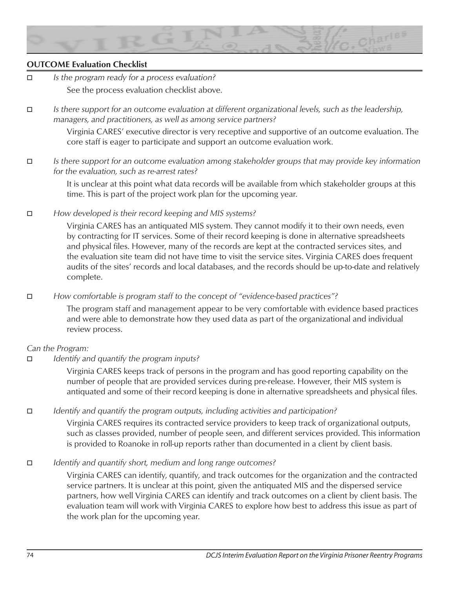

# **OUTCOME Evaluation Checklist**

- o *Is the program ready for a process evaluation?*  See the process evaluation checklist above.
- o *Is there support for an outcome evaluation at different organizational levels, such as the leadership, managers, and practitioners, as well as among service partners?*

Virginia CARES' executive director is very receptive and supportive of an outcome evaluation. The core staff is eager to participate and support an outcome evaluation work.

o *Is there support for an outcome evaluation among stakeholder groups that may provide key information for the evaluation, such as re-arrest rates?*

> It is unclear at this point what data records will be available from which stakeholder groups at this time. This is part of the project work plan for the upcoming year.

 $\Box$  *How developed is their record keeping and MIS systems?* 

Virginia CARES has an antiquated MIS system. They cannot modify it to their own needs, even by contracting for IT services. Some of their record keeping is done in alternative spreadsheets and physical files. However, many of the records are kept at the contracted services sites, and the evaluation site team did not have time to visit the service sites. Virginia CARES does frequent audits of the sites' records and local databases, and the records should be up-to-date and relatively complete.

*How comfortable is program staff to the concept of "evidence-based practices"?* 

The program staff and management appear to be very comfortable with evidence based practices and were able to demonstrate how they used data as part of the organizational and individual review process.

#### *Can the Program:*

□ *Identify and quantify the program inputs?* 

Virginia CARES keeps track of persons in the program and has good reporting capability on the number of people that are provided services during pre-release. However, their MIS system is antiquated and some of their record keeping is done in alternative spreadsheets and physical files.

o *Identify and quantify the program outputs, including activities and participation?*

Virginia CARES requires its contracted service providers to keep track of organizational outputs, such as classes provided, number of people seen, and different services provided. This information is provided to Roanoke in roll-up reports rather than documented in a client by client basis.

□ *Identify and quantify short, medium and long range outcomes?* 

Virginia CARES can identify, quantify, and track outcomes for the organization and the contracted service partners. It is unclear at this point, given the antiquated MIS and the dispersed service partners, how well Virginia CARES can identify and track outcomes on a client by client basis. The evaluation team will work with Virginia CARES to explore how best to address this issue as part of the work plan for the upcoming year.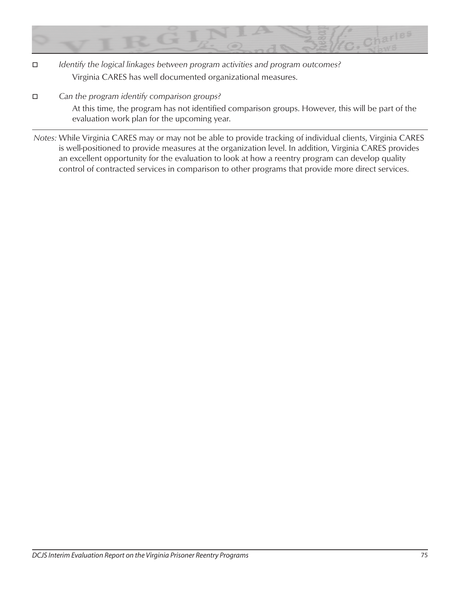

- **□** *Identify the logical linkages between program activities and program outcomes?* Virginia CARES has well documented organizational measures.
- $\Box$  Can the program identify comparison groups?

At this time, the program has not identified comparison groups. However, this will be part of the evaluation work plan for the upcoming year.

*Notes:* While Virginia CARES may or may not be able to provide tracking of individual clients, Virginia CARES is well-positioned to provide measures at the organization level. In addition, Virginia CARES provides an excellent opportunity for the evaluation to look at how a reentry program can develop quality control of contracted services in comparison to other programs that provide more direct services.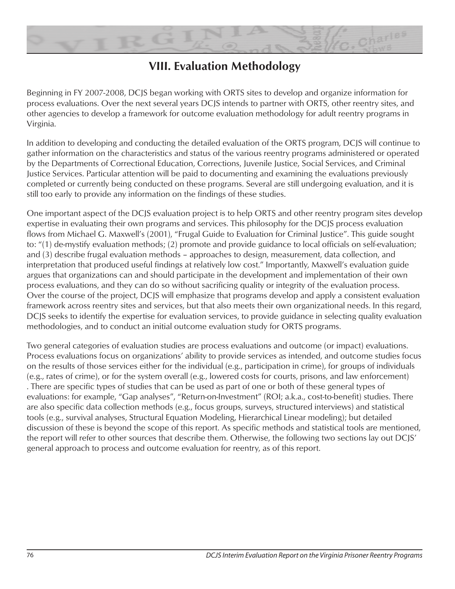

# **VIII. Evaluation Methodology**

Beginning in FY 2007-2008, DCJS began working with ORTS sites to develop and organize information for process evaluations. Over the next several years DCJS intends to partner with ORTS, other reentry sites, and other agencies to develop a framework for outcome evaluation methodology for adult reentry programs in Virginia.

In addition to developing and conducting the detailed evaluation of the ORTS program, DCJS will continue to gather information on the characteristics and status of the various reentry programs administered or operated by the Departments of Correctional Education, Corrections, Juvenile Justice, Social Services, and Criminal Justice Services. Particular attention will be paid to documenting and examining the evaluations previously completed or currently being conducted on these programs. Several are still undergoing evaluation, and it is still too early to provide any information on the findings of these studies.

One important aspect of the DCJS evaluation project is to help ORTS and other reentry program sites develop expertise in evaluating their own programs and services. This philosophy for the DCJS process evaluation flows from Michael G. Maxwell's (2001), "Frugal Guide to Evaluation for Criminal Justice". This guide sought to: "(1) de-mystify evaluation methods; (2) promote and provide guidance to local officials on self-evaluation; and (3) describe frugal evaluation methods – approaches to design, measurement, data collection, and interpretation that produced useful findings at relatively low cost." Importantly, Maxwell's evaluation guide argues that organizations can and should participate in the development and implementation of their own process evaluations, and they can do so without sacrificing quality or integrity of the evaluation process. Over the course of the project, DCJS will emphasize that programs develop and apply a consistent evaluation framework across reentry sites and services, but that also meets their own organizational needs. In this regard, DCJS seeks to identify the expertise for evaluation services, to provide guidance in selecting quality evaluation methodologies, and to conduct an initial outcome evaluation study for ORTS programs.

Two general categories of evaluation studies are process evaluations and outcome (or impact) evaluations. Process evaluations focus on organizations' ability to provide services as intended, and outcome studies focus on the results of those services either for the individual (e.g., participation in crime), for groups of individuals (e.g., rates of crime), or for the system overall (e.g., lowered costs for courts, prisons, and law enforcement) . There are specific types of studies that can be used as part of one or both of these general types of evaluations: for example, "Gap analyses", "Return-on-Investment" (ROI; a.k.a., cost-to-benefit) studies. There are also specific data collection methods (e.g., focus groups, surveys, structured interviews) and statistical tools (e.g., survival analyses, Structural Equation Modeling, Hierarchical Linear modeling); but detailed discussion of these is beyond the scope of this report. As specific methods and statistical tools are mentioned, the report will refer to other sources that describe them. Otherwise, the following two sections lay out DCJS' general approach to process and outcome evaluation for reentry, as of this report.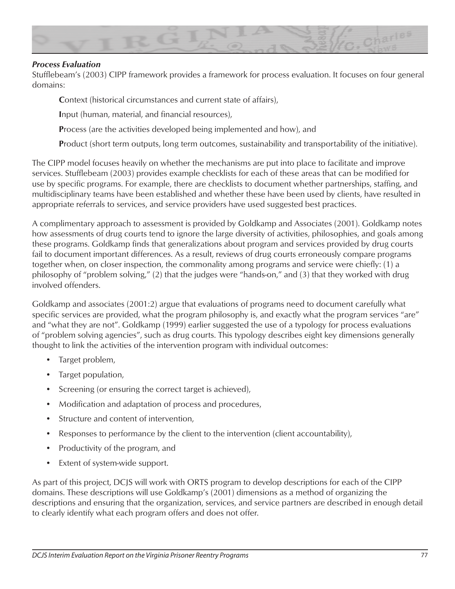

#### *Process Evaluation*

Stufflebeam's (2003) CIPP framework provides a framework for process evaluation. It focuses on four general domains:

**C**ontext (historical circumstances and current state of affairs),

**I**nput (human, material, and financial resources),

**P**rocess (are the activities developed being implemented and how), and

**P**roduct (short term outputs, long term outcomes, sustainability and transportability of the initiative).

The CIPP model focuses heavily on whether the mechanisms are put into place to facilitate and improve services. Stufflebeam (2003) provides example checklists for each of these areas that can be modified for use by specific programs. For example, there are checklists to document whether partnerships, staffing, and multidisciplinary teams have been established and whether these have been used by clients, have resulted in appropriate referrals to services, and service providers have used suggested best practices.

A complimentary approach to assessment is provided by Goldkamp and Associates (2001). Goldkamp notes how assessments of drug courts tend to ignore the large diversity of activities, philosophies, and goals among these programs. Goldkamp finds that generalizations about program and services provided by drug courts fail to document important differences. As a result, reviews of drug courts erroneously compare programs together when, on closer inspection, the commonality among programs and service were chiefly: (1) a philosophy of "problem solving," (2) that the judges were "hands-on," and (3) that they worked with drug involved offenders.

Goldkamp and associates (2001:2) argue that evaluations of programs need to document carefully what specific services are provided, what the program philosophy is, and exactly what the program services "are" and "what they are not". Goldkamp (1999) earlier suggested the use of a typology for process evaluations of "problem solving agencies", such as drug courts. This typology describes eight key dimensions generally thought to link the activities of the intervention program with individual outcomes:

- Target problem,
- Target population,
- Screening (or ensuring the correct target is achieved),
- Modification and adaptation of process and procedures,
- Structure and content of intervention,
- Responses to performance by the client to the intervention (client accountability),
- Productivity of the program, and
- Extent of system-wide support.

As part of this project, DCJS will work with ORTS program to develop descriptions for each of the CIPP domains. These descriptions will use Goldkamp's (2001) dimensions as a method of organizing the descriptions and ensuring that the organization, services, and service partners are described in enough detail to clearly identify what each program offers and does not offer.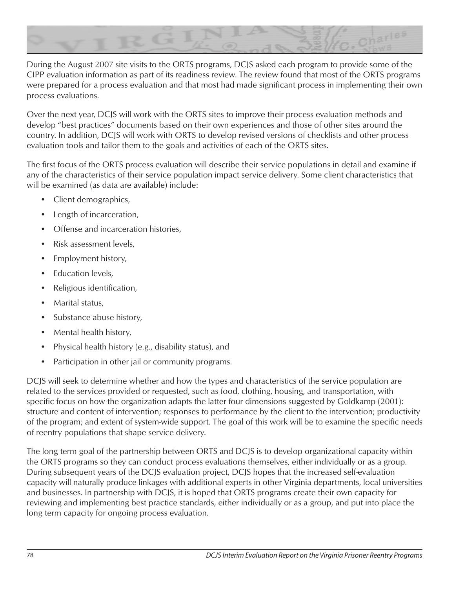

During the August 2007 site visits to the ORTS programs, DCJS asked each program to provide some of the CIPP evaluation information as part of its readiness review. The review found that most of the ORTS programs were prepared for a process evaluation and that most had made significant process in implementing their own process evaluations.

Over the next year, DCJS will work with the ORTS sites to improve their process evaluation methods and develop "best practices" documents based on their own experiences and those of other sites around the country. In addition, DCJS will work with ORTS to develop revised versions of checklists and other process evaluation tools and tailor them to the goals and activities of each of the ORTS sites.

The first focus of the ORTS process evaluation will describe their service populations in detail and examine if any of the characteristics of their service population impact service delivery. Some client characteristics that will be examined (as data are available) include:

- Client demographics,
- Length of incarceration,
- Offense and incarceration histories,
- Risk assessment levels,
- Employment history,
- Education levels,
- Religious identification,
- Marital status,
- Substance abuse history,
- Mental health history,
- Physical health history (e.g., disability status), and
- Participation in other jail or community programs.

DCJS will seek to determine whether and how the types and characteristics of the service population are related to the services provided or requested, such as food, clothing, housing, and transportation, with specific focus on how the organization adapts the latter four dimensions suggested by Goldkamp (2001): structure and content of intervention; responses to performance by the client to the intervention; productivity of the program; and extent of system-wide support. The goal of this work will be to examine the specific needs of reentry populations that shape service delivery.

The long term goal of the partnership between ORTS and DCJS is to develop organizational capacity within the ORTS programs so they can conduct process evaluations themselves, either individually or as a group. During subsequent years of the DCJS evaluation project, DCJS hopes that the increased self-evaluation capacity will naturally produce linkages with additional experts in other Virginia departments, local universities and businesses. In partnership with DCJS, it is hoped that ORTS programs create their own capacity for reviewing and implementing best practice standards, either individually or as a group, and put into place the long term capacity for ongoing process evaluation.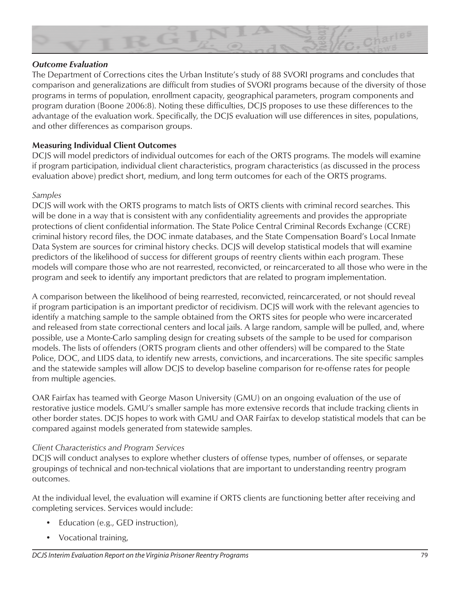

### *Outcome Evaluation*

The Department of Corrections cites the Urban Institute's study of 88 SVORI programs and concludes that comparison and generalizations are difficult from studies of SVORI programs because of the diversity of those programs in terms of population, enrollment capacity, geographical parameters, program components and program duration (Boone 2006:8). Noting these difficulties, DCJS proposes to use these differences to the advantage of the evaluation work. Specifically, the DCJS evaluation will use differences in sites, populations, and other differences as comparison groups.

# **Measuring Individual Client Outcomes**

DCJS will model predictors of individual outcomes for each of the ORTS programs. The models will examine if program participation, individual client characteristics, program characteristics (as discussed in the process evaluation above) predict short, medium, and long term outcomes for each of the ORTS programs.

#### *Samples*

DCJS will work with the ORTS programs to match lists of ORTS clients with criminal record searches. This will be done in a way that is consistent with any confidentiality agreements and provides the appropriate protections of client confidential information. The State Police Central Criminal Records Exchange (CCRE) criminal history record files, the DOC inmate databases, and the State Compensation Board's Local Inmate Data System are sources for criminal history checks. DCJS will develop statistical models that will examine predictors of the likelihood of success for different groups of reentry clients within each program. These models will compare those who are not rearrested, reconvicted, or reincarcerated to all those who were in the program and seek to identify any important predictors that are related to program implementation.

A comparison between the likelihood of being rearrested, reconvicted, reincarcerated, or not should reveal if program participation is an important predictor of recidivism. DCJS will work with the relevant agencies to identify a matching sample to the sample obtained from the ORTS sites for people who were incarcerated and released from state correctional centers and local jails. A large random, sample will be pulled, and, where possible, use a Monte-Carlo sampling design for creating subsets of the sample to be used for comparison models. The lists of offenders (ORTS program clients and other offenders) will be compared to the State Police, DOC, and LIDS data, to identify new arrests, convictions, and incarcerations. The site specific samples and the statewide samples will allow DCJS to develop baseline comparison for re-offense rates for people from multiple agencies.

OAR Fairfax has teamed with George Mason University (GMU) on an ongoing evaluation of the use of restorative justice models. GMU's smaller sample has more extensive records that include tracking clients in other border states. DCJS hopes to work with GMU and OAR Fairfax to develop statistical models that can be compared against models generated from statewide samples.

#### *Client Characteristics and Program Services*

DCJS will conduct analyses to explore whether clusters of offense types, number of offenses, or separate groupings of technical and non-technical violations that are important to understanding reentry program outcomes.

At the individual level, the evaluation will examine if ORTS clients are functioning better after receiving and completing services. Services would include:

- Education (e.g., GED instruction),
- Vocational training,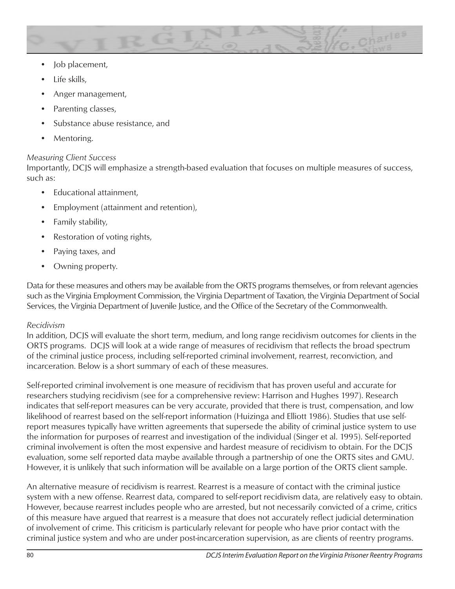

- Job placement,
- Life skills,
- Anger management,
- Parenting classes,
- Substance abuse resistance, and
- Mentoring.

# *Measuring Client Success*

Importantly, DCJS will emphasize a strength-based evaluation that focuses on multiple measures of success, such as:

- Educational attainment,
- Employment (attainment and retention),
- Family stability,
- Restoration of voting rights,
- Paying taxes, and
- Owning property.

Data for these measures and others may be available from the ORTS programs themselves, or from relevant agencies such as the Virginia Employment Commission, the Virginia Department of Taxation, the Virginia Department of Social Services, the Virginia Department of Juvenile Justice, and the Office of the Secretary of the Commonwealth.

# *Recidivism*

In addition, DCJS will evaluate the short term, medium, and long range recidivism outcomes for clients in the ORTS programs. DCJS will look at a wide range of measures of recidivism that reflects the broad spectrum of the criminal justice process, including self-reported criminal involvement, rearrest, reconviction, and incarceration. Below is a short summary of each of these measures.

Self-reported criminal involvement is one measure of recidivism that has proven useful and accurate for researchers studying recidivism (see for a comprehensive review: Harrison and Hughes 1997). Research indicates that self-report measures can be very accurate, provided that there is trust, compensation, and low likelihood of rearrest based on the self-report information (Huizinga and Elliott 1986). Studies that use selfreport measures typically have written agreements that supersede the ability of criminal justice system to use the information for purposes of rearrest and investigation of the individual (Singer et al. 1995). Self-reported criminal involvement is often the most expensive and hardest measure of recidivism to obtain. For the DCJS evaluation, some self reported data maybe available through a partnership of one the ORTS sites and GMU. However, it is unlikely that such information will be available on a large portion of the ORTS client sample.

An alternative measure of recidivism is rearrest. Rearrest is a measure of contact with the criminal justice system with a new offense. Rearrest data, compared to self-report recidivism data, are relatively easy to obtain. However, because rearrest includes people who are arrested, but not necessarily convicted of a crime, critics of this measure have argued that rearrest is a measure that does not accurately reflect judicial determination of involvement of crime. This criticism is particularly relevant for people who have prior contact with the criminal justice system and who are under post-incarceration supervision, as are clients of reentry programs.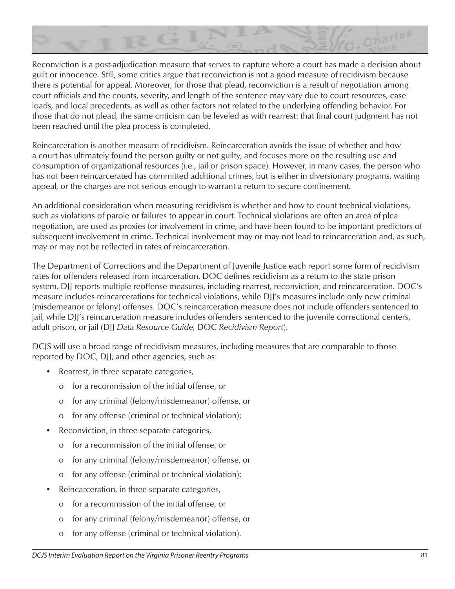

Reconviction is a post-adjudication measure that serves to capture where a court has made a decision about guilt or innocence. Still, some critics argue that reconviction is not a good measure of recidivism because there is potential for appeal. Moreover, for those that plead, reconviction is a result of negotiation among court officials and the counts, severity, and length of the sentence may vary due to court resources, case loads, and local precedents, as well as other factors not related to the underlying offending behavior. For those that do not plead, the same criticism can be leveled as with rearrest: that final court judgment has not been reached until the plea process is completed.

Reincarceration is another measure of recidivism. Reincarceration avoids the issue of whether and how a court has ultimately found the person guilty or not guilty, and focuses more on the resulting use and consumption of organizational resources (i.e., jail or prison space). However, in many cases, the person who has not been reincarcerated has committed additional crimes, but is either in diversionary programs, waiting appeal, or the charges are not serious enough to warrant a return to secure confinement.

An additional consideration when measuring recidivism is whether and how to count technical violations, such as violations of parole or failures to appear in court. Technical violations are often an area of plea negotiation, are used as proxies for involvement in crime, and have been found to be important predictors of subsequent involvement in crime. Technical involvement may or may not lead to reincarceration and, as such, may or may not be reflected in rates of reincarceration.

The Department of Corrections and the Department of Juvenile Justice each report some form of recidivism rates for offenders released from incarceration. DOC defines recidivism as a return to the state prison system. DJJ reports multiple reoffense measures, including rearrest, reconviction, and reincarceration. DOC's measure includes reincarcerations for technical violations, while DJJ's measures include only new criminal (misdemeanor or felony) offenses. DOC's reincarceration measure does not include offenders sentenced to jail, while DJJ's reincarceration measure includes offenders sentenced to the juvenile correctional centers, adult prison, or jail (DJJ *Data Resource Guide,* DOC *Recidivism Report*).

DCJS will use a broad range of recidivism measures, including measures that are comparable to those reported by DOC, DJJ, and other agencies, such as:

- Rearrest, in three separate categories,
	- o for a recommission of the initial offense, or
	- o for any criminal (felony/misdemeanor) offense, or
	- o for any offense (criminal or technical violation);
- Reconviction, in three separate categories,
	- o for a recommission of the initial offense, or
	- o for any criminal (felony/misdemeanor) offense, or
	- o for any offense (criminal or technical violation);
- Reincarceration, in three separate categories,
	- o for a recommission of the initial offense, or
	- o for any criminal (felony/misdemeanor) offense, or
	- o for any offense (criminal or technical violation).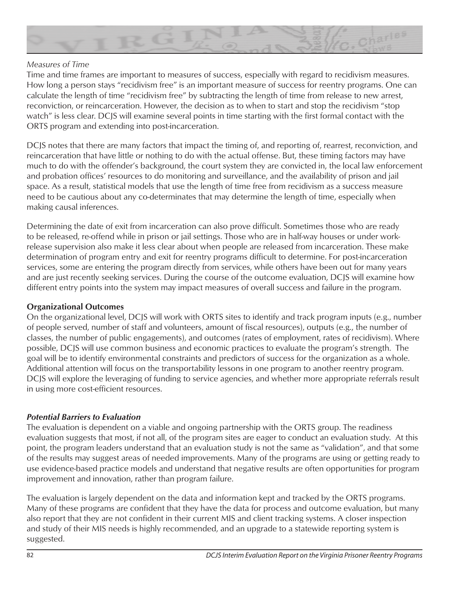

#### *Measures of Time*

Time and time frames are important to measures of success, especially with regard to recidivism measures. How long a person stays "recidivism free" is an important measure of success for reentry programs. One can calculate the length of time "recidivism free" by subtracting the length of time from release to new arrest, reconviction, or reincarceration. However, the decision as to when to start and stop the recidivism "stop watch" is less clear. DCJS will examine several points in time starting with the first formal contact with the ORTS program and extending into post-incarceration.

DCJS notes that there are many factors that impact the timing of, and reporting of, rearrest, reconviction, and reincarceration that have little or nothing to do with the actual offense. But, these timing factors may have much to do with the offender's background, the court system they are convicted in, the local law enforcement and probation offices' resources to do monitoring and surveillance, and the availability of prison and jail space. As a result, statistical models that use the length of time free from recidivism as a success measure need to be cautious about any co-determinates that may determine the length of time, especially when making causal inferences.

Determining the date of exit from incarceration can also prove difficult. Sometimes those who are ready to be released, re-offend while in prison or jail settings. Those who are in half-way houses or under workrelease supervision also make it less clear about when people are released from incarceration. These make determination of program entry and exit for reentry programs difficult to determine. For post-incarceration services, some are entering the program directly from services, while others have been out for many years and are just recently seeking services. During the course of the outcome evaluation, DCJS will examine how different entry points into the system may impact measures of overall success and failure in the program.

# **Organizational Outcomes**

On the organizational level, DCJS will work with ORTS sites to identify and track program inputs (e.g., number of people served, number of staff and volunteers, amount of fiscal resources), outputs (e.g., the number of classes, the number of public engagements), and outcomes (rates of employment, rates of recidivism). Where possible, DCJS will use common business and economic practices to evaluate the program's strength. The goal will be to identify environmental constraints and predictors of success for the organization as a whole. Additional attention will focus on the transportability lessons in one program to another reentry program. DCJS will explore the leveraging of funding to service agencies, and whether more appropriate referrals result in using more cost-efficient resources.

# *Potential Barriers to Evaluation*

The evaluation is dependent on a viable and ongoing partnership with the ORTS group. The readiness evaluation suggests that most, if not all, of the program sites are eager to conduct an evaluation study. At this point, the program leaders understand that an evaluation study is not the same as "validation", and that some of the results may suggest areas of needed improvements. Many of the programs are using or getting ready to use evidence-based practice models and understand that negative results are often opportunities for program improvement and innovation, rather than program failure.

The evaluation is largely dependent on the data and information kept and tracked by the ORTS programs. Many of these programs are confident that they have the data for process and outcome evaluation, but many also report that they are not confident in their current MIS and client tracking systems. A closer inspection and study of their MIS needs is highly recommended, and an upgrade to a statewide reporting system is suggested.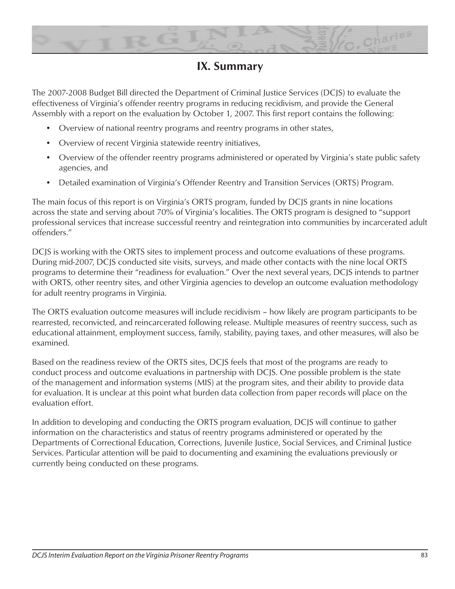

# **IX. Summary**

The 2007-2008 Budget Bill directed the Department of Criminal Justice Services (DCJS) to evaluate the effectiveness of Virginia's offender reentry programs in reducing recidivism, and provide the General Assembly with a report on the evaluation by October 1, 2007. This first report contains the following:

- Overview of national reentry programs and reentry programs in other states,
- Overview of recent Virginia statewide reentry initiatives,
- Overview of the offender reentry programs administered or operated by Virginia's state public safety agencies, and
- Detailed examination of Virginia's Offender Reentry and Transition Services (ORTS) Program.

The main focus of this report is on Virginia's ORTS program, funded by DCJS grants in nine locations across the state and serving about 70% of Virginia's localities. The ORTS program is designed to "support professional services that increase successful reentry and reintegration into communities by incarcerated adult offenders."

DCJS is working with the ORTS sites to implement process and outcome evaluations of these programs. During mid-2007, DCJS conducted site visits, surveys, and made other contacts with the nine local ORTS programs to determine their "readiness for evaluation." Over the next several years, DCJS intends to partner with ORTS, other reentry sites, and other Virginia agencies to develop an outcome evaluation methodology for adult reentry programs in Virginia.

The ORTS evaluation outcome measures will include recidivism – how likely are program participants to be rearrested, reconvicted, and reincarcerated following release. Multiple measures of reentry success, such as educational attainment, employment success, family, stability, paying taxes, and other measures, will also be examined.

Based on the readiness review of the ORTS sites, DCJS feels that most of the programs are ready to conduct process and outcome evaluations in partnership with DCJS. One possible problem is the state of the management and information systems (MIS) at the program sites, and their ability to provide data for evaluation. It is unclear at this point what burden data collection from paper records will place on the evaluation effort.

In addition to developing and conducting the ORTS program evaluation, DCJS will continue to gather information on the characteristics and status of reentry programs administered or operated by the Departments of Correctional Education, Corrections, Juvenile Justice, Social Services, and Criminal Justice Services. Particular attention will be paid to documenting and examining the evaluations previously or currently being conducted on these programs.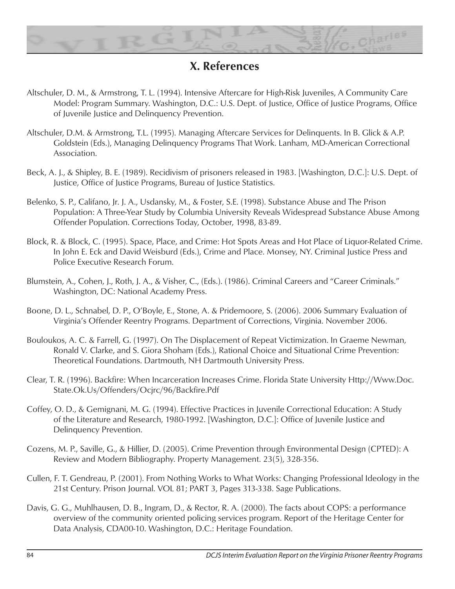

# **X. References**

- Altschuler, D. M., & Armstrong, T. L. (1994). Intensive Aftercare for High-Risk Juveniles, A Community Care Model: Program Summary. Washington, D.C.: U.S. Dept. of Justice, Office of Justice Programs, Office of Juvenile Justice and Delinquency Prevention.
- Altschuler, D.M. & Armstrong, T.L. (1995). Managing Aftercare Services for Delinquents. In B. Glick & A.P. Goldstein (Eds.), Managing Delinquency Programs That Work. Lanham, MD-American Correctional Association.
- Beck, A. J., & Shipley, B. E. (1989). Recidivism of prisoners released in 1983. [Washington, D.C.]: U.S. Dept. of Justice, Office of Justice Programs, Bureau of Justice Statistics.
- Belenko, S. P., Califano, Jr. J. A., Usdansky, M., & Foster, S.E. (1998). Substance Abuse and The Prison Population: A Three-Year Study by Columbia University Reveals Widespread Substance Abuse Among Offender Population. Corrections Today, October, 1998, 83-89.
- Block, R. & Block, C. (1995). Space, Place, and Crime: Hot Spots Areas and Hot Place of Liquor-Related Crime. In John E. Eck and David Weisburd (Eds.), Crime and Place. Monsey, NY. Criminal Justice Press and Police Executive Research Forum.
- Blumstein, A., Cohen, J., Roth, J. A., & Visher, C., (Eds.). (1986). Criminal Careers and "Career Criminals." Washington, DC: National Academy Press.
- Boone, D. L., Schnabel, D. P., O'Boyle, E., Stone, A. & Pridemoore, S. (2006). 2006 Summary Evaluation of Virginia's Offender Reentry Programs. Department of Corrections, Virginia. November 2006.
- Bouloukos, A. C. & Farrell, G. (1997). On The Displacement of Repeat Victimization. In Graeme Newman, Ronald V. Clarke, and S. Giora Shoham (Eds.), Rational Choice and Situational Crime Prevention: Theoretical Foundations. Dartmouth, NH Dartmouth University Press.
- Clear, T. R. (1996). Backfire: When Incarceration Increases Crime. Florida State University Http://Www.Doc. State.Ok.Us/Offenders/Ocjrc/96/Backfire.Pdf
- Coffey, O. D., & Gemignani, M. G. (1994). Effective Practices in Juvenile Correctional Education: A Study of the Literature and Research, 1980-1992. [Washington, D.C.]: Office of Juvenile Justice and Delinquency Prevention.
- Cozens, M. P., Saville, G., & Hillier, D. (2005). Crime Prevention through Environmental Design (CPTED): A Review and Modern Bibliography. Property Management. 23(5), 328-356.
- Cullen, F. T. Gendreau, P. (2001). From Nothing Works to What Works: Changing Professional Ideology in the 21st Century. Prison Journal. VOL 81; PART 3, Pages 313-338. Sage Publications.
- Davis, G. G., Muhlhausen, D. B., Ingram, D., & Rector, R. A. (2000). The facts about COPS: a performance overview of the community oriented policing services program. Report of the Heritage Center for Data Analysis, CDA00-10. Washington, D.C.: Heritage Foundation.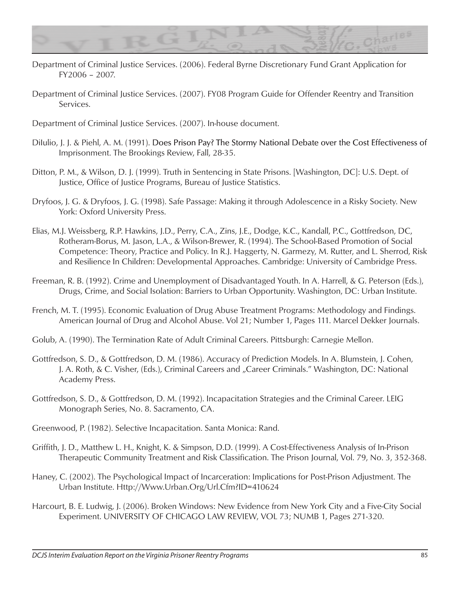

- Department of Criminal Justice Services. (2006). Federal Byrne Discretionary Fund Grant Application for FY2006 – 2007.
- Department of Criminal Justice Services. (2007). FY08 Program Guide for Offender Reentry and Transition Services.

Department of Criminal Justice Services. (2007). In-house document.

- Dilulio, J. J. & Piehl, A. M. (1991). Does Prison Pay? The Stormy National Debate over the Cost Effectiveness of Imprisonment. The Brookings Review, Fall, 28-35.
- Ditton, P. M., & Wilson, D. J. (1999). Truth in Sentencing in State Prisons. [Washington, DC]: U.S. Dept. of Justice, Office of Justice Programs, Bureau of Justice Statistics.
- Dryfoos, J. G. & Dryfoos, J. G. (1998). Safe Passage: Making it through Adolescence in a Risky Society. New York: Oxford University Press.
- Elias, M.J. Weissberg, R.P. Hawkins, J.D., Perry, C.A., Zins, J.E., Dodge, K.C., Kandall, P.C., Gottfredson, DC, Rotheram-Borus, M. Jason, L.A., & Wilson-Brewer, R. (1994). The School-Based Promotion of Social Competence: Theory, Practice and Policy. In R.J. Haggerty, N. Garmezy, M. Rutter, and L. Sherrod, Risk and Resilience In Children: Developmental Approaches. Cambridge: University of Cambridge Press.
- Freeman, R. B. (1992). Crime and Unemployment of Disadvantaged Youth. In A. Harrell, & G. Peterson (Eds.), Drugs, Crime, and Social Isolation: Barriers to Urban Opportunity. Washington, DC: Urban Institute.
- French, M. T. (1995). Economic Evaluation of Drug Abuse Treatment Programs: Methodology and Findings. American Journal of Drug and Alcohol Abuse. Vol 21; Number 1, Pages 111. Marcel Dekker Journals.
- Golub, A. (1990). The Termination Rate of Adult Criminal Careers. Pittsburgh: Carnegie Mellon.
- Gottfredson, S. D., & Gottfredson, D. M. (1986). Accuracy of Prediction Models. In A. Blumstein, J. Cohen, J. A. Roth, & C. Visher, (Eds.), Criminal Careers and "Career Criminals." Washington, DC: National Academy Press.
- Gottfredson, S. D., & Gottfredson, D. M. (1992). Incapacitation Strategies and the Criminal Career. LEIG Monograph Series, No. 8. Sacramento, CA.
- Greenwood, P. (1982). Selective Incapacitation. Santa Monica: Rand.
- Griffith, J. D., Matthew L. H., Knight, K. & Simpson, D.D. (1999). A Cost-Effectiveness Analysis of In-Prison Therapeutic Community Treatment and Risk Classification. The Prison Journal, Vol. 79, No. 3, 352-368.
- Haney, C. (2002). The Psychological Impact of Incarceration: Implications for Post-Prison Adjustment. The Urban Institute. Http://Www.Urban.Org/Url.Cfm?ID=410624
- Harcourt, B. E. Ludwig, J. (2006). Broken Windows: New Evidence from New York City and a Five-City Social Experiment. UNIVERSITY OF CHICAGO LAW REVIEW, VOL 73; NUMB 1, Pages 271-320.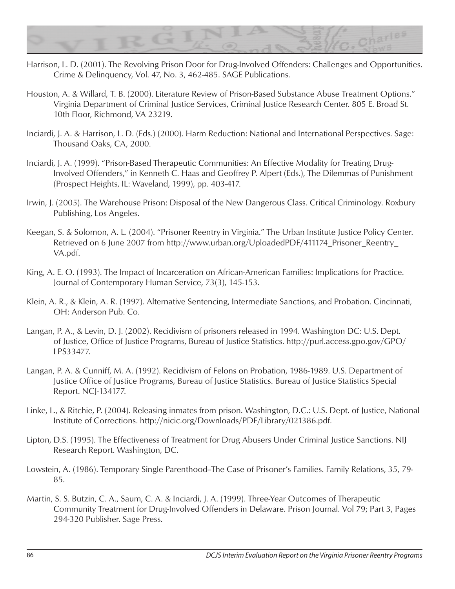

- Harrison, L. D. (2001). The Revolving Prison Door for Drug-Involved Offenders: Challenges and Opportunities. Crime & Delinquency, Vol. 47, No. 3, 462-485. SAGE Publications.
- Houston, A. & Willard, T. B. (2000). Literature Review of Prison-Based Substance Abuse Treatment Options." Virginia Department of Criminal Justice Services, Criminal Justice Research Center. 805 E. Broad St. 10th Floor, Richmond, VA 23219.
- Inciardi, J. A. & Harrison, L. D. (Eds.) (2000). Harm Reduction: National and International Perspectives. Sage: Thousand Oaks, CA, 2000.
- Inciardi, J. A. (1999). "Prison-Based Therapeutic Communities: An Effective Modality for Treating Drug-Involved Offenders," in Kenneth C. Haas and Geoffrey P. Alpert (Eds.), The Dilemmas of Punishment (Prospect Heights, IL: Waveland, 1999), pp. 403-417.
- Irwin, J. (2005). The Warehouse Prison: Disposal of the New Dangerous Class. Critical Criminology. Roxbury Publishing, Los Angeles.
- Keegan, S. & Solomon, A. L. (2004). "Prisoner Reentry in Virginia." The Urban Institute Justice Policy Center. Retrieved on 6 June 2007 from http://www.urban.org/UploadedPDF/411174 Prisoner\_Reentry\_ VA.pdf.
- King, A. E. O. (1993). The Impact of Incarceration on African-American Families: Implications for Practice. Journal of Contemporary Human Service, 73(3), 145-153.
- Klein, A. R., & Klein, A. R. (1997). Alternative Sentencing, Intermediate Sanctions, and Probation. Cincinnati, OH: Anderson Pub. Co.
- Langan, P. A., & Levin, D. J. (2002). Recidivism of prisoners released in 1994. Washington DC: U.S. Dept. of Justice, Office of Justice Programs, Bureau of Justice Statistics. http://purl.access.gpo.gov/GPO/ LPS33477.
- Langan, P. A. & Cunniff, M. A. (1992). Recidivism of Felons on Probation, 1986-1989. U.S. Department of Justice Office of Justice Programs, Bureau of Justice Statistics. Bureau of Justice Statistics Special Report. NCJ-134177.
- Linke, L., & Ritchie, P. (2004). Releasing inmates from prison. Washington, D.C.: U.S. Dept. of Justice, National Institute of Corrections. http://nicic.org/Downloads/PDF/Library/021386.pdf.
- Lipton, D.S. (1995). The Effectiveness of Treatment for Drug Abusers Under Criminal Justice Sanctions. NIJ Research Report. Washington, DC.
- Lowstein, A. (1986). Temporary Single Parenthood–The Case of Prisoner's Families. Family Relations, 35, 79-85.
- Martin, S. S. Butzin, C. A., Saum, C. A. & Inciardi, J. A. (1999). Three-Year Outcomes of Therapeutic Community Treatment for Drug-Involved Offenders in Delaware. Prison Journal. Vol 79; Part 3, Pages 294-320 Publisher. Sage Press.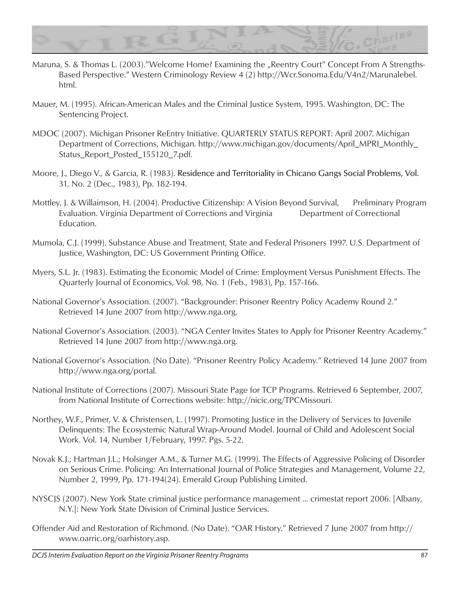

- Maruna, S. & Thomas L. (2003)."Welcome Home? Examining the "Reentry Court" Concept From A Strengths-Based Perspective." Western Criminology Review 4 (2) http://Wcr.Sonoma.Edu/V4n2/Marunalebel. html.
- Mauer, M. (1995). African-American Males and the Criminal Justice System, 1995. Washington, DC: The Sentencing Project.
- MDOC (2007). Michigan Prisoner ReEntry Initiative. QUARTERLY STATUS REPORT: April 2007. Michigan Department of Corrections, Michigan. http://www.michigan.gov/documents/April\_MPRI\_Monthly\_ Status\_Report\_Posted\_155120\_7.pdf.
- Moore, J., Diego V., & Garcia, R. (1983). Residence and Territoriality in Chicano Gangs Social Problems, Vol. 31, No. 2 (Dec., 1983), Pp. 182-194.
- Mottley, J. & Willaimson, H. (2004). Productive Citizenship: A Vision Beyond Survival, Preliminary Program Evaluation. Virginia Department of Corrections and Virginia Department of Correctional Education.
- Mumola, C.J. (1999). Substance Abuse and Treatment, State and Federal Prisoners 1997. U.S. Department of Justice, Washington, DC: US Government Printing Office.
- Myers, S.L. Jr. (1983). Estimating the Economic Model of Crime: Employment Versus Punishment Effects. The Quarterly Journal of Economics, Vol. 98, No. 1 (Feb., 1983), Pp. 157-166.
- National Governor's Association. (2007). "Backgrounder: Prisoner Reentry Policy Academy Round 2." Retrieved 14 June 2007 from http://www.nga.org.
- National Governor's Association. (2003). "NGA Center Invites States to Apply for Prisoner Reentry Academy." Retrieved 14 June 2007 from http://www.nga.org.
- National Governor's Association. (No Date). "Prisoner Reentry Policy Academy." Retrieved 14 June 2007 from http://www.nga.org/portal.
- National Institute of Corrections (2007). Missouri State Page for TCP Programs. Retrieved 6 September, 2007, from National Institute of Corrections website: http://nicic.org/TPCMissouri.
- Northey, W.F., Primer, V. & Christensen, L. (1997). Promoting Justice in the Delivery of Services to Juvenile Delinquents: The Ecosystemic Natural Wrap-Around Model. Journal of Child and Adolescent Social Work. Vol. 14, Number 1/February, 1997. Pgs. 5-22.
- Novak K.J.; Hartman J.L.; Holsinger A.M., & Turner M.G. (1999). The Effects of Aggressive Policing of Disorder on Serious Crime. Policing: An International Journal of Police Strategies and Management, Volume 22, Number 2, 1999, Pp. 171-194(24). Emerald Group Publishing Limited.
- NYSCJS (2007). New York State criminal justice performance management ... crimestat report 2006. [Albany, N.Y.]: New York State Division of Criminal Justice Services.
- Offender Aid and Restoration of Richmond. (No Date). "OAR History." Retrieved 7 June 2007 from http:// www.oarric.org/oarhistory.asp.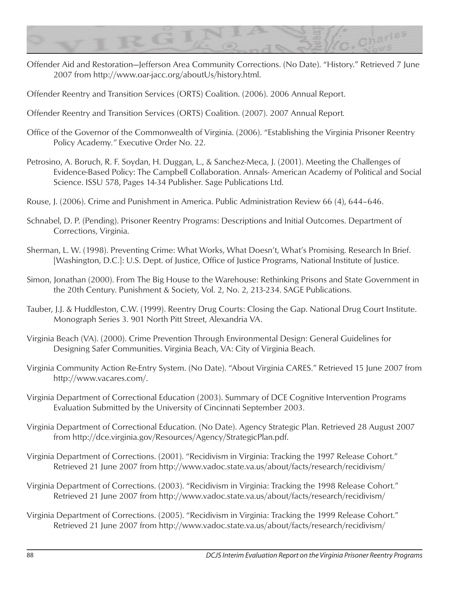

Offender Aid and Restoration—Jefferson Area Community Corrections. (No Date). "History." Retrieved 7 June 2007 from http://www.oar-jacc.org/aboutUs/history.html.

Offender Reentry and Transition Services (ORTS) Coalition. (2006). 2006 Annual Report.

- Offender Reentry and Transition Services (ORTS) Coalition. (2007). 2007 Annual Report*.*
- Office of the Governor of the Commonwealth of Virginia. (2006). "Establishing the Virginia Prisoner Reentry Policy Academy*."* Executive Order No. 22.
- Petrosino, A. Boruch, R. F. Soydan, H. Duggan, L., & Sanchez-Meca, J. (2001). Meeting the Challenges of Evidence-Based Policy: The Campbell Collaboration. Annals- American Academy of Political and Social Science. ISSU 578, Pages 14-34 Publisher. Sage Publications Ltd.
- Rouse, J. (2006). Crime and Punishment in America. Public Administration Review 66 (4), 644–646.
- Schnabel, D. P. (Pending). Prisoner Reentry Programs: Descriptions and Initial Outcomes. Department of Corrections, Virginia.
- Sherman, L. W. (1998). Preventing Crime: What Works, What Doesn't, What's Promising. Research In Brief. [Washington, D.C.]: U.S. Dept. of Justice, Office of Justice Programs, National Institute of Justice.
- Simon, Jonathan (2000). From The Big House to the Warehouse: Rethinking Prisons and State Government in the 20th Century. Punishment & Society, Vol. 2, No. 2, 213-234. SAGE Publications.
- Tauber, J.J. & Huddleston, C.W. (1999). Reentry Drug Courts: Closing the Gap. National Drug Court Institute. Monograph Series 3. 901 North Pitt Street, Alexandria VA.
- Virginia Beach (VA). (2000). Crime Prevention Through Environmental Design: General Guidelines for Designing Safer Communities. Virginia Beach, VA: City of Virginia Beach.
- Virginia Community Action Re-Entry System. (No Date). "About Virginia CARES." Retrieved 15 June 2007 from http://www.vacares.com/.
- Virginia Department of Correctional Education (2003). Summary of DCE Cognitive Intervention Programs Evaluation Submitted by the University of Cincinnati September 2003.
- Virginia Department of Correctional Education. (No Date). Agency Strategic Plan. Retrieved 28 August 2007 from http://dce.virginia.gov/Resources/Agency/StrategicPlan.pdf.
- Virginia Department of Corrections. (2001). "Recidivism in Virginia: Tracking the 1997 Release Cohort." Retrieved 21 June 2007 from http://www.vadoc.state.va.us/about/facts/research/recidivism/
- Virginia Department of Corrections. (2003). "Recidivism in Virginia: Tracking the 1998 Release Cohort." Retrieved 21 June 2007 from http://www.vadoc.state.va.us/about/facts/research/recidivism/
- Virginia Department of Corrections. (2005). "Recidivism in Virginia: Tracking the 1999 Release Cohort." Retrieved 21 June 2007 from http://www.vadoc.state.va.us/about/facts/research/recidivism/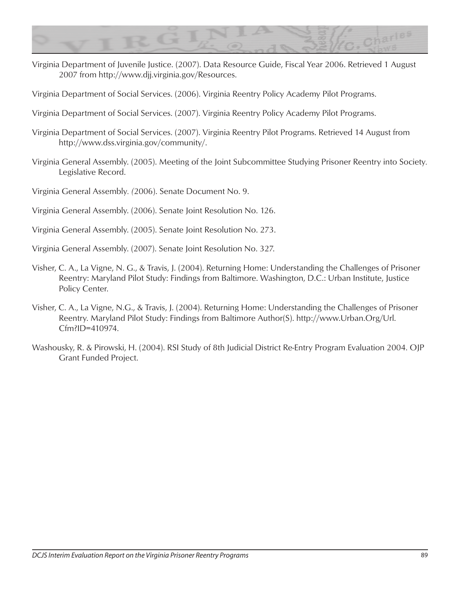

Virginia Department of Juvenile Justice. (2007). Data Resource Guide, Fiscal Year 2006. Retrieved 1 August 2007 from http://www.djj.virginia.gov/Resources.

Virginia Department of Social Services. (2006). Virginia Reentry Policy Academy Pilot Programs.

Virginia Department of Social Services. (2007). Virginia Reentry Policy Academy Pilot Programs.

- Virginia Department of Social Services. (2007). Virginia Reentry Pilot Programs. Retrieved 14 August from http://www.dss.virginia.gov/community/.
- Virginia General Assembly. (2005). Meeting of the Joint Subcommittee Studying Prisoner Reentry into Society*.* Legislative Record.

Virginia General Assembly*. (*2006). Senate Document No. 9.

Virginia General Assembly. (2006). Senate Joint Resolution No. 126.

- Virginia General Assembly. (2005). Senate Joint Resolution No. 273.
- Virginia General Assembly. (2007). Senate Joint Resolution No. 327.
- Visher, C. A., La Vigne, N. G., & Travis, J. (2004). Returning Home: Understanding the Challenges of Prisoner Reentry: Maryland Pilot Study: Findings from Baltimore. Washington, D.C.: Urban Institute, Justice Policy Center.
- Visher, C. A., La Vigne, N.G., & Travis, J. (2004). Returning Home: Understanding the Challenges of Prisoner Reentry. Maryland Pilot Study: Findings from Baltimore Author(S). http://www.Urban.Org/Url. Cfm?ID=410974.
- Washousky, R. & Pirowski, H. (2004). RSI Study of 8th Judicial District Re-Entry Program Evaluation 2004. OJP Grant Funded Project.